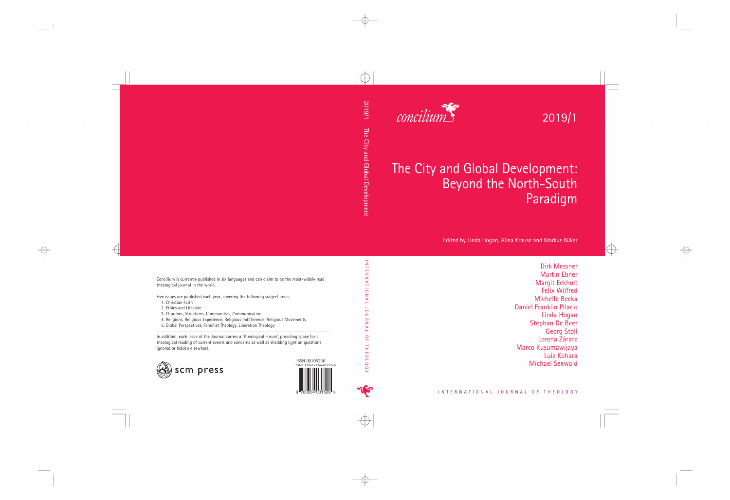2019/1



## The City and Global Development: Beyond the North-South Paradigm

Edited by Linda Hogan, Alina Krause and Markus Büker

Dirk Messner Martin Ebner Margit Eckholt Felix Wilfred Michelle Becka Daniel Franklin Pilario Linda Hogan Stephan De Beer Georg Stoll Lorena Zárate Marco Kusumawijaya Luiz Kohara Michael Seewald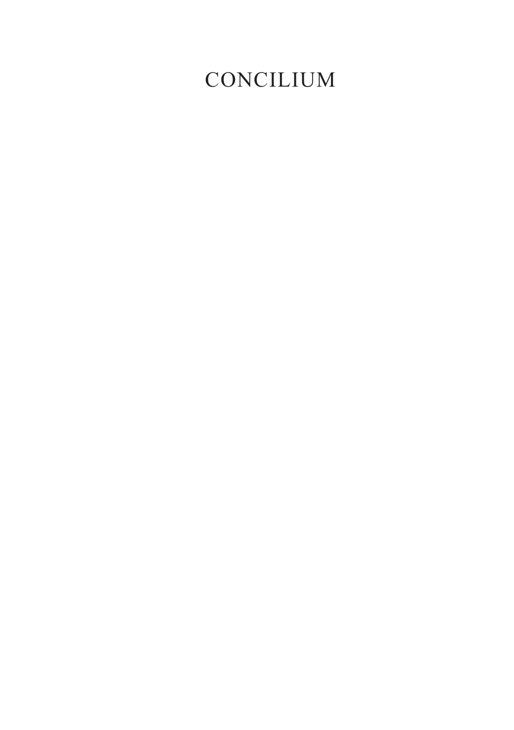### CONCILIUM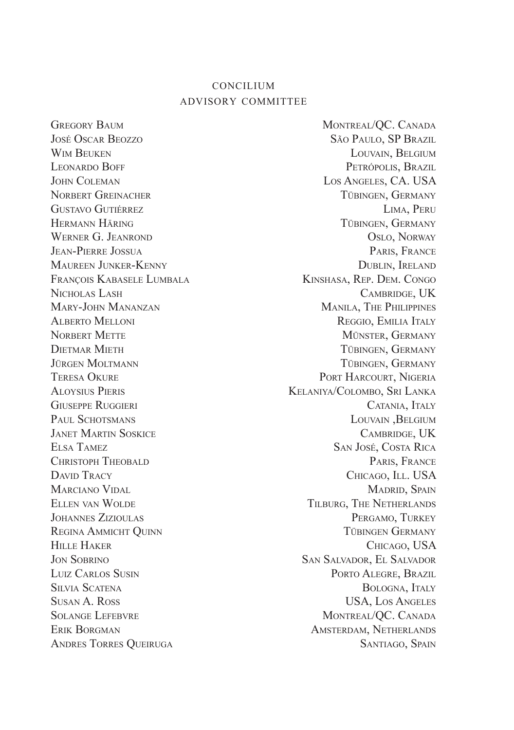#### concilium advisory committee

GREGORY BAUM MONTREAL/OC. CANADA José Oscar Beozzo São Paulo, SP Brazil WIM BEUKEN LOUVAIN, BELGIUM Leonardo Boff Petrópolis, Brazil JOHN COLEMAN LOS ANGELES, CA. USA<br>Norbert Greinacher Los Angeles, Ca. USA<br>Türingen Germany Gustavo Gutiérrez Lima, Peru Hermann Häring Tübingen, Germany WERNER G. JEANROND OSLO, NORWAY Jean-Pierre Jossua Paris, France Maureen Junker-Kenny Dublin, Ireland François Kabasele Lumbala Kinshasa, Rep. Dem. Congo Nicholas Lash Cambridge, UK Mary-John Mananzan Manila, The Philippines Alberto Melloni Reggio, Emilia Italy Norbert Mette Münster, Germany Dietmar Mieth Tübingen, Germany Jürgen Moltmann 1988 (Sermany 1998) Tübingen, Germany Tübingen, Germany 1998 (Sermany 1998) Tübingen 1998 (Sermany 1998) Tübingen 1998 (Sermany 1998) Tübingen 1998 (Sermany 1998) Tübingen 1998 (Sermany 1998) Tübingen 1998 Aloysius Pieris Kelaniya/Colombo, Sri Lanka Giuseppe Ruggieri Catania, Italy PAUL SCHOTSMANS LOUVAIN, BELGIUM Janet Martin Soskice Cambridge, UK Elsa Tamez San José, Costa Rica CHRISTOPH THEOBALD **PARIS, FRANCE** David Tracy Chicago, Ill. USA Marciano Vidal Madrid, Spain Madrid, Spain Madrid, Spain Madrid, Spain Madrid, Spain Madrid, Spain Madrid, Spain ELLEN VAN WOLDE TILBURG, THE NETHERLANDS Johannes Zizioulas Pergamo, Turkey REGINA AMMICHT QUINN **TÜBINGEN GERMANY** HILLE HAKER CHICAGO, USA Jon Sobrino San Salvador, El Salvador Luiz Carlos Susin Porto Alegre, Brazil Silvia Scatena Bologna, Italy Susan A. Ross USA, Los Angeles SOLANGE LEFEBVRE MONTREAL/QC. CANADA ERIK BORGMAN AMSTERDAM, NETHERLANDS ANDRES TORRES QUEIRUGA SANTIAGO, SPAIN

Tübingen, Germany PORT HARCOURT, NIGERIA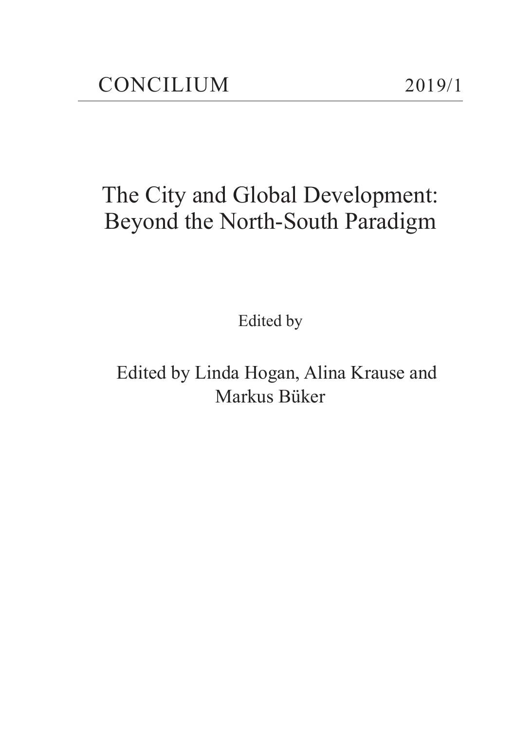### The City and Global Development: Beyond the North-South Paradigm

Edited by

Edited by Linda Hogan, Alina Krause and Markus Büker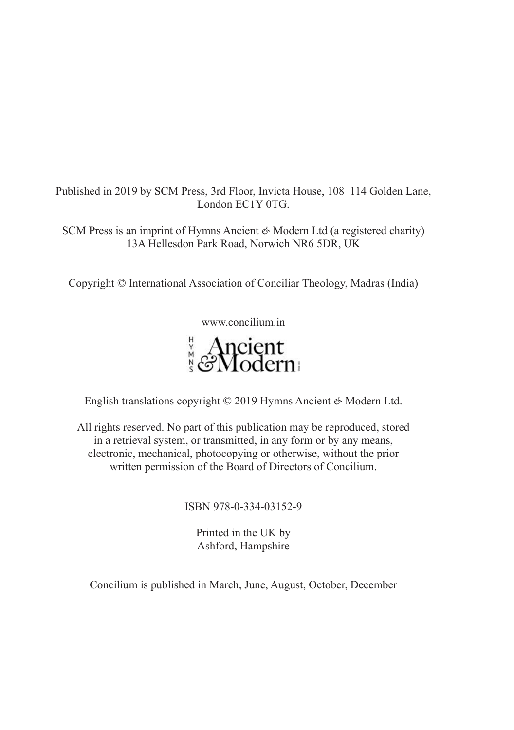Published in 2019 by SCM Press, 3rd Floor, Invicta House, 108–114 Golden Lane, London EC1Y 0TG.

SCM Press is an imprint of Hymns Ancient *&* Modern Ltd (a registered charity) 13A Hellesdon Park Road, Norwich NR6 5DR, UK

Copyright © International Association of Conciliar Theology, Madras (India)

www.concilium.in

# **Ancient**<br>ReModern

English translations copyright © 2019 Hymns Ancient *&* Modern Ltd.

All rights reserved. No part of this publication may be reproduced, stored in a retrieval system, or transmitted, in any form or by any means, electronic, mechanical, photocopying or otherwise, without the prior written permission of the Board of Directors of Concilium.

#### ISBN 978-0-334-03152-9

Printed in the UK by Ashford, Hampshire

Concilium is published in March, June, August, October, December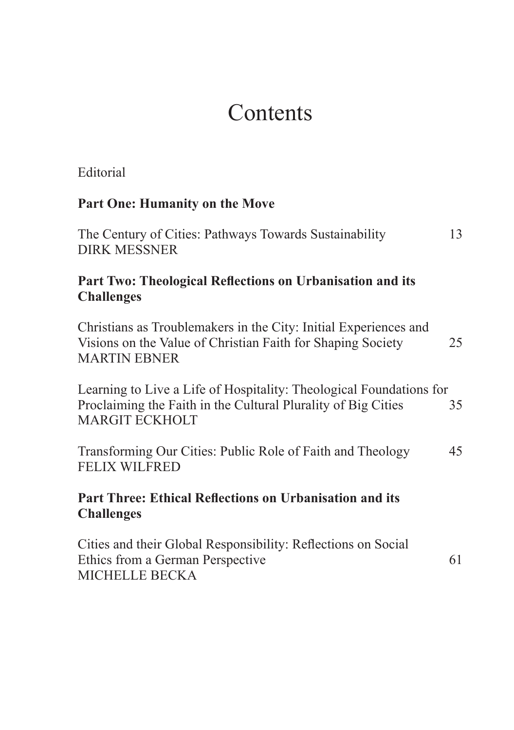### Contents

| Editorial                                                                                                                                                     |    |
|---------------------------------------------------------------------------------------------------------------------------------------------------------------|----|
| <b>Part One: Humanity on the Move</b>                                                                                                                         |    |
| The Century of Cities: Pathways Towards Sustainability<br><b>DIRK MESSNER</b>                                                                                 | 13 |
| Part Two: Theological Reflections on Urbanisation and its<br><b>Challenges</b>                                                                                |    |
| Christians as Troublemakers in the City: Initial Experiences and<br>Visions on the Value of Christian Faith for Shaping Society<br><b>MARTIN EBNER</b>        | 25 |
| Learning to Live a Life of Hospitality: Theological Foundations for<br>Proclaiming the Faith in the Cultural Plurality of Big Cities<br><b>MARGIT ECKHOLT</b> | 35 |
| Transforming Our Cities: Public Role of Faith and Theology<br><b>FELIX WILFRED</b>                                                                            | 45 |
| <b>Part Three: Ethical Reflections on Urbanisation and its</b><br><b>Challenges</b>                                                                           |    |
| Cities and their Global Responsibility: Reflections on Social<br>Ethics from a German Perspective<br><b>MICHELLE BECKA</b>                                    | 61 |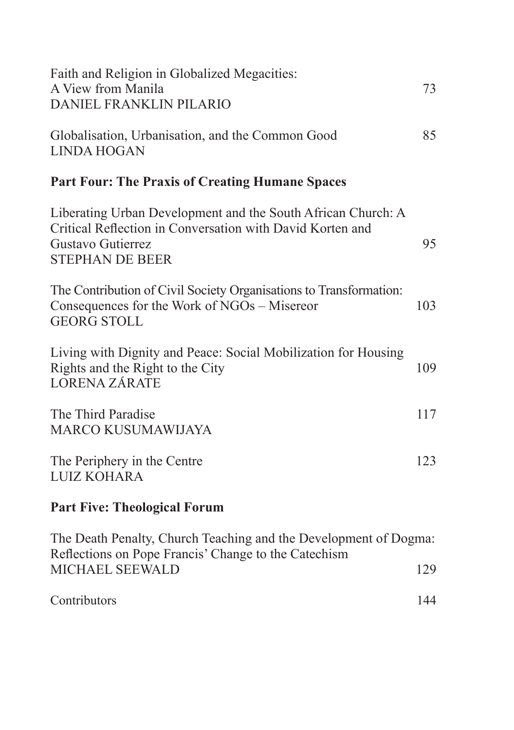| Faith and Religion in Globalized Megacities:<br>A View from Manila<br>DANIEL FRANKLIN PILARIO                                                                            | 73  |  |
|--------------------------------------------------------------------------------------------------------------------------------------------------------------------------|-----|--|
| Globalisation, Urbanisation, and the Common Good<br><b>LINDA HOGAN</b>                                                                                                   | 85  |  |
| <b>Part Four: The Praxis of Creating Humane Spaces</b>                                                                                                                   |     |  |
| Liberating Urban Development and the South African Church: A<br>Critical Reflection in Conversation with David Korten and<br>Gustavo Gutierrez<br><b>STEPHAN DE BEER</b> | 95  |  |
| The Contribution of Civil Society Organisations to Transformation:<br>Consequences for the Work of NGOs - Misereor<br><b>GEORG STOLL</b>                                 | 103 |  |
| Living with Dignity and Peace: Social Mobilization for Housing<br>Rights and the Right to the City<br><b>LORENA ZÁRATE</b>                                               | 109 |  |
| The Third Paradise<br><b>MARCO KUSUMAWIJAYA</b>                                                                                                                          | 117 |  |
| The Periphery in the Centre<br><b>LUIZ KOHARA</b>                                                                                                                        | 123 |  |
| <b>Part Five: Theological Forum</b>                                                                                                                                      |     |  |
| The Death Penalty, Church Teaching and the Development of Dogma:<br>Reflections on Pope Francis' Change to the Catechism                                                 |     |  |
| MICHAEL SEEWALD                                                                                                                                                          | 129 |  |

Contributors 144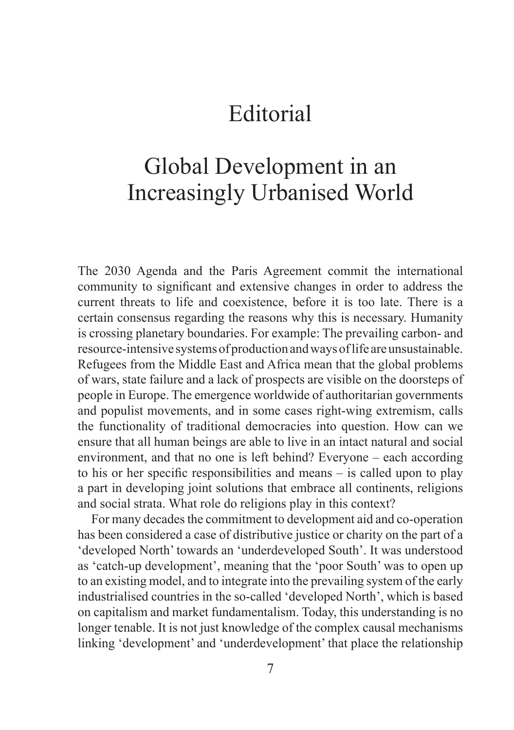### Editorial

### Global Development in an Increasingly Urbanised World

The 2030 Agenda and the Paris Agreement commit the international community to significant and extensive changes in order to address the current threats to life and coexistence, before it is too late. There is a certain consensus regarding the reasons why this is necessary. Humanity is crossing planetary boundaries. For example: The prevailing carbon- and resource-intensive systems of production and ways of life are unsustainable. Refugees from the Middle East and Africa mean that the global problems of wars, state failure and a lack of prospects are visible on the doorsteps of people in Europe. The emergence worldwide of authoritarian governments and populist movements, and in some cases right-wing extremism, calls the functionality of traditional democracies into question. How can we ensure that all human beings are able to live in an intact natural and social environment, and that no one is left behind? Everyone – each according to his or her specific responsibilities and means – is called upon to play a part in developing joint solutions that embrace all continents, religions and social strata. What role do religions play in this context?

For many decades the commitment to development aid and co-operation has been considered a case of distributive justice or charity on the part of a 'developed North' towards an 'underdeveloped South'. It was understood as 'catch-up development', meaning that the 'poor South' was to open up to an existing model, and to integrate into the prevailing system of the early industrialised countries in the so-called 'developed North', which is based on capitalism and market fundamentalism. Today, this understanding is no longer tenable. It is not just knowledge of the complex causal mechanisms linking 'development' and 'underdevelopment' that place the relationship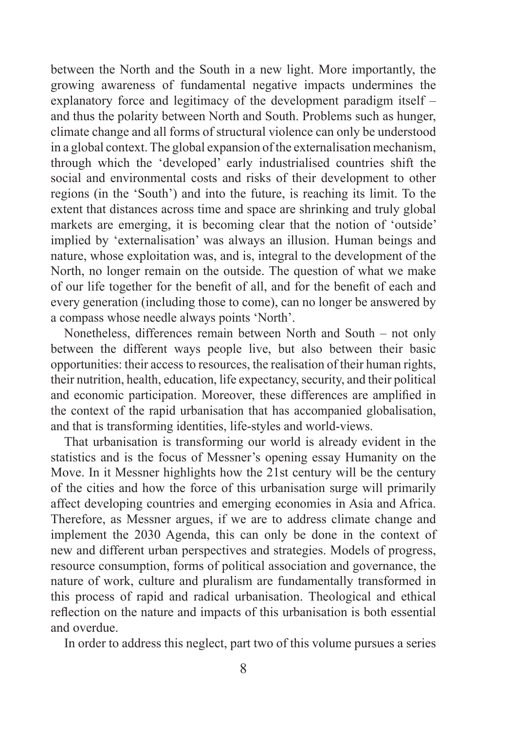between the North and the South in a new light. More importantly, the growing awareness of fundamental negative impacts undermines the explanatory force and legitimacy of the development paradigm itself – and thus the polarity between North and South. Problems such as hunger, climate change and all forms of structural violence can only be understood in a global context. The global expansion of the externalisation mechanism, through which the 'developed' early industrialised countries shift the social and environmental costs and risks of their development to other regions (in the 'South') and into the future, is reaching its limit. To the extent that distances across time and space are shrinking and truly global markets are emerging, it is becoming clear that the notion of 'outside' implied by 'externalisation' was always an illusion. Human beings and nature, whose exploitation was, and is, integral to the development of the North, no longer remain on the outside. The question of what we make of our life together for the benefit of all, and for the benefit of each and every generation (including those to come), can no longer be answered by a compass whose needle always points 'North'.

Nonetheless, differences remain between North and South – not only between the different ways people live, but also between their basic opportunities: their access to resources, the realisation of their human rights, their nutrition, health, education, life expectancy, security, and their political and economic participation. Moreover, these differences are amplified in the context of the rapid urbanisation that has accompanied globalisation, and that is transforming identities, life-styles and world-views.

That urbanisation is transforming our world is already evident in the statistics and is the focus of Messner's opening essay Humanity on the Move. In it Messner highlights how the 21st century will be the century of the cities and how the force of this urbanisation surge will primarily affect developing countries and emerging economies in Asia and Africa. Therefore, as Messner argues, if we are to address climate change and implement the 2030 Agenda, this can only be done in the context of new and different urban perspectives and strategies. Models of progress, resource consumption, forms of political association and governance, the nature of work, culture and pluralism are fundamentally transformed in this process of rapid and radical urbanisation. Theological and ethical reflection on the nature and impacts of this urbanisation is both essential and overdue.

In order to address this neglect, part two of this volume pursues a series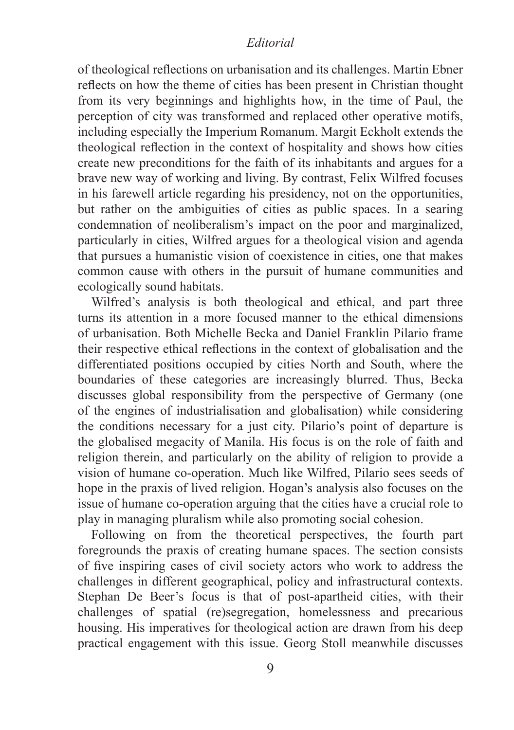#### *Editorial*

of theological reflections on urbanisation and its challenges. Martin Ebner reflects on how the theme of cities has been present in Christian thought from its very beginnings and highlights how, in the time of Paul, the perception of city was transformed and replaced other operative motifs, including especially the Imperium Romanum. Margit Eckholt extends the theological reflection in the context of hospitality and shows how cities create new preconditions for the faith of its inhabitants and argues for a brave new way of working and living. By contrast, Felix Wilfred focuses in his farewell article regarding his presidency, not on the opportunities, but rather on the ambiguities of cities as public spaces. In a searing condemnation of neoliberalism's impact on the poor and marginalized, particularly in cities, Wilfred argues for a theological vision and agenda that pursues a humanistic vision of coexistence in cities, one that makes common cause with others in the pursuit of humane communities and ecologically sound habitats.

Wilfred's analysis is both theological and ethical, and part three turns its attention in a more focused manner to the ethical dimensions of urbanisation. Both Michelle Becka and Daniel Franklin Pilario frame their respective ethical reflections in the context of globalisation and the differentiated positions occupied by cities North and South, where the boundaries of these categories are increasingly blurred. Thus, Becka discusses global responsibility from the perspective of Germany (one of the engines of industrialisation and globalisation) while considering the conditions necessary for a just city. Pilario's point of departure is the globalised megacity of Manila. His focus is on the role of faith and religion therein, and particularly on the ability of religion to provide a vision of humane co-operation. Much like Wilfred, Pilario sees seeds of hope in the praxis of lived religion. Hogan's analysis also focuses on the issue of humane co-operation arguing that the cities have a crucial role to play in managing pluralism while also promoting social cohesion.

Following on from the theoretical perspectives, the fourth part foregrounds the praxis of creating humane spaces. The section consists of five inspiring cases of civil society actors who work to address the challenges in different geographical, policy and infrastructural contexts. Stephan De Beer's focus is that of post-apartheid cities, with their challenges of spatial (re)segregation, homelessness and precarious housing. His imperatives for theological action are drawn from his deep practical engagement with this issue. Georg Stoll meanwhile discusses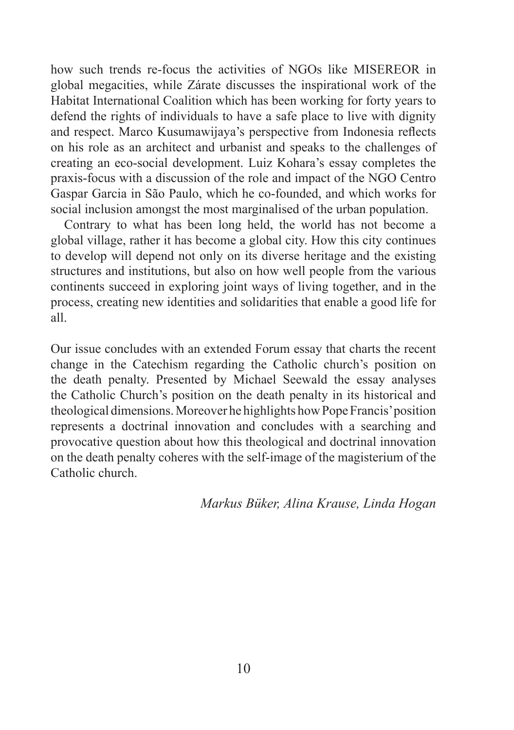how such trends re-focus the activities of NGOs like MISEREOR in global megacities, while Zárate discusses the inspirational work of the Habitat International Coalition which has been working for forty years to defend the rights of individuals to have a safe place to live with dignity and respect. Marco Kusumawijaya's perspective from Indonesia reflects on his role as an architect and urbanist and speaks to the challenges of creating an eco-social development. Luiz Kohara's essay completes the praxis-focus with a discussion of the role and impact of the NGO Centro Gaspar Garcia in São Paulo, which he co-founded, and which works for social inclusion amongst the most marginalised of the urban population.

Contrary to what has been long held, the world has not become a global village, rather it has become a global city. How this city continues to develop will depend not only on its diverse heritage and the existing structures and institutions, but also on how well people from the various continents succeed in exploring joint ways of living together, and in the process, creating new identities and solidarities that enable a good life for all.

Our issue concludes with an extended Forum essay that charts the recent change in the Catechism regarding the Catholic church's position on the death penalty. Presented by Michael Seewald the essay analyses the Catholic Church's position on the death penalty in its historical and theological dimensions. Moreover he highlights how Pope Francis' position represents a doctrinal innovation and concludes with a searching and provocative question about how this theological and doctrinal innovation on the death penalty coheres with the self-image of the magisterium of the Catholic church.

*Markus Büker, Alina Krause, Linda Hogan*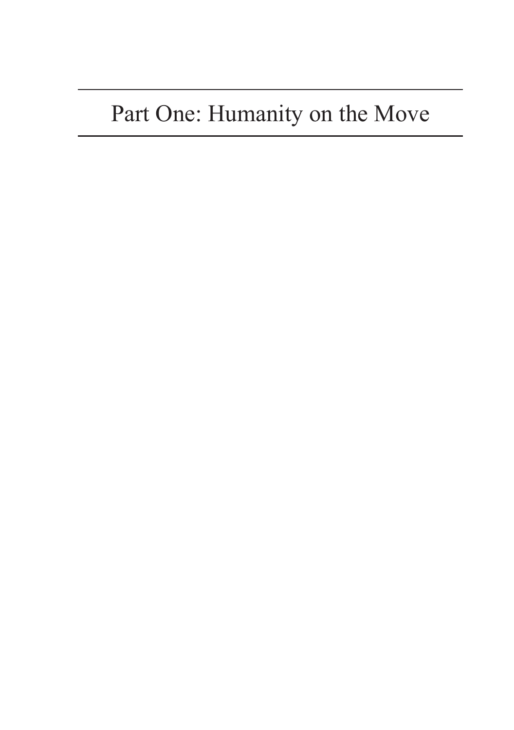### Part One: Humanity on the Move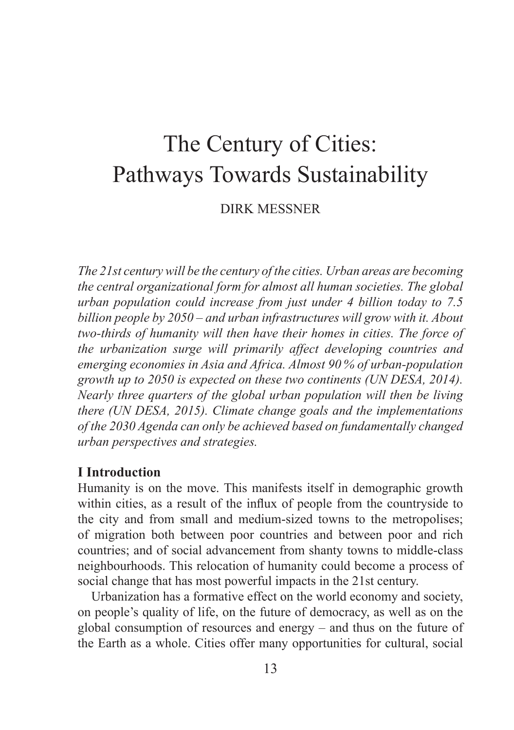### The Century of Cities: Pathways Towards Sustainability

DIRK MESSNER

*The 21st century will be the century of the cities. Urban areas are becoming the central organizational form for almost all human societies. The global urban population could increase from just under 4 billion today to 7.5 billion people by 2050 – and urban infrastructures will grow with it. About two-thirds of humanity will then have their homes in cities. The force of the urbanization surge will primarily affect developing countries and emerging economies in Asia and Africa. Almost 90  % of urban-population growth up to 2050 is expected on these two continents (UN DESA, 2014). Nearly three quarters of the global urban population will then be living there (UN DESA, 2015). Climate change goals and the implementations of the 2030 Agenda can only be achieved based on fundamentally changed urban perspectives and strategies.* 

#### **I Introduction**

Humanity is on the move. This manifests itself in demographic growth within cities, as a result of the influx of people from the countryside to the city and from small and medium-sized towns to the metropolises; of migration both between poor countries and between poor and rich countries; and of social advancement from shanty towns to middle-class neighbourhoods. This relocation of humanity could become a process of social change that has most powerful impacts in the 21st century.

Urbanization has a formative effect on the world economy and society, on people's quality of life, on the future of democracy, as well as on the global consumption of resources and energy – and thus on the future of the Earth as a whole. Cities offer many opportunities for cultural, social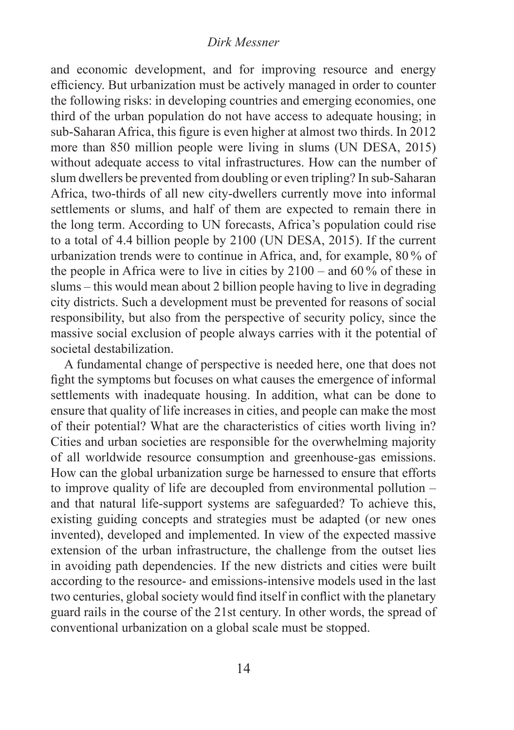#### *Dirk Messner*

and economic development, and for improving resource and energy efficiency. But urbanization must be actively managed in order to counter the following risks: in developing countries and emerging economies, one third of the urban population do not have access to adequate housing; in sub-Saharan Africa, this figure is even higher at almost two thirds. In 2012 more than 850 million people were living in slums (UN DESA, 2015) without adequate access to vital infrastructures. How can the number of slum dwellers be prevented from doubling or even tripling? In sub-Saharan Africa, two-thirds of all new city-dwellers currently move into informal settlements or slums, and half of them are expected to remain there in the long term. According to UN forecasts, Africa's population could rise to a total of 4.4 billion people by 2100 (UN DESA, 2015). If the current urbanization trends were to continue in Africa, and, for example, 80  % of the people in Africa were to live in cities by  $2100 -$  and  $60\%$  of these in slums – this would mean about 2 billion people having to live in degrading city districts. Such a development must be prevented for reasons of social responsibility, but also from the perspective of security policy, since the massive social exclusion of people always carries with it the potential of societal destabilization.

A fundamental change of perspective is needed here, one that does not fight the symptoms but focuses on what causes the emergence of informal settlements with inadequate housing. In addition, what can be done to ensure that quality of life increases in cities, and people can make the most of their potential? What are the characteristics of cities worth living in? Cities and urban societies are responsible for the overwhelming majority of all worldwide resource consumption and greenhouse-gas emissions. How can the global urbanization surge be harnessed to ensure that efforts to improve quality of life are decoupled from environmental pollution – and that natural life-support systems are safeguarded? To achieve this, existing guiding concepts and strategies must be adapted (or new ones invented), developed and implemented. In view of the expected massive extension of the urban infrastructure, the challenge from the outset lies in avoiding path dependencies. If the new districts and cities were built according to the resource- and emissions-intensive models used in the last two centuries, global society would find itself in conflict with the planetary guard rails in the course of the 21st century. In other words, the spread of conventional urbanization on a global scale must be stopped.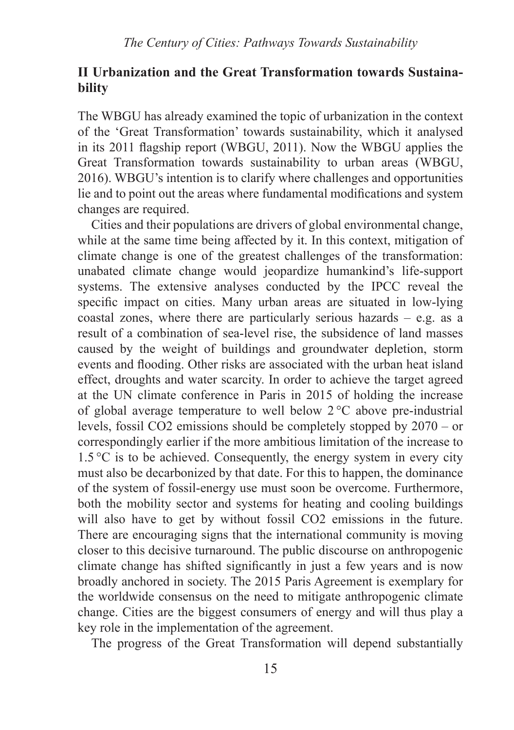#### **II Urbanization and the Great Transformation towards Sustainability**

The WBGU has already examined the topic of urbanization in the context of the 'Great Transformation' towards sustainability, which it analysed in its 2011 flagship report (WBGU, 2011). Now the WBGU applies the Great Transformation towards sustainability to urban areas (WBGU, 2016). WBGU's intention is to clarify where challenges and opportunities lie and to point out the areas where fundamental modifications and system changes are required.

Cities and their populations are drivers of global environmental change, while at the same time being affected by it. In this context, mitigation of climate change is one of the greatest challenges of the transformation: unabated climate change would jeopardize humankind's life-support systems. The extensive analyses conducted by the IPCC reveal the specific impact on cities. Many urban areas are situated in low-lying coastal zones, where there are particularly serious hazards – e.g. as a result of a combination of sea-level rise, the subsidence of land masses caused by the weight of buildings and groundwater depletion, storm events and flooding. Other risks are associated with the urban heat island effect, droughts and water scarcity. In order to achieve the target agreed at the UN climate conference in Paris in 2015 of holding the increase of global average temperature to well below  $2^{\circ}$ C above pre-industrial levels, fossil CO2 emissions should be completely stopped by 2070 – or correspondingly earlier if the more ambitious limitation of the increase to  $1.5\,^{\circ}\text{C}$  is to be achieved. Consequently, the energy system in every city must also be decarbonized by that date. For this to happen, the dominance of the system of fossil-energy use must soon be overcome. Furthermore, both the mobility sector and systems for heating and cooling buildings will also have to get by without fossil CO2 emissions in the future. There are encouraging signs that the international community is moving closer to this decisive turnaround. The public discourse on anthropogenic climate change has shifted significantly in just a few years and is now broadly anchored in society. The 2015 Paris Agreement is exemplary for the worldwide consensus on the need to mitigate anthropogenic climate change. Cities are the biggest consumers of energy and will thus play a key role in the implementation of the agreement.

The progress of the Great Transformation will depend substantially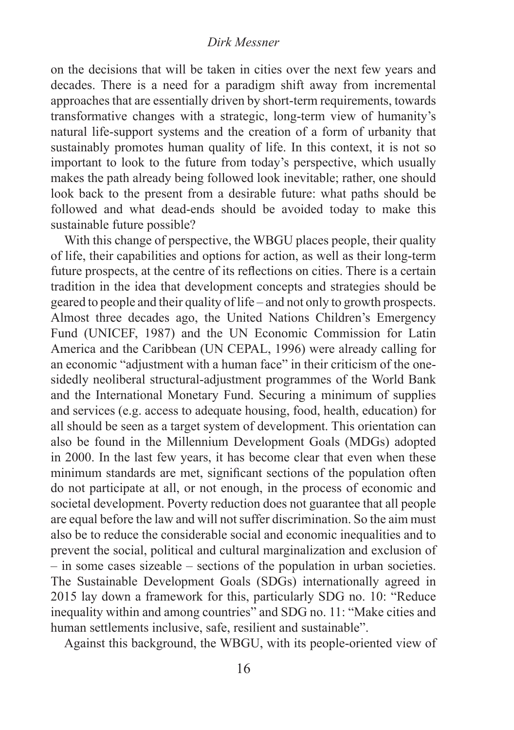#### *Dirk Messner*

on the decisions that will be taken in cities over the next few years and decades. There is a need for a paradigm shift away from incremental approaches that are essentially driven by short-term requirements, towards transformative changes with a strategic, long-term view of humanity's natural life-support systems and the creation of a form of urbanity that sustainably promotes human quality of life. In this context, it is not so important to look to the future from today's perspective, which usually makes the path already being followed look inevitable; rather, one should look back to the present from a desirable future: what paths should be followed and what dead-ends should be avoided today to make this sustainable future possible?

With this change of perspective, the WBGU places people, their quality of life, their capabilities and options for action, as well as their long-term future prospects, at the centre of its reflections on cities. There is a certain tradition in the idea that development concepts and strategies should be geared to people and their quality of life – and not only to growth prospects. Almost three decades ago, the United Nations Children's Emergency Fund (UNICEF, 1987) and the UN Economic Commission for Latin America and the Caribbean (UN CEPAL, 1996) were already calling for an economic "adjustment with a human face" in their criticism of the onesidedly neoliberal structural-adjustment programmes of the World Bank and the International Monetary Fund. Securing a minimum of supplies and services (e.g. access to adequate housing, food, health, education) for all should be seen as a target system of development. This orientation can also be found in the Millennium Development Goals (MDGs) adopted in 2000. In the last few years, it has become clear that even when these minimum standards are met, significant sections of the population often do not participate at all, or not enough, in the process of economic and societal development. Poverty reduction does not guarantee that all people are equal before the law and will not suffer discrimination. So the aim must also be to reduce the considerable social and economic inequalities and to prevent the social, political and cultural marginalization and exclusion of – in some cases sizeable – sections of the population in urban societies. The Sustainable Development Goals (SDGs) internationally agreed in 2015 lay down a framework for this, particularly SDG no. 10: "Reduce inequality within and among countries" and SDG no. 11: "Make cities and human settlements inclusive, safe, resilient and sustainable".

Against this background, the WBGU, with its people-oriented view of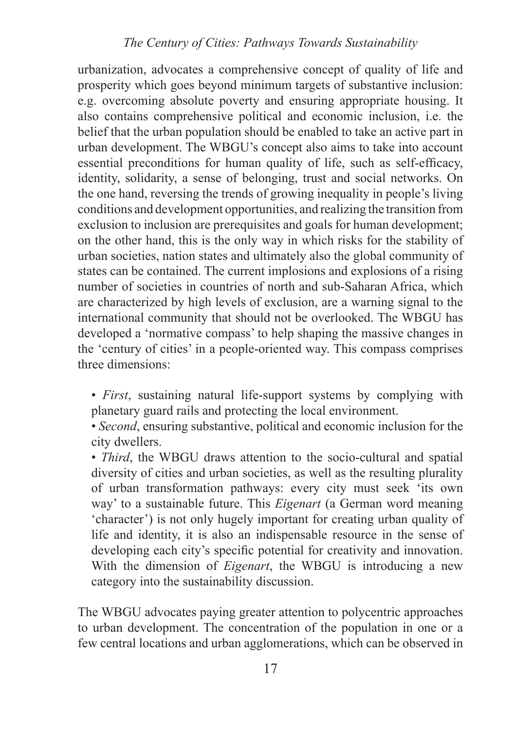#### *The Century of Cities: Pathways Towards Sustainability*

urbanization, advocates a comprehensive concept of quality of life and prosperity which goes beyond minimum targets of substantive inclusion: e.g. overcoming absolute poverty and ensuring appropriate housing. It also contains comprehensive political and economic inclusion, i.e. the belief that the urban population should be enabled to take an active part in urban development. The WBGU's concept also aims to take into account essential preconditions for human quality of life, such as self-efficacy, identity, solidarity, a sense of belonging, trust and social networks. On the one hand, reversing the trends of growing inequality in people's living conditions and development opportunities, and realizing the transition from exclusion to inclusion are prerequisites and goals for human development; on the other hand, this is the only way in which risks for the stability of urban societies, nation states and ultimately also the global community of states can be contained. The current implosions and explosions of a rising number of societies in countries of north and sub-Saharan Africa, which are characterized by high levels of exclusion, are a warning signal to the international community that should not be overlooked. The WBGU has developed a 'normative compass' to help shaping the massive changes in the 'century of cities' in a people-oriented way. This compass comprises three dimensions:

- *First*, sustaining natural life-support systems by complying with planetary guard rails and protecting the local environment.
- *Second*, ensuring substantive, political and economic inclusion for the city dwellers.

• *Third*, the WBGU draws attention to the socio-cultural and spatial diversity of cities and urban societies, as well as the resulting plurality of urban transformation pathways: every city must seek 'its own way' to a sustainable future. This *Eigenart* (a German word meaning 'character') is not only hugely important for creating urban quality of life and identity, it is also an indispensable resource in the sense of developing each city's specific potential for creativity and innovation. With the dimension of *Eigenart*, the WBGU is introducing a new category into the sustainability discussion.

The WBGU advocates paying greater attention to polycentric approaches to urban development. The concentration of the population in one or a few central locations and urban agglomerations, which can be observed in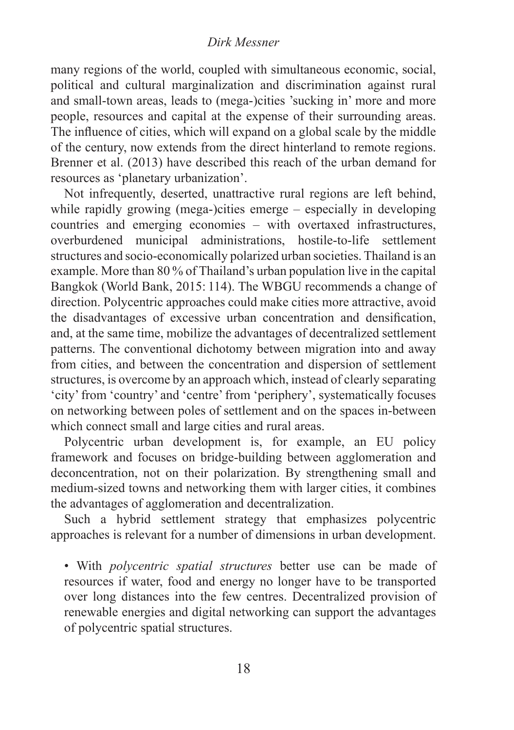#### *Dirk Messner*

many regions of the world, coupled with simultaneous economic, social, political and cultural marginalization and discrimination against rural and small-town areas, leads to (mega-)cities 'sucking in' more and more people, resources and capital at the expense of their surrounding areas. The influence of cities, which will expand on a global scale by the middle of the century, now extends from the direct hinterland to remote regions. Brenner et al. (2013) have described this reach of the urban demand for resources as 'planetary urbanization'.

Not infrequently, deserted, unattractive rural regions are left behind, while rapidly growing (mega-)cities emerge – especially in developing countries and emerging economies – with overtaxed infrastructures, overburdened municipal administrations, hostile-to-life settlement structures and socio-economically polarized urban societies. Thailand is an example. More than 80 % of Thailand's urban population live in the capital Bangkok (World Bank, 2015: 114). The WBGU recommends a change of direction. Polycentric approaches could make cities more attractive, avoid the disadvantages of excessive urban concentration and densification, and, at the same time, mobilize the advantages of decentralized settlement patterns. The conventional dichotomy between migration into and away from cities, and between the concentration and dispersion of settlement structures, is overcome by an approach which, instead of clearly separating 'city' from 'country' and 'centre' from 'periphery', systematically focuses on networking between poles of settlement and on the spaces in-between which connect small and large cities and rural areas.

Polycentric urban development is, for example, an EU policy framework and focuses on bridge-building between agglomeration and deconcentration, not on their polarization. By strengthening small and medium-sized towns and networking them with larger cities, it combines the advantages of agglomeration and decentralization.

Such a hybrid settlement strategy that emphasizes polycentric approaches is relevant for a number of dimensions in urban development.

• With *polycentric spatial structures* better use can be made of resources if water, food and energy no longer have to be transported over long distances into the few centres. Decentralized provision of renewable energies and digital networking can support the advantages of polycentric spatial structures.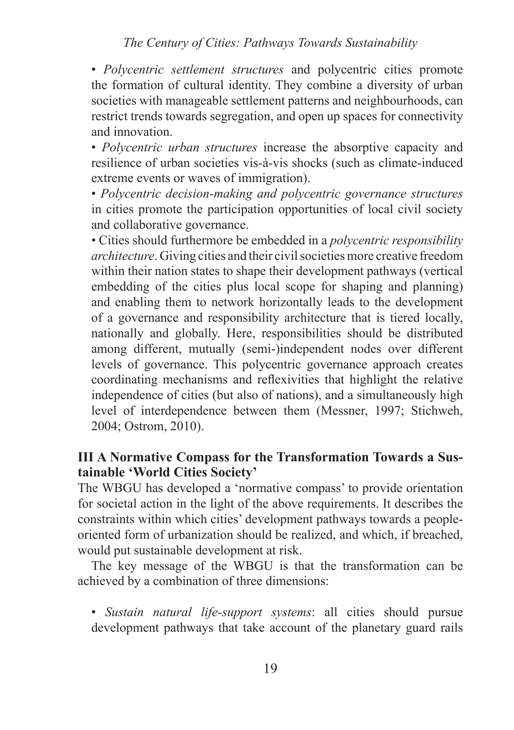#### *The Century of Cities: Pathways Towards Sustainability*

• *Polycentric settlement structures* and polycentric cities promote the formation of cultural identity. They combine a diversity of urban societies with manageable settlement patterns and neighbourhoods, can restrict trends towards segregation, and open up spaces for connectivity and innovation.

• *Polycentric urban structures* increase the absorptive capacity and resilience of urban societies vis-à-vis shocks (such as climate-induced extreme events or waves of immigration).

• *Polycentric decision-making and polycentric governance structures* in cities promote the participation opportunities of local civil society and collaborative governance.

• Cities should furthermore be embedded in a *polycentric responsibility architecture*. Giving cities and their civil societies more creative freedom within their nation states to shape their development pathways (vertical embedding of the cities plus local scope for shaping and planning) and enabling them to network horizontally leads to the development of a governance and responsibility architecture that is tiered locally, nationally and globally. Here, responsibilities should be distributed among different, mutually (semi-)independent nodes over different levels of governance. This polycentric governance approach creates coordinating mechanisms and reflexivities that highlight the relative independence of cities (but also of nations), and a simultaneously high level of interdependence between them (Messner, 1997; Stichweh, 2004; Ostrom, 2010).

#### **III A Normative Compass for the Transformation Towards a Sustainable 'World Cities Society'**

The WBGU has developed a 'normative compass' to provide orientation for societal action in the light of the above requirements. It describes the constraints within which cities' development pathways towards a peopleoriented form of urbanization should be realized, and which, if breached, would put sustainable development at risk.

The key message of the WBGU is that the transformation can be achieved by a combination of three dimensions:

• *Sustain natural life-support systems*: all cities should pursue development pathways that take account of the planetary guard rails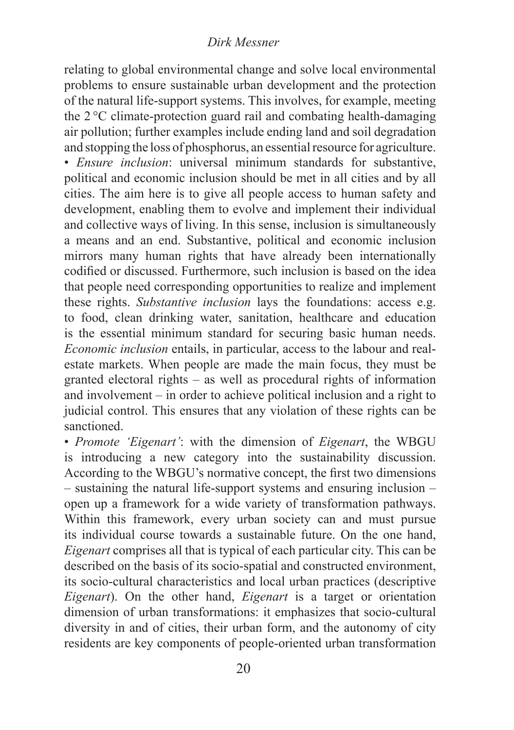#### *Dirk Messner*

relating to global environmental change and solve local environmental problems to ensure sustainable urban development and the protection of the natural life-support systems. This involves, for example, meeting the 2  °C climate-protection guard rail and combating health-damaging air pollution; further examples include ending land and soil degradation and stopping the loss of phosphorus, an essential resource for agriculture. • *Ensure inclusion*: universal minimum standards for substantive, political and economic inclusion should be met in all cities and by all cities. The aim here is to give all people access to human safety and development, enabling them to evolve and implement their individual and collective ways of living. In this sense, inclusion is simultaneously a means and an end. Substantive, political and economic inclusion mirrors many human rights that have already been internationally codified or discussed. Furthermore, such inclusion is based on the idea that people need corresponding opportunities to realize and implement these rights. *Substantive inclusion* lays the foundations: access e.g. to food, clean drinking water, sanitation, healthcare and education is the essential minimum standard for securing basic human needs. *Economic inclusion* entails, in particular, access to the labour and realestate markets. When people are made the main focus, they must be granted electoral rights – as well as procedural rights of information and involvement – in order to achieve political inclusion and a right to judicial control. This ensures that any violation of these rights can be sanctioned.

• *Promote 'Eigenart'*: with the dimension of *Eigenart*, the WBGU is introducing a new category into the sustainability discussion. According to the WBGU's normative concept, the first two dimensions – sustaining the natural life-support systems and ensuring inclusion – open up a framework for a wide variety of transformation pathways. Within this framework, every urban society can and must pursue its individual course towards a sustainable future. On the one hand, *Eigenart* comprises all that is typical of each particular city. This can be described on the basis of its socio-spatial and constructed environment, its socio-cultural characteristics and local urban practices (descriptive *Eigenart*). On the other hand, *Eigenart* is a target or orientation dimension of urban transformations: it emphasizes that socio-cultural diversity in and of cities, their urban form, and the autonomy of city residents are key components of people-oriented urban transformation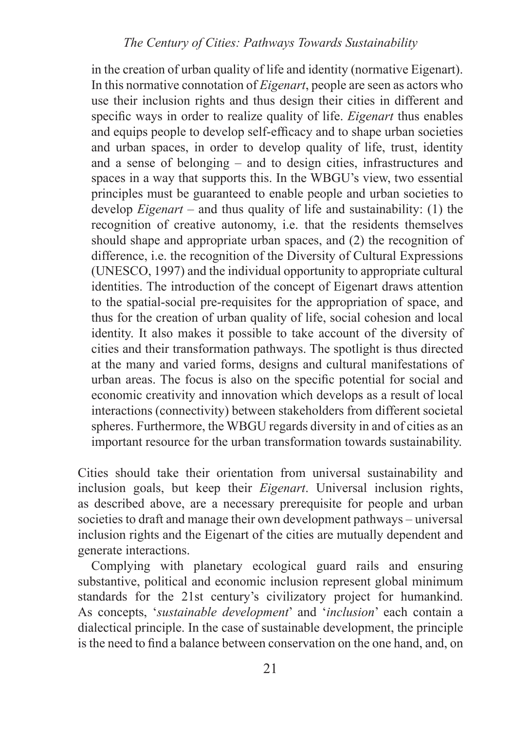in the creation of urban quality of life and identity (normative Eigenart). In this normative connotation of *Eigenart*, people are seen as actors who use their inclusion rights and thus design their cities in different and specific ways in order to realize quality of life. *Eigenart* thus enables and equips people to develop self-efficacy and to shape urban societies and urban spaces, in order to develop quality of life, trust, identity and a sense of belonging – and to design cities, infrastructures and spaces in a way that supports this. In the WBGU's view, two essential principles must be guaranteed to enable people and urban societies to develop *Eigenart* – and thus quality of life and sustainability: (1) the recognition of creative autonomy, i.e. that the residents themselves should shape and appropriate urban spaces, and (2) the recognition of difference, i.e. the recognition of the Diversity of Cultural Expressions (UNESCO, 1997) and the individual opportunity to appropriate cultural identities. The introduction of the concept of Eigenart draws attention to the spatial-social pre-requisites for the appropriation of space, and thus for the creation of urban quality of life, social cohesion and local identity. It also makes it possible to take account of the diversity of cities and their transformation pathways. The spotlight is thus directed at the many and varied forms, designs and cultural manifestations of urban areas. The focus is also on the specific potential for social and economic creativity and innovation which develops as a result of local interactions (connectivity) between stakeholders from different societal spheres. Furthermore, the WBGU regards diversity in and of cities as an important resource for the urban transformation towards sustainability.

Cities should take their orientation from universal sustainability and inclusion goals, but keep their *Eigenart*. Universal inclusion rights, as described above, are a necessary prerequisite for people and urban societies to draft and manage their own development pathways – universal inclusion rights and the Eigenart of the cities are mutually dependent and generate interactions.

Complying with planetary ecological guard rails and ensuring substantive, political and economic inclusion represent global minimum standards for the 21st century's civilizatory project for humankind. As concepts, '*sustainable development*' and '*inclusion*' each contain a dialectical principle. In the case of sustainable development, the principle is the need to find a balance between conservation on the one hand, and, on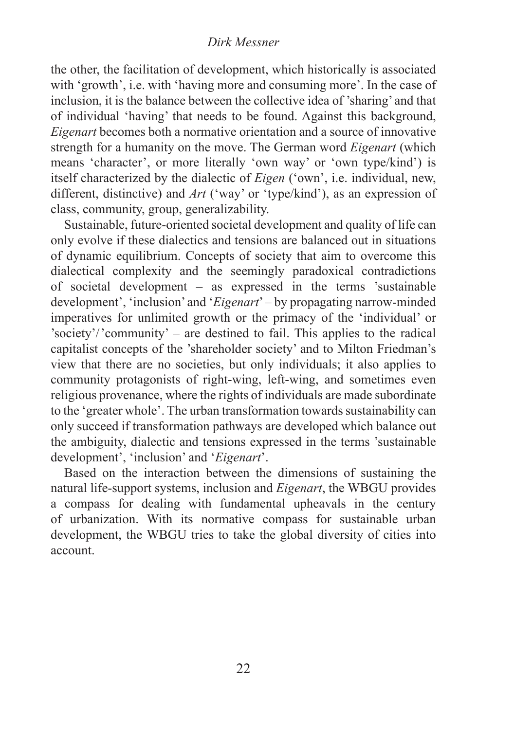#### *Dirk Messner*

the other, the facilitation of development, which historically is associated with 'growth', i.e. with 'having more and consuming more'. In the case of inclusion, it is the balance between the collective idea of 'sharing' and that of individual 'having' that needs to be found. Against this background, *Eigenart* becomes both a normative orientation and a source of innovative strength for a humanity on the move. The German word *Eigenart* (which means 'character', or more literally 'own way' or 'own type/kind') is itself characterized by the dialectic of *Eigen* ('own', i.e. individual, new, different, distinctive) and *Art* ('way' or 'type/kind'), as an expression of class, community, group, generalizability.

Sustainable, future-oriented societal development and quality of life can only evolve if these dialectics and tensions are balanced out in situations of dynamic equilibrium. Concepts of society that aim to overcome this dialectical complexity and the seemingly paradoxical contradictions of societal development – as expressed in the terms 'sustainable development', 'inclusion' and '*Eigenart*' – by propagating narrow-minded imperatives for unlimited growth or the primacy of the 'individual' or 'society'/'community' – are destined to fail. This applies to the radical capitalist concepts of the 'shareholder society' and to Milton Friedman's view that there are no societies, but only individuals; it also applies to community protagonists of right-wing, left-wing, and sometimes even religious provenance, where the rights of individuals are made subordinate to the 'greater whole'. The urban transformation towards sustainability can only succeed if transformation pathways are developed which balance out the ambiguity, dialectic and tensions expressed in the terms 'sustainable development', 'inclusion' and '*Eigenart*'.

Based on the interaction between the dimensions of sustaining the natural life-support systems, inclusion and *Eigenart*, the WBGU provides a compass for dealing with fundamental upheavals in the century of urbanization. With its normative compass for sustainable urban development, the WBGU tries to take the global diversity of cities into account.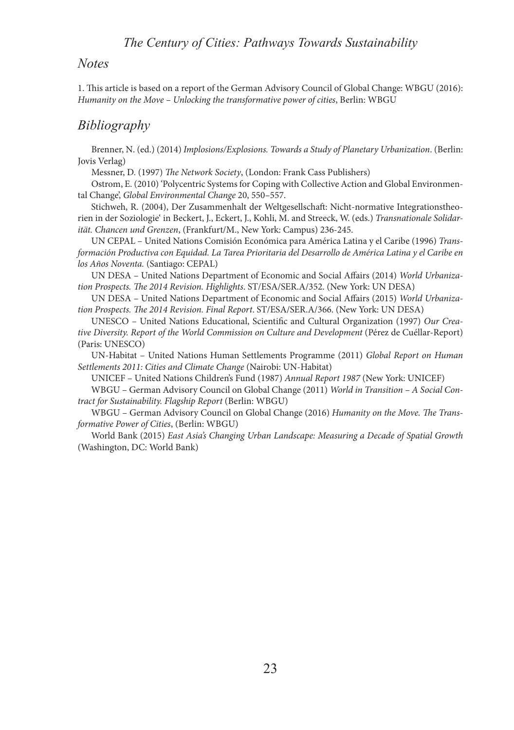#### *Notes*

1. This article is based on a report of the German Advisory Council of Global Change: WBGU (2016): *Humanity on the Move – Unlocking the transformative power of cities*, Berlin: WBGU

#### *Bibliography*

Brenner, N. (ed.) (2014) *Implosions/Explosions. Towards a Study of Planetary Urbanization*. (Berlin: Jovis Verlag)

Messner, D. (1997) *The Network Society*, (London: Frank Cass Publishers)

Ostrom, E. (2010) 'Polycentric Systems for Coping with Collective Action and Global Environmental Change', *Global Environmental Change* 20, 550–557.

Stichweh, R. (2004), Der Zusammenhalt der Weltgesellschaft: Nicht-normative Integrationstheorien in der Soziologie' in Beckert, J., Eckert, J., Kohli, M. and Streeck, W. (eds.) *Transnationale Solidarität. Chancen und Grenzen*, (Frankfurt/M., New York: Campus) 236-245.

UN CEPAL – United Nations Comisión Económica para América Latina y el Caribe (1996) *Transformación Productiva con Equidad. La Tarea Prioritaria del Desarrollo de América Latina y el Caribe en los Años Noventa.* (Santiago: CEPAL)

UN DESA – United Nations Department of Economic and Social Affairs (2014) *World Urbanization Prospects. The 2014 Revision. Highlights*. ST/ESA/SER.A/352. (New York: UN DESA)

UN DESA – United Nations Department of Economic and Social Affairs (2015) *World Urbanization Prospects. The 2014 Revision. Final Report*. ST/ESA/SER.A/366. (New York: UN DESA)

UNESCO – United Nations Educational, Scientific and Cultural Organization (1997) *Our Creative Diversity. Report of the World Commission on Culture and Development* (Pérez de Cuéllar-Report) (Paris: UNESCO)

UN-Habitat – United Nations Human Settlements Programme (2011) *Global Report on Human Settlements 2011: Cities and Climate Change* (Nairobi: UN-Habitat)

UNICEF – United Nations Children's Fund (1987) *Annual Report 1987* (New York: UNICEF)

WBGU – German Advisory Council on Global Change (2011) *World in Transition – A Social Contract for Sustainability. Flagship Report* (Berlin: WBGU)

WBGU – German Advisory Council on Global Change (2016) *Humanity on the Move. The Transformative Power of Cities*, (Berlin: WBGU)

World Bank (2015) *East Asia's Changing Urban Landscape: Measuring a Decade of Spatial Growth*  (Washington, DC: World Bank)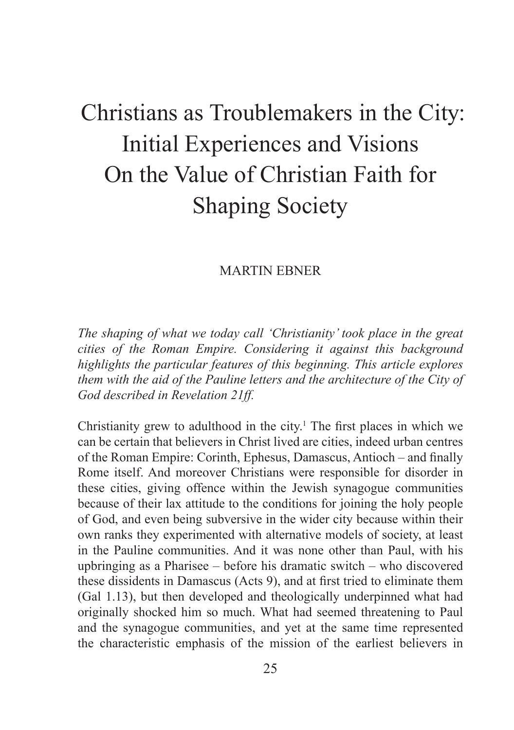### Christians as Troublemakers in the City: Initial Experiences and Visions On the Value of Christian Faith for Shaping Society

#### MARTIN EBNER

*The shaping of what we today call 'Christianity' took place in the great cities of the Roman Empire. Considering it against this background highlights the particular features of this beginning. This article explores them with the aid of the Pauline letters and the architecture of the City of God described in Revelation 21ff.*

Christianity grew to adulthood in the city.<sup>1</sup> The first places in which we can be certain that believers in Christ lived are cities, indeed urban centres of the Roman Empire: Corinth, Ephesus, Damascus, Antioch – and finally Rome itself. And moreover Christians were responsible for disorder in these cities, giving offence within the Jewish synagogue communities because of their lax attitude to the conditions for joining the holy people of God, and even being subversive in the wider city because within their own ranks they experimented with alternative models of society, at least in the Pauline communities. And it was none other than Paul, with his upbringing as a Pharisee – before his dramatic switch – who discovered these dissidents in Damascus (Acts 9), and at first tried to eliminate them (Gal 1.13), but then developed and theologically underpinned what had originally shocked him so much. What had seemed threatening to Paul and the synagogue communities, and yet at the same time represented the characteristic emphasis of the mission of the earliest believers in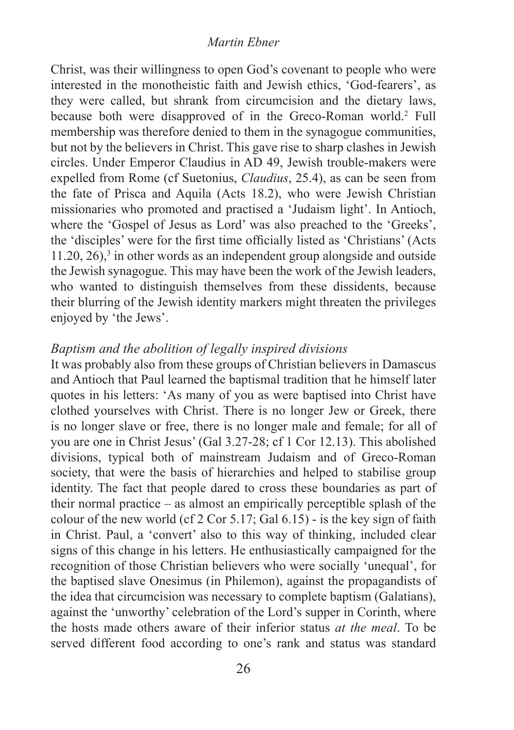#### *Martin Ebner*

Christ, was their willingness to open God's covenant to people who were interested in the monotheistic faith and Jewish ethics, 'God-fearers', as they were called, but shrank from circumcision and the dietary laws, because both were disapproved of in the Greco-Roman world.2 Full membership was therefore denied to them in the synagogue communities, but not by the believers in Christ. This gave rise to sharp clashes in Jewish circles. Under Emperor Claudius in AD 49, Jewish trouble-makers were expelled from Rome (cf Suetonius, *Claudius*, 25.4), as can be seen from the fate of Prisca and Aquila (Acts 18.2), who were Jewish Christian missionaries who promoted and practised a 'Judaism light'. In Antioch, where the 'Gospel of Jesus as Lord' was also preached to the 'Greeks', the 'disciples' were for the first time officially listed as 'Christians' (Acts  $11.20$ ,  $26$ ),<sup>3</sup> in other words as an independent group alongside and outside the Jewish synagogue. This may have been the work of the Jewish leaders, who wanted to distinguish themselves from these dissidents, because their blurring of the Jewish identity markers might threaten the privileges enjoyed by 'the Jews'.

#### *Baptism and the abolition of legally inspired divisions*

It was probably also from these groups of Christian believers in Damascus and Antioch that Paul learned the baptismal tradition that he himself later quotes in his letters: 'As many of you as were baptised into Christ have clothed yourselves with Christ. There is no longer Jew or Greek, there is no longer slave or free, there is no longer male and female; for all of you are one in Christ Jesus' (Gal 3.27-28; cf 1 Cor 12.13). This abolished divisions, typical both of mainstream Judaism and of Greco-Roman society, that were the basis of hierarchies and helped to stabilise group identity. The fact that people dared to cross these boundaries as part of their normal practice – as almost an empirically perceptible splash of the colour of the new world (cf 2 Cor 5.17; Gal  $6.15$ ) - is the key sign of faith in Christ. Paul, a 'convert' also to this way of thinking, included clear signs of this change in his letters. He enthusiastically campaigned for the recognition of those Christian believers who were socially 'unequal', for the baptised slave Onesimus (in Philemon), against the propagandists of the idea that circumcision was necessary to complete baptism (Galatians), against the 'unworthy' celebration of the Lord's supper in Corinth, where the hosts made others aware of their inferior status *at the meal*. To be served different food according to one's rank and status was standard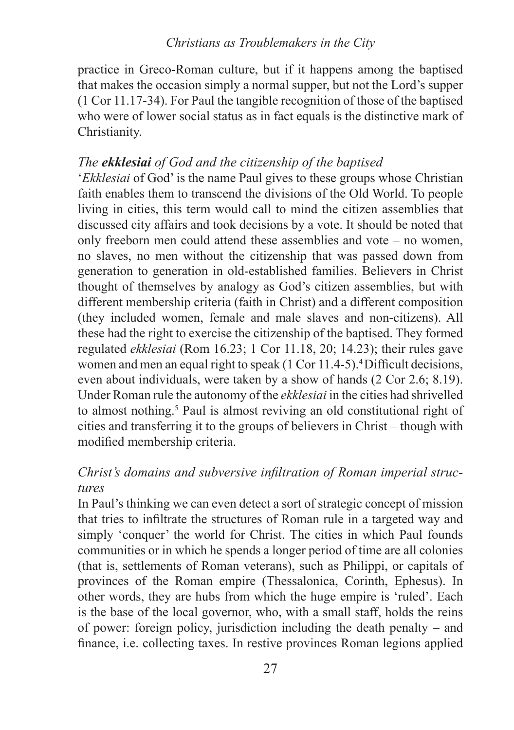practice in Greco-Roman culture, but if it happens among the baptised that makes the occasion simply a normal supper, but not the Lord's supper (1 Cor 11.17-34). For Paul the tangible recognition of those of the baptised who were of lower social status as in fact equals is the distinctive mark of Christianity.

#### *The ekklesiai of God and the citizenship of the baptised*

'*Ekklesiai* of God' is the name Paul gives to these groups whose Christian faith enables them to transcend the divisions of the Old World. To people living in cities, this term would call to mind the citizen assemblies that discussed city affairs and took decisions by a vote. It should be noted that only freeborn men could attend these assemblies and vote – no women, no slaves, no men without the citizenship that was passed down from generation to generation in old-established families. Believers in Christ thought of themselves by analogy as God's citizen assemblies, but with different membership criteria (faith in Christ) and a different composition (they included women, female and male slaves and non-citizens). All these had the right to exercise the citizenship of the baptised. They formed regulated *ekklesiai* (Rom 16.23; 1 Cor 11.18, 20; 14.23); their rules gave women and men an equal right to speak (1 Cor 11.4-5).<sup>4</sup> Difficult decisions, even about individuals, were taken by a show of hands (2 Cor 2.6; 8.19). Under Roman rule the autonomy of the *ekklesiai* in the cities had shrivelled to almost nothing.<sup>5</sup> Paul is almost reviving an old constitutional right of cities and transferring it to the groups of believers in Christ – though with modified membership criteria.

#### *Christ's domains and subversive infiltration of Roman imperial structures*

In Paul's thinking we can even detect a sort of strategic concept of mission that tries to infiltrate the structures of Roman rule in a targeted way and simply 'conquer' the world for Christ. The cities in which Paul founds communities or in which he spends a longer period of time are all colonies (that is, settlements of Roman veterans), such as Philippi, or capitals of provinces of the Roman empire (Thessalonica, Corinth, Ephesus). In other words, they are hubs from which the huge empire is 'ruled'. Each is the base of the local governor, who, with a small staff, holds the reins of power: foreign policy, jurisdiction including the death penalty – and finance, i.e. collecting taxes. In restive provinces Roman legions applied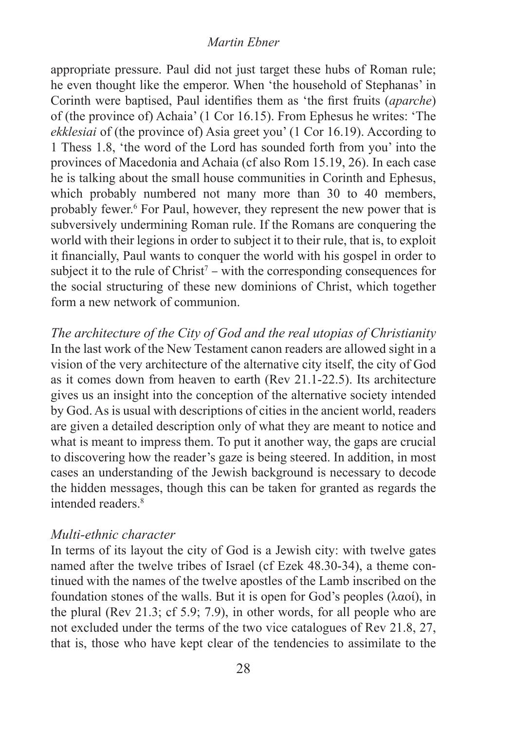#### *Martin Ebner*

appropriate pressure. Paul did not just target these hubs of Roman rule; he even thought like the emperor. When 'the household of Stephanas' in Corinth were baptised, Paul identifies them as 'the first fruits (*aparche*) of (the province of) Achaia' (1 Cor 16.15). From Ephesus he writes: 'The *ekklesiai* of (the province of) Asia greet you' (1 Cor 16.19). According to 1 Thess 1.8, 'the word of the Lord has sounded forth from you' into the provinces of Macedonia and Achaia (cf also Rom 15.19, 26). In each case he is talking about the small house communities in Corinth and Ephesus, which probably numbered not many more than 30 to 40 members, probably fewer.<sup>6</sup> For Paul, however, they represent the new power that is subversively undermining Roman rule. If the Romans are conquering the world with their legions in order to subject it to their rule, that is, to exploit it financially, Paul wants to conquer the world with his gospel in order to subject it to the rule of  $Christ<sup>7</sup> - with the corresponding consequences for$ the social structuring of these new dominions of Christ, which together form a new network of communion.

*The architecture of the City of God and the real utopias of Christianity*  In the last work of the New Testament canon readers are allowed sight in a vision of the very architecture of the alternative city itself, the city of God as it comes down from heaven to earth (Rev 21.1-22.5). Its architecture gives us an insight into the conception of the alternative society intended by God. As is usual with descriptions of cities in the ancient world, readers are given a detailed description only of what they are meant to notice and what is meant to impress them. To put it another way, the gaps are crucial to discovering how the reader's gaze is being steered. In addition, in most cases an understanding of the Jewish background is necessary to decode the hidden messages, though this can be taken for granted as regards the intended readers<sup>8</sup>

#### *Multi-ethnic character*

In terms of its layout the city of God is a Jewish city: with twelve gates named after the twelve tribes of Israel (cf Ezek 48.30-34), a theme continued with the names of the twelve apostles of the Lamb inscribed on the foundation stones of the walls. But it is open for God's peoples (λαοί), in the plural (Rev 21.3; cf 5.9; 7.9), in other words, for all people who are not excluded under the terms of the two vice catalogues of Rev 21.8, 27, that is, those who have kept clear of the tendencies to assimilate to the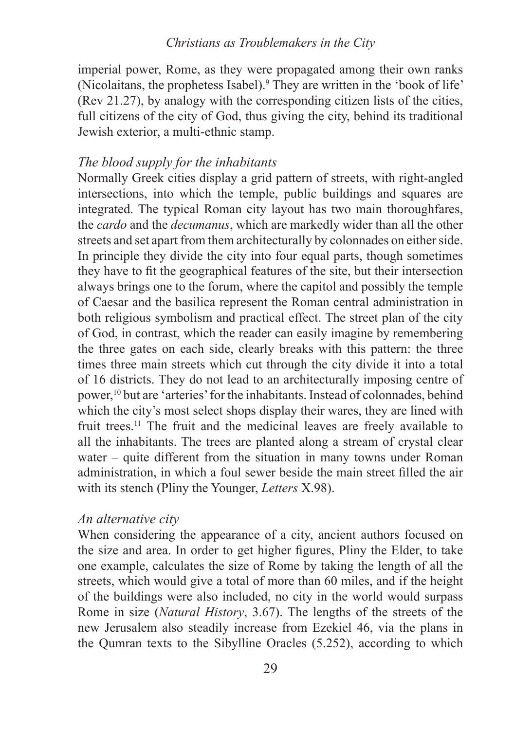imperial power, Rome, as they were propagated among their own ranks (Nicolaitans, the prophetess Isabel).9 They are written in the 'book of life' (Rev 21.27), by analogy with the corresponding citizen lists of the cities, full citizens of the city of God, thus giving the city, behind its traditional Jewish exterior, a multi-ethnic stamp.

#### *The blood supply for the inhabitants*

Normally Greek cities display a grid pattern of streets, with right-angled intersections, into which the temple, public buildings and squares are integrated. The typical Roman city layout has two main thoroughfares, the *cardo* and the *decumanus*, which are markedly wider than all the other streets and set apart from them architecturally by colonnades on either side. In principle they divide the city into four equal parts, though sometimes they have to fit the geographical features of the site, but their intersection always brings one to the forum, where the capitol and possibly the temple of Caesar and the basilica represent the Roman central administration in both religious symbolism and practical effect. The street plan of the city of God, in contrast, which the reader can easily imagine by remembering the three gates on each side, clearly breaks with this pattern: the three times three main streets which cut through the city divide it into a total of 16 districts. They do not lead to an architecturally imposing centre of power,10 but are 'arteries' for the inhabitants. Instead of colonnades, behind which the city's most select shops display their wares, they are lined with fruit trees.11 The fruit and the medicinal leaves are freely available to all the inhabitants. The trees are planted along a stream of crystal clear water – quite different from the situation in many towns under Roman administration, in which a foul sewer beside the main street filled the air with its stench (Pliny the Younger, *Letters* X.98).

#### *An alternative city*

When considering the appearance of a city, ancient authors focused on the size and area. In order to get higher figures, Pliny the Elder, to take one example, calculates the size of Rome by taking the length of all the streets, which would give a total of more than 60 miles, and if the height of the buildings were also included, no city in the world would surpass Rome in size (*Natural History*, 3.67). The lengths of the streets of the new Jerusalem also steadily increase from Ezekiel 46, via the plans in the Qumran texts to the Sibylline Oracles (5.252), according to which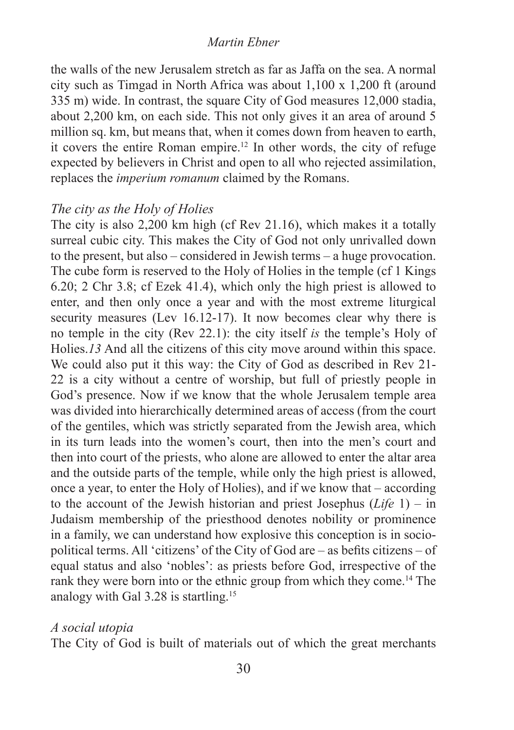#### *Martin Ebner*

the walls of the new Jerusalem stretch as far as Jaffa on the sea. A normal city such as Timgad in North Africa was about 1,100 x 1,200 ft (around 335 m) wide. In contrast, the square City of God measures 12,000 stadia, about 2,200 km, on each side. This not only gives it an area of around 5 million sq. km, but means that, when it comes down from heaven to earth, it covers the entire Roman empire.12 In other words, the city of refuge expected by believers in Christ and open to all who rejected assimilation, replaces the *imperium romanum* claimed by the Romans.

#### *The city as the Holy of Holies*

The city is also 2,200 km high (cf Rev 21.16), which makes it a totally surreal cubic city. This makes the City of God not only unrivalled down to the present, but also – considered in Jewish terms – a huge provocation. The cube form is reserved to the Holy of Holies in the temple (cf 1 Kings 6.20; 2 Chr 3.8; cf Ezek 41.4), which only the high priest is allowed to enter, and then only once a year and with the most extreme liturgical security measures (Lev 16.12-17). It now becomes clear why there is no temple in the city (Rev 22.1): the city itself *is* the temple's Holy of Holies.*13* And all the citizens of this city move around within this space. We could also put it this way: the City of God as described in Rev 21- 22 is a city without a centre of worship, but full of priestly people in God's presence. Now if we know that the whole Jerusalem temple area was divided into hierarchically determined areas of access (from the court of the gentiles, which was strictly separated from the Jewish area, which in its turn leads into the women's court, then into the men's court and then into court of the priests, who alone are allowed to enter the altar area and the outside parts of the temple, while only the high priest is allowed, once a year, to enter the Holy of Holies), and if we know that – according to the account of the Jewish historian and priest Josephus (*Life* 1) – in Judaism membership of the priesthood denotes nobility or prominence in a family, we can understand how explosive this conception is in sociopolitical terms. All 'citizens' of the City of God are – as befits citizens – of equal status and also 'nobles': as priests before God, irrespective of the rank they were born into or the ethnic group from which they come.<sup>14</sup> The analogy with Gal 3.28 is startling.15

#### *A social utopia*

The City of God is built of materials out of which the great merchants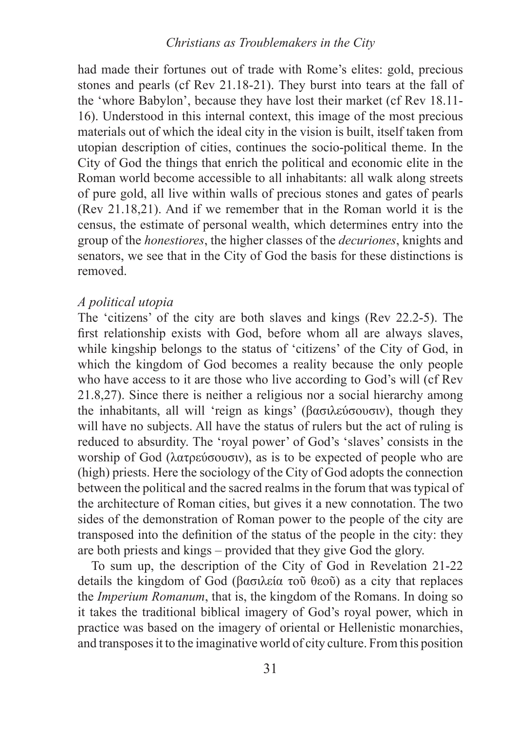#### *Christians as Troublemakers in the City*

had made their fortunes out of trade with Rome's elites: gold, precious stones and pearls (cf Rev 21.18-21). They burst into tears at the fall of the 'whore Babylon', because they have lost their market (cf Rev 18.11- 16). Understood in this internal context, this image of the most precious materials out of which the ideal city in the vision is built, itself taken from utopian description of cities, continues the socio-political theme. In the City of God the things that enrich the political and economic elite in the Roman world become accessible to all inhabitants: all walk along streets of pure gold, all live within walls of precious stones and gates of pearls (Rev 21.18,21). And if we remember that in the Roman world it is the census, the estimate of personal wealth, which determines entry into the group of the *honestiores*, the higher classes of the *decuriones*, knights and senators, we see that in the City of God the basis for these distinctions is removed.

#### *A political utopia*

The 'citizens' of the city are both slaves and kings (Rev 22.2-5). The first relationship exists with God, before whom all are always slaves, while kingship belongs to the status of 'citizens' of the City of God, in which the kingdom of God becomes a reality because the only people who have access to it are those who live according to God's will (cf Rev 21.8,27). Since there is neither a religious nor a social hierarchy among the inhabitants, all will 'reign as kings' (βασιλεύσουσιν), though they will have no subjects. All have the status of rulers but the act of ruling is reduced to absurdity. The 'royal power' of God's 'slaves' consists in the worship of God (λατρεύσουσιν), as is to be expected of people who are (high) priests. Here the sociology of the City of God adopts the connection between the political and the sacred realms in the forum that was typical of the architecture of Roman cities, but gives it a new connotation. The two sides of the demonstration of Roman power to the people of the city are transposed into the definition of the status of the people in the city: they are both priests and kings – provided that they give God the glory.

To sum up, the description of the City of God in Revelation 21-22 details the kingdom of God (βασιλεία τοῦ θεοῦ) as a city that replaces the *Imperium Romanum*, that is, the kingdom of the Romans. In doing so it takes the traditional biblical imagery of God's royal power, which in practice was based on the imagery of oriental or Hellenistic monarchies, and transposes it to the imaginative world of city culture. From this position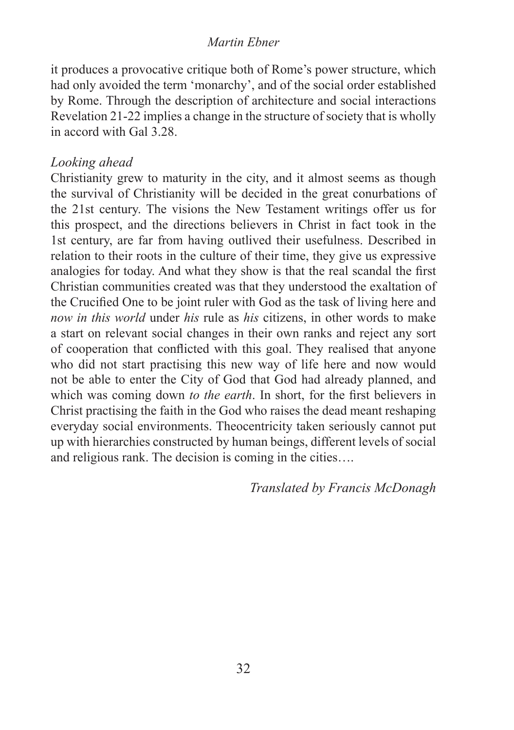#### *Martin Ebner*

it produces a provocative critique both of Rome's power structure, which had only avoided the term 'monarchy', and of the social order established by Rome. Through the description of architecture and social interactions Revelation 21-22 implies a change in the structure of society that is wholly in accord with Gal 3.28.

#### *Looking ahead*

Christianity grew to maturity in the city, and it almost seems as though the survival of Christianity will be decided in the great conurbations of the 21st century. The visions the New Testament writings offer us for this prospect, and the directions believers in Christ in fact took in the 1st century, are far from having outlived their usefulness. Described in relation to their roots in the culture of their time, they give us expressive analogies for today. And what they show is that the real scandal the first Christian communities created was that they understood the exaltation of the Crucified One to be joint ruler with God as the task of living here and *now in this world* under *his* rule as *his* citizens, in other words to make a start on relevant social changes in their own ranks and reject any sort of cooperation that conflicted with this goal. They realised that anyone who did not start practising this new way of life here and now would not be able to enter the City of God that God had already planned, and which was coming down *to the earth*. In short, for the first believers in Christ practising the faith in the God who raises the dead meant reshaping everyday social environments. Theocentricity taken seriously cannot put up with hierarchies constructed by human beings, different levels of social and religious rank. The decision is coming in the cities….

*Translated by Francis McDonagh*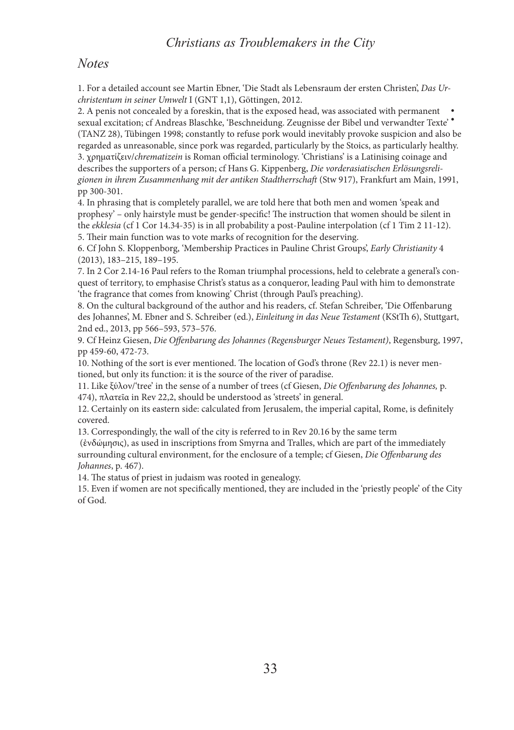#### *Christians as Troublemakers in the City*

#### *Notes*

1. For a detailed account see Martin Ebner, 'Die Stadt als Lebensraum der ersten Christen', *Das Urchristentum in seiner Umwelt* I (GNT 1,1), Göttingen, 2012.

2. A penis not concealed by a foreskin, that is the exposed head, was associated with permanent 2. A penis not concealed by a foreskin, that is the exposed head, was associated with permanent <br>sexual excitation; cf Andreas Blaschke, 'Beschneidung. Zeugnisse der Bibel und verwandter Texte' (TANZ 28), Tübingen 1998; constantly to refuse pork would inevitably provoke suspicion and also be regarded as unreasonable, since pork was regarded, particularly by the Stoics, as particularly healthy.

3. χρηματίζειν/*chrematizein* is Roman official terminology. 'Christians' is a Latinising coinage and describes the supporters of a person; cf Hans G. Kippenberg, *Die vorderasiatischen Erlösungsreligionen in ihrem Zusammenhang mit der antiken Stadtherrschaft* (Stw 917), Frankfurt am Main, 1991, pp 300-301.

4. In phrasing that is completely parallel, we are told here that both men and women 'speak and prophesy' – only hairstyle must be gender-specific! The instruction that women should be silent in the *ekklesia* (cf 1 Cor 14.34-35) is in all probability a post-Pauline interpolation (cf 1 Tim 2 11-12). 5. Their main function was to vote marks of recognition for the deserving.

6. Cf John S. Kloppenborg, 'Membership Practices in Pauline Christ Groups', *Early Christianity* 4 (2013), 183–215, 189–195.

7. In 2 Cor 2.14-16 Paul refers to the Roman triumphal processions, held to celebrate a general's conquest of territory, to emphasise Christ's status as a conqueror, leading Paul with him to demonstrate 'the fragrance that comes from knowing' Christ (through Paul's preaching).

8. On the cultural background of the author and his readers, cf. Stefan Schreiber, 'Die Offenbarung des Johannes', M. Ebner and S. Schreiber (ed.), *Einleitung in das Neue Testament* (KStTh 6), Stuttgart, 2nd ed., 2013, pp 566–593, 573–576.

9. Cf Heinz Giesen, *Die Offenbarung des Johannes (Regensburger Neues Testament)*, Regensburg, 1997, pp 459-60, 472-73.

10. Nothing of the sort is ever mentioned. The location of God's throne (Rev 22.1) is never mentioned, but only its function: it is the source of the river of paradise.

11. Like ξύλον/'tree' in the sense of a number of trees (cf Giesen, *Die Offenbarung des Johannes,* p. 474), πλατεῖα in Rev 22,2, should be understood as 'streets' in general.

12. Certainly on its eastern side: calculated from Jerusalem, the imperial capital, Rome, is definitely covered.

13. Correspondingly, the wall of the city is referred to in Rev 20.16 by the same term

 (ἐνδώμησις), as used in inscriptions from Smyrna and Tralles, which are part of the immediately surrounding cultural environment, for the enclosure of a temple; cf Giesen, *Die Offenbarung des Johannes*, p. 467).

14. The status of priest in judaism was rooted in genealogy.

15. Even if women are not specifically mentioned, they are included in the 'priestly people' of the City of God.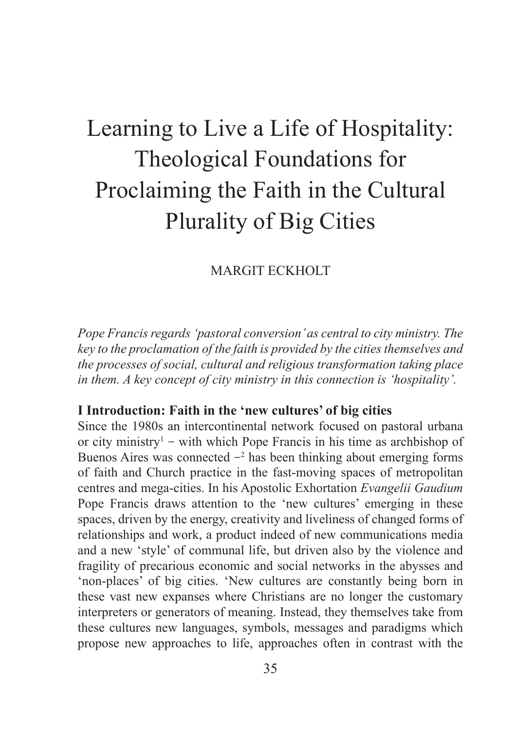### Learning to Live a Life of Hospitality: Theological Foundations for Proclaiming the Faith in the Cultural Plurality of Big Cities

#### MARGIT ECKHOLT

*Pope Francis regards 'pastoral conversion' as central to city ministry. The key to the proclamation of the faith is provided by the cities themselves and the processes of social, cultural and religious transformation taking place in them. A key concept of city ministry in this connection is 'hospitality'.*

#### **I Introduction: Faith in the 'new cultures' of big cities**

Since the 1980s an intercontinental network focused on pastoral urbana or city ministry<sup>1</sup> – with which Pope Francis in his time as archbishop of Buenos Aires was connected  $-2$  has been thinking about emerging forms of faith and Church practice in the fast-moving spaces of metropolitan centres and mega-cities. In his Apostolic Exhortation *Evangelii Gaudium* Pope Francis draws attention to the 'new cultures' emerging in these spaces, driven by the energy, creativity and liveliness of changed forms of relationships and work, a product indeed of new communications media and a new 'style' of communal life, but driven also by the violence and fragility of precarious economic and social networks in the abysses and 'non-places' of big cities. 'New cultures are constantly being born in these vast new expanses where Christians are no longer the customary interpreters or generators of meaning. Instead, they themselves take from these cultures new languages, symbols, messages and paradigms which propose new approaches to life, approaches often in contrast with the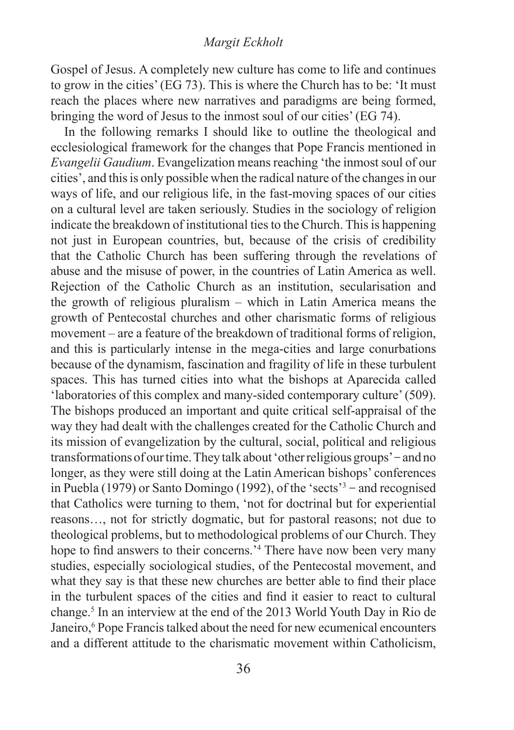#### *Margit Eckholt*

Gospel of Jesus. A completely new culture has come to life and continues to grow in the cities' (EG 73). This is where the Church has to be: 'It must reach the places where new narratives and paradigms are being formed, bringing the word of Jesus to the inmost soul of our cities' (EG 74).

In the following remarks I should like to outline the theological and ecclesiological framework for the changes that Pope Francis mentioned in *Evangelii Gaudium*. Evangelization means reaching 'the inmost soul of our cities', and this is only possible when the radical nature of the changes in our ways of life, and our religious life, in the fast-moving spaces of our cities on a cultural level are taken seriously. Studies in the sociology of religion indicate the breakdown of institutional ties to the Church. This is happening not just in European countries, but, because of the crisis of credibility that the Catholic Church has been suffering through the revelations of abuse and the misuse of power, in the countries of Latin America as well. Rejection of the Catholic Church as an institution, secularisation and the growth of religious pluralism – which in Latin America means the growth of Pentecostal churches and other charismatic forms of religious movement – are a feature of the breakdown of traditional forms of religion, and this is particularly intense in the mega-cities and large conurbations because of the dynamism, fascination and fragility of life in these turbulent spaces. This has turned cities into what the bishops at Aparecida called 'laboratories of this complex and many-sided contemporary culture' (509). The bishops produced an important and quite critical self-appraisal of the way they had dealt with the challenges created for the Catholic Church and its mission of evangelization by the cultural, social, political and religious transformations of our time. They talk about 'other religious groups' – and no longer, as they were still doing at the Latin American bishops' conferences in Puebla (1979) or Santo Domingo (1992), of the 'sects'<sup>3</sup> – and recognised that Catholics were turning to them, 'not for doctrinal but for experiential reasons…, not for strictly dogmatic, but for pastoral reasons; not due to theological problems, but to methodological problems of our Church. They hope to find answers to their concerns.<sup>14</sup> There have now been very many studies, especially sociological studies, of the Pentecostal movement, and what they say is that these new churches are better able to find their place in the turbulent spaces of the cities and find it easier to react to cultural change.5 In an interview at the end of the 2013 World Youth Day in Rio de Janeiro,<sup>6</sup> Pope Francis talked about the need for new ecumenical encounters and a different attitude to the charismatic movement within Catholicism,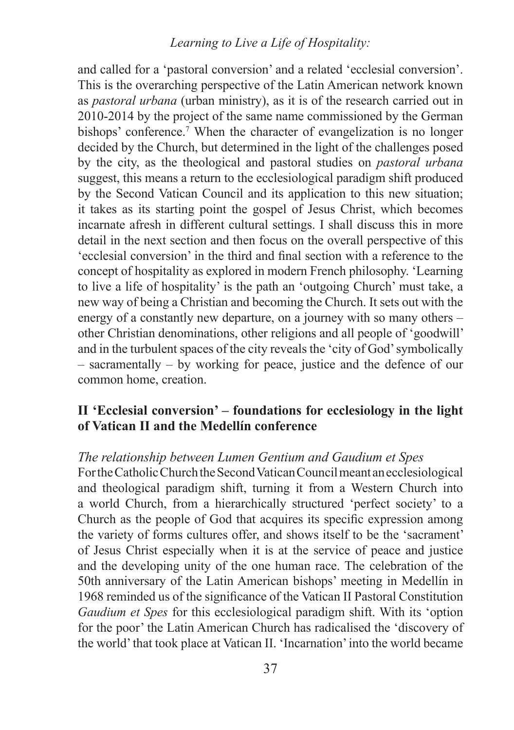## *Learning to Live a Life of Hospitality:*

and called for a 'pastoral conversion' and a related 'ecclesial conversion'. This is the overarching perspective of the Latin American network known as *pastoral urbana* (urban ministry), as it is of the research carried out in 2010-2014 by the project of the same name commissioned by the German bishops' conference.<sup>7</sup> When the character of evangelization is no longer decided by the Church, but determined in the light of the challenges posed by the city, as the theological and pastoral studies on *pastoral urbana* suggest, this means a return to the ecclesiological paradigm shift produced by the Second Vatican Council and its application to this new situation; it takes as its starting point the gospel of Jesus Christ, which becomes incarnate afresh in different cultural settings. I shall discuss this in more detail in the next section and then focus on the overall perspective of this 'ecclesial conversion' in the third and final section with a reference to the concept of hospitality as explored in modern French philosophy. 'Learning to live a life of hospitality' is the path an 'outgoing Church' must take, a new way of being a Christian and becoming the Church. It sets out with the energy of a constantly new departure, on a journey with so many others – other Christian denominations, other religions and all people of 'goodwill' and in the turbulent spaces of the city reveals the 'city of God' symbolically – sacramentally – by working for peace, justice and the defence of our common home, creation.

# **II 'Ecclesial conversion' – foundations for ecclesiology in the light of Vatican II and the Medellín conference**

# *The relationship between Lumen Gentium and Gaudium et Spes*

For the Catholic Church the Second Vatican Council meant an ecclesiological and theological paradigm shift, turning it from a Western Church into a world Church, from a hierarchically structured 'perfect society' to a Church as the people of God that acquires its specific expression among the variety of forms cultures offer, and shows itself to be the 'sacrament' of Jesus Christ especially when it is at the service of peace and justice and the developing unity of the one human race. The celebration of the 50th anniversary of the Latin American bishops' meeting in Medellín in 1968 reminded us of the significance of the Vatican II Pastoral Constitution *Gaudium et Spes* for this ecclesiological paradigm shift. With its 'option for the poor' the Latin American Church has radicalised the 'discovery of the world' that took place at Vatican II. 'Incarnation' into the world became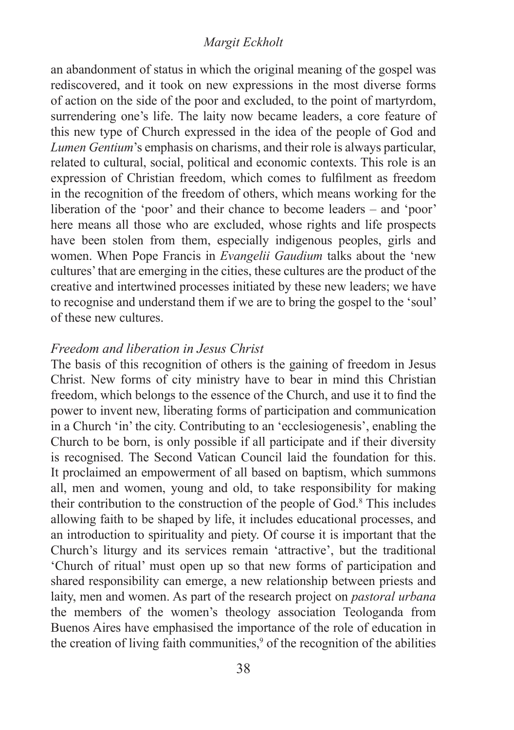#### *Margit Eckholt*

an abandonment of status in which the original meaning of the gospel was rediscovered, and it took on new expressions in the most diverse forms of action on the side of the poor and excluded, to the point of martyrdom, surrendering one's life. The laity now became leaders, a core feature of this new type of Church expressed in the idea of the people of God and *Lumen Gentium*'s emphasis on charisms, and their role is always particular, related to cultural, social, political and economic contexts. This role is an expression of Christian freedom, which comes to fulfilment as freedom in the recognition of the freedom of others, which means working for the liberation of the 'poor' and their chance to become leaders – and 'poor' here means all those who are excluded, whose rights and life prospects have been stolen from them, especially indigenous peoples, girls and women. When Pope Francis in *Evangelii Gaudium* talks about the 'new cultures' that are emerging in the cities, these cultures are the product of the creative and intertwined processes initiated by these new leaders; we have to recognise and understand them if we are to bring the gospel to the 'soul' of these new cultures.

# *Freedom and liberation in Jesus Christ*

The basis of this recognition of others is the gaining of freedom in Jesus Christ. New forms of city ministry have to bear in mind this Christian freedom, which belongs to the essence of the Church, and use it to find the power to invent new, liberating forms of participation and communication in a Church 'in' the city. Contributing to an 'ecclesiogenesis', enabling the Church to be born, is only possible if all participate and if their diversity is recognised. The Second Vatican Council laid the foundation for this. It proclaimed an empowerment of all based on baptism, which summons all, men and women, young and old, to take responsibility for making their contribution to the construction of the people of God.<sup>8</sup> This includes allowing faith to be shaped by life, it includes educational processes, and an introduction to spirituality and piety. Of course it is important that the Church's liturgy and its services remain 'attractive', but the traditional 'Church of ritual' must open up so that new forms of participation and shared responsibility can emerge, a new relationship between priests and laity, men and women. As part of the research project on *pastoral urbana* the members of the women's theology association Teologanda from Buenos Aires have emphasised the importance of the role of education in the creation of living faith communities, $9$  of the recognition of the abilities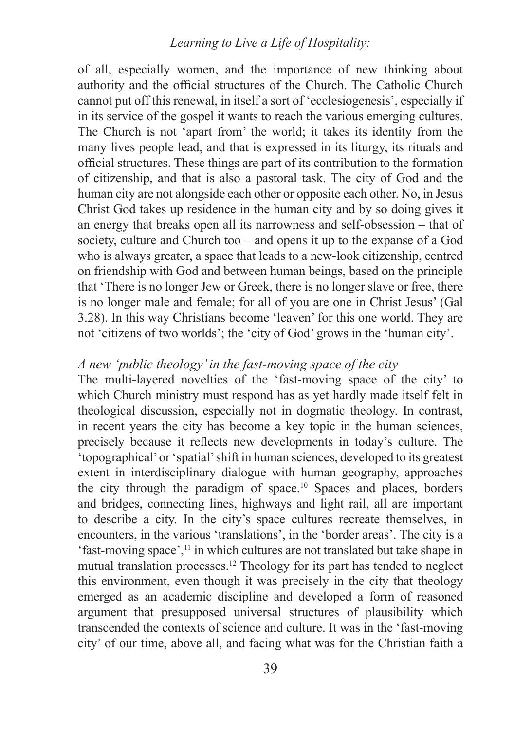### *Learning to Live a Life of Hospitality:*

of all, especially women, and the importance of new thinking about authority and the official structures of the Church. The Catholic Church cannot put off this renewal, in itself a sort of 'ecclesiogenesis', especially if in its service of the gospel it wants to reach the various emerging cultures. The Church is not 'apart from' the world; it takes its identity from the many lives people lead, and that is expressed in its liturgy, its rituals and official structures. These things are part of its contribution to the formation of citizenship, and that is also a pastoral task. The city of God and the human city are not alongside each other or opposite each other. No, in Jesus Christ God takes up residence in the human city and by so doing gives it an energy that breaks open all its narrowness and self-obsession – that of society, culture and Church too – and opens it up to the expanse of a God who is always greater, a space that leads to a new-look citizenship, centred on friendship with God and between human beings, based on the principle that 'There is no longer Jew or Greek, there is no longer slave or free, there is no longer male and female; for all of you are one in Christ Jesus' (Gal 3.28). In this way Christians become 'leaven' for this one world. They are not 'citizens of two worlds'; the 'city of God' grows in the 'human city'.

#### *A new 'public theology' in the fast-moving space of the city*

The multi-layered novelties of the 'fast-moving space of the city' to which Church ministry must respond has as yet hardly made itself felt in theological discussion, especially not in dogmatic theology. In contrast, in recent years the city has become a key topic in the human sciences, precisely because it reflects new developments in today's culture. The 'topographical' or 'spatial' shift in human sciences, developed to its greatest extent in interdisciplinary dialogue with human geography, approaches the city through the paradigm of space.10 Spaces and places, borders and bridges, connecting lines, highways and light rail, all are important to describe a city. In the city's space cultures recreate themselves, in encounters, in the various 'translations', in the 'border areas'. The city is a 'fast-moving space',11 in which cultures are not translated but take shape in mutual translation processes.12 Theology for its part has tended to neglect this environment, even though it was precisely in the city that theology emerged as an academic discipline and developed a form of reasoned argument that presupposed universal structures of plausibility which transcended the contexts of science and culture. It was in the 'fast-moving city' of our time, above all, and facing what was for the Christian faith a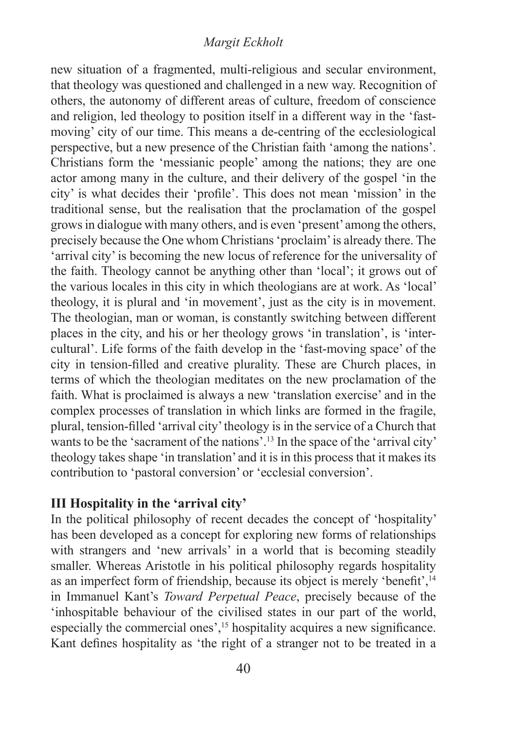### *Margit Eckholt*

new situation of a fragmented, multi-religious and secular environment, that theology was questioned and challenged in a new way. Recognition of others, the autonomy of different areas of culture, freedom of conscience and religion, led theology to position itself in a different way in the 'fastmoving' city of our time. This means a de-centring of the ecclesiological perspective, but a new presence of the Christian faith 'among the nations'. Christians form the 'messianic people' among the nations; they are one actor among many in the culture, and their delivery of the gospel 'in the city' is what decides their 'profile'. This does not mean 'mission' in the traditional sense, but the realisation that the proclamation of the gospel grows in dialogue with many others, and is even 'present' among the others, precisely because the One whom Christians 'proclaim' is already there. The 'arrival city' is becoming the new locus of reference for the universality of the faith. Theology cannot be anything other than 'local'; it grows out of the various locales in this city in which theologians are at work. As 'local' theology, it is plural and 'in movement', just as the city is in movement. The theologian, man or woman, is constantly switching between different places in the city, and his or her theology grows 'in translation', is 'intercultural'. Life forms of the faith develop in the 'fast-moving space' of the city in tension-filled and creative plurality. These are Church places, in terms of which the theologian meditates on the new proclamation of the faith. What is proclaimed is always a new 'translation exercise' and in the complex processes of translation in which links are formed in the fragile, plural, tension-filled 'arrival city' theology is in the service of a Church that wants to be the 'sacrament of the nations'.<sup>13</sup> In the space of the 'arrival city' theology takes shape 'in translation' and it is in this process that it makes its contribution to 'pastoral conversion' or 'ecclesial conversion'.

# **III Hospitality in the 'arrival city'**

In the political philosophy of recent decades the concept of 'hospitality' has been developed as a concept for exploring new forms of relationships with strangers and 'new arrivals' in a world that is becoming steadily smaller. Whereas Aristotle in his political philosophy regards hospitality as an imperfect form of friendship, because its object is merely 'benefit',<sup>14</sup> in Immanuel Kant's *Toward Perpetual Peace*, precisely because of the 'inhospitable behaviour of the civilised states in our part of the world, especially the commercial ones',<sup>15</sup> hospitality acquires a new significance. Kant defines hospitality as 'the right of a stranger not to be treated in a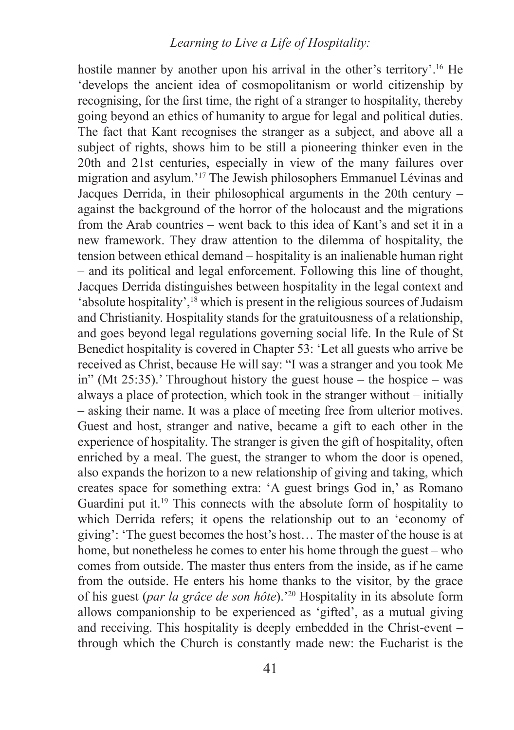# *Learning to Live a Life of Hospitality:*

hostile manner by another upon his arrival in the other's territory'.<sup>16</sup> He 'develops the ancient idea of cosmopolitanism or world citizenship by recognising, for the first time, the right of a stranger to hospitality, thereby going beyond an ethics of humanity to argue for legal and political duties. The fact that Kant recognises the stranger as a subject, and above all a subject of rights, shows him to be still a pioneering thinker even in the 20th and 21st centuries, especially in view of the many failures over migration and asylum.'17 The Jewish philosophers Emmanuel Lévinas and Jacques Derrida, in their philosophical arguments in the 20th century – against the background of the horror of the holocaust and the migrations from the Arab countries – went back to this idea of Kant's and set it in a new framework. They draw attention to the dilemma of hospitality, the tension between ethical demand – hospitality is an inalienable human right – and its political and legal enforcement. Following this line of thought, Jacques Derrida distinguishes between hospitality in the legal context and 'absolute hospitality',<sup>18</sup> which is present in the religious sources of Judaism and Christianity. Hospitality stands for the gratuitousness of a relationship, and goes beyond legal regulations governing social life. In the Rule of St Benedict hospitality is covered in Chapter 53: 'Let all guests who arrive be received as Christ, because He will say: "I was a stranger and you took Me in" (Mt 25:35).' Throughout history the guest house – the hospice – was always a place of protection, which took in the stranger without – initially – asking their name. It was a place of meeting free from ulterior motives. Guest and host, stranger and native, became a gift to each other in the experience of hospitality. The stranger is given the gift of hospitality, often enriched by a meal. The guest, the stranger to whom the door is opened, also expands the horizon to a new relationship of giving and taking, which creates space for something extra: 'A guest brings God in,' as Romano Guardini put it.19 This connects with the absolute form of hospitality to which Derrida refers; it opens the relationship out to an 'economy of giving': 'The guest becomes the host's host… The master of the house is at home, but nonetheless he comes to enter his home through the guest – who comes from outside. The master thus enters from the inside, as if he came from the outside. He enters his home thanks to the visitor, by the grace of his guest (*par la grâce de son hôte*).'20 Hospitality in its absolute form allows companionship to be experienced as 'gifted', as a mutual giving and receiving. This hospitality is deeply embedded in the Christ-event – through which the Church is constantly made new: the Eucharist is the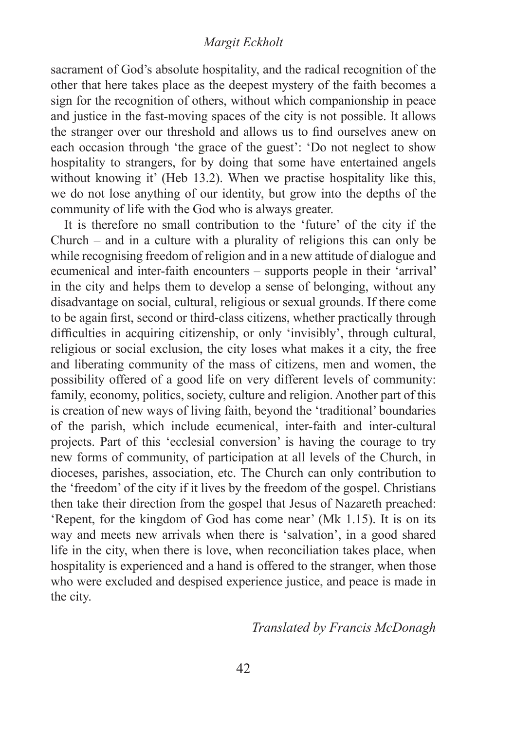#### *Margit Eckholt*

sacrament of God's absolute hospitality, and the radical recognition of the other that here takes place as the deepest mystery of the faith becomes a sign for the recognition of others, without which companionship in peace and justice in the fast-moving spaces of the city is not possible. It allows the stranger over our threshold and allows us to find ourselves anew on each occasion through 'the grace of the guest': 'Do not neglect to show hospitality to strangers, for by doing that some have entertained angels without knowing it' (Heb 13.2). When we practise hospitality like this, we do not lose anything of our identity, but grow into the depths of the community of life with the God who is always greater.

It is therefore no small contribution to the 'future' of the city if the Church – and in a culture with a plurality of religions this can only be while recognising freedom of religion and in a new attitude of dialogue and ecumenical and inter-faith encounters – supports people in their 'arrival' in the city and helps them to develop a sense of belonging, without any disadvantage on social, cultural, religious or sexual grounds. If there come to be again first, second or third-class citizens, whether practically through difficulties in acquiring citizenship, or only 'invisibly', through cultural, religious or social exclusion, the city loses what makes it a city, the free and liberating community of the mass of citizens, men and women, the possibility offered of a good life on very different levels of community: family, economy, politics, society, culture and religion. Another part of this is creation of new ways of living faith, beyond the 'traditional' boundaries of the parish, which include ecumenical, inter-faith and inter-cultural projects. Part of this 'ecclesial conversion' is having the courage to try new forms of community, of participation at all levels of the Church, in dioceses, parishes, association, etc. The Church can only contribution to the 'freedom' of the city if it lives by the freedom of the gospel. Christians then take their direction from the gospel that Jesus of Nazareth preached: 'Repent, for the kingdom of God has come near' (Mk 1.15). It is on its way and meets new arrivals when there is 'salvation', in a good shared life in the city, when there is love, when reconciliation takes place, when hospitality is experienced and a hand is offered to the stranger, when those who were excluded and despised experience justice, and peace is made in the city.

*Translated by Francis McDonagh*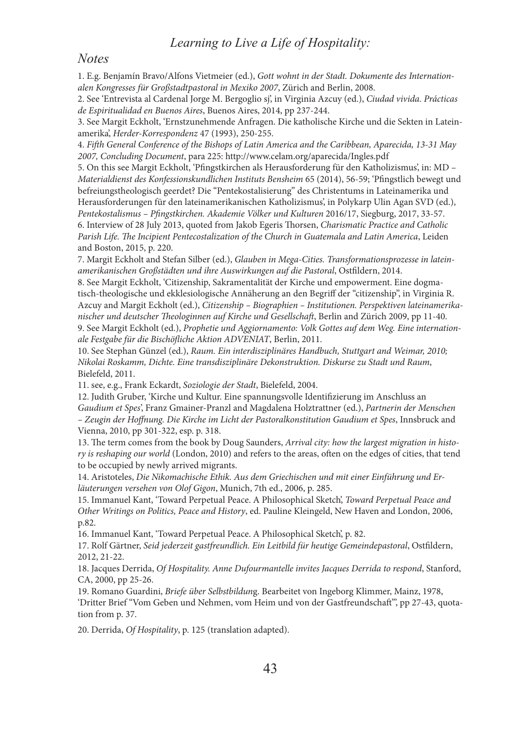### *Learning to Live a Life of Hospitality:*

#### *Notes*

1. E.g. Benjamín Bravo/Alfons Vietmeier (ed.), *Gott wohnt in der Stadt. Dokumente des Internationalen Kongresses für Großstadtpastoral in Mexiko 2007*, Zürich and Berlin, 2008.

2. See 'Entrevista al Cardenal Jorge M. Bergoglio sj', in Virginia Azcuy (ed.), *Ciudad vivida. Prácticas de Espiritualidad en Buenos Aires*, Buenos Aires, 2014, pp 237-244.

3. See Margit Eckholt, 'Ernstzunehmende Anfragen. Die katholische Kirche und die Sekten in Lateinamerika', *Herder-Korrespondenz* 47 (1993), 250-255.

4. *Fifth General Conference of the Bishops of Latin America and the Caribbean, Aparecida, 13-31 May 2007, Concluding Document*, para 225: http://www.celam.org/aparecida/Ingles.pdf

5. On this see Margit Eckholt, 'Pfingstkirchen als Herausforderung für den Katholizismus', in: MD – *Materialdienst des Konfessionskundlichen Instituts Bensheim* 65 (2014), 56-59; 'Pfingstlich bewegt und befreiungstheologisch geerdet? Die "Pentekostalisierung" des Christentums in Lateinamerika und Herausforderungen für den lateinamerikanischen Katholizismus', in Polykarp Ulin Agan SVD (ed.), *Pentekostalismus – Pfingstkirchen. Akademie Völker und Kulturen* 2016/17, Siegburg, 2017, 33-57. 6. Interview of 28 July 2013, quoted from Jakob Egeris Thorsen, *Charismatic Practice and Catholic Parish Life. The Incipient Pentecostalization of the Church in Guatemala and Latin America*, Leiden and Boston, 2015, p. 220.

7. Margit Eckholt and Stefan Silber (ed.), *Glauben in Mega-Cities. Transformationsprozesse in lateinamerikanischen Großstädten und ihre Auswirkungen auf die Pastoral*, Ostfildern, 2014.

8. See Margit Eckholt, 'Citizenship, Sakramentalität der Kirche und empowerment. Eine dogmatisch-theologische und ekklesiologische Annäherung an den Begriff der "citizenship", in Virginia R. Azcuy and Margit Eckholt (ed.), *Citizenship – Biographien – Institutionen. Perspektiven lateinamerikanischer und deutscher Theologinnen auf Kirche und Gesellschaft*, Berlin and Zürich 2009, pp 11-40. 9. See Margit Eckholt (ed.), *Prophetie und Aggiornamento: Volk Gottes auf dem Weg. Eine internationale Festgabe für die Bischöfliche Aktion ADVENIAT*, Berlin, 2011.

10. See Stephan Günzel (ed.), *Raum. Ein interdisziplinäres Handbuch, Stuttgart and Weimar, 2010; Nikolai Roskamm, Dichte. Eine transdisziplinäre Dekonstruktion. Diskurse zu Stadt und Raum*, Bielefeld, 2011.

11. see, e.g., Frank Eckardt, *Soziologie der Stadt*, Bielefeld, 2004.

12. Judith Gruber, 'Kirche und Kultur. Eine spannungsvolle Identifizierung im Anschluss an *Gaudium et Spes*', Franz Gmainer-Pranzl and Magdalena Holztrattner (ed.), *Partnerin der Menschen – Zeugin der Hoffnung. Die Kirche im Licht der Pastoralkonstitution Gaudium et Spes*, Innsbruck and Vienna, 2010, pp 301-322, esp. p. 318.

13. The term comes from the book by Doug Saunders, *Arrival city: how the largest migration in history is reshaping our world* (London, 2010) and refers to the areas, often on the edges of cities, that tend to be occupied by newly arrived migrants.

14. Aristoteles, *Die Nikomachische Ethik. Aus dem Griechischen und mit einer Einführung und Erläuterungen versehen von Olof Gigon*, Munich, 7th ed., 2006, p. 285.

15. Immanuel Kant, 'Toward Perpetual Peace. A Philosophical Sketch', *Toward Perpetual Peace and Other Writings on Politics, Peace and History*, ed. Pauline Kleingeld, New Haven and London, 2006, p.82.

16. Immanuel Kant, 'Toward Perpetual Peace. A Philosophical Sketch', p. 82.

17. Rolf Gärtner, *Seid jederzeit gastfreundlich. Ein Leitbild für heutige Gemeindepastoral*, Ostfildern, 2012, 21-22.

18. Jacques Derrida, *Of Hospitality. Anne Dufourmantelle invites Jacques Derrida to respond*, Stanford, CA, 2000, pp 25-26.

19. Romano Guardini, *Briefe über Selbstbildun*g. Bearbeitet von Ingeborg Klimmer, Mainz, 1978, 'Dritter Brief "Vom Geben und Nehmen, vom Heim und von der Gastfreundschaft"', pp 27-43, quotation from p. 37.

20. Derrida, *Of Hospitality*, p. 125 (translation adapted).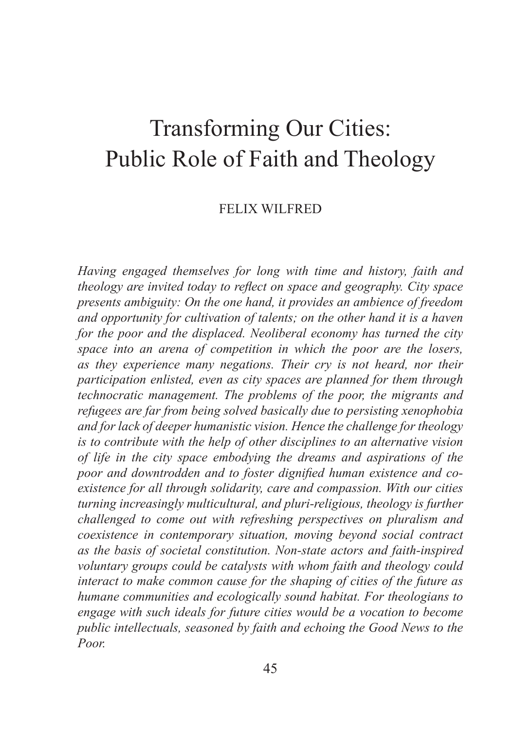# Transforming Our Cities: Public Role of Faith and Theology

### FELIX WILFRED

*Having engaged themselves for long with time and history, faith and theology are invited today to reflect on space and geography. City space presents ambiguity: On the one hand, it provides an ambience of freedom and opportunity for cultivation of talents; on the other hand it is a haven for the poor and the displaced. Neoliberal economy has turned the city space into an arena of competition in which the poor are the losers, as they experience many negations. Their cry is not heard, nor their participation enlisted, even as city spaces are planned for them through technocratic management. The problems of the poor, the migrants and refugees are far from being solved basically due to persisting xenophobia and for lack of deeper humanistic vision. Hence the challenge for theology is to contribute with the help of other disciplines to an alternative vision of life in the city space embodying the dreams and aspirations of the poor and downtrodden and to foster dignified human existence and coexistence for all through solidarity, care and compassion. With our cities turning increasingly multicultural, and pluri-religious, theology is further challenged to come out with refreshing perspectives on pluralism and coexistence in contemporary situation, moving beyond social contract as the basis of societal constitution. Non-state actors and faith-inspired voluntary groups could be catalysts with whom faith and theology could interact to make common cause for the shaping of cities of the future as humane communities and ecologically sound habitat. For theologians to engage with such ideals for future cities would be a vocation to become public intellectuals, seasoned by faith and echoing the Good News to the Poor.*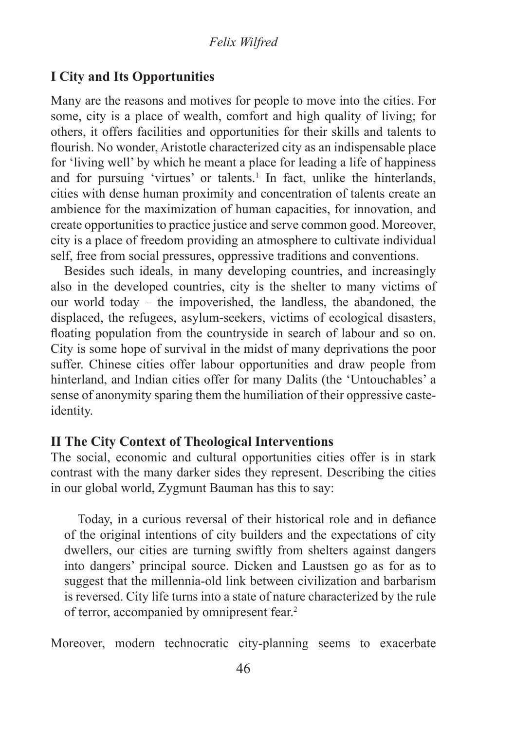# **I City and Its Opportunities**

Many are the reasons and motives for people to move into the cities. For some, city is a place of wealth, comfort and high quality of living; for others, it offers facilities and opportunities for their skills and talents to flourish. No wonder, Aristotle characterized city as an indispensable place for 'living well' by which he meant a place for leading a life of happiness and for pursuing 'virtues' or talents.<sup>1</sup> In fact, unlike the hinterlands, cities with dense human proximity and concentration of talents create an ambience for the maximization of human capacities, for innovation, and create opportunities to practice justice and serve common good. Moreover, city is a place of freedom providing an atmosphere to cultivate individual self, free from social pressures, oppressive traditions and conventions.

Besides such ideals, in many developing countries, and increasingly also in the developed countries, city is the shelter to many victims of our world today – the impoverished, the landless, the abandoned, the displaced, the refugees, asylum-seekers, victims of ecological disasters, floating population from the countryside in search of labour and so on. City is some hope of survival in the midst of many deprivations the poor suffer. Chinese cities offer labour opportunities and draw people from hinterland, and Indian cities offer for many Dalits (the 'Untouchables' a sense of anonymity sparing them the humiliation of their oppressive casteidentity.

# **II The City Context of Theological Interventions**

The social, economic and cultural opportunities cities offer is in stark contrast with the many darker sides they represent. Describing the cities in our global world, Zygmunt Bauman has this to say:

Today, in a curious reversal of their historical role and in defiance of the original intentions of city builders and the expectations of city dwellers, our cities are turning swiftly from shelters against dangers into dangers' principal source. Dicken and Laustsen go as for as to suggest that the millennia-old link between civilization and barbarism is reversed. City life turns into a state of nature characterized by the rule of terror, accompanied by omnipresent fear.2

Moreover, modern technocratic city-planning seems to exacerbate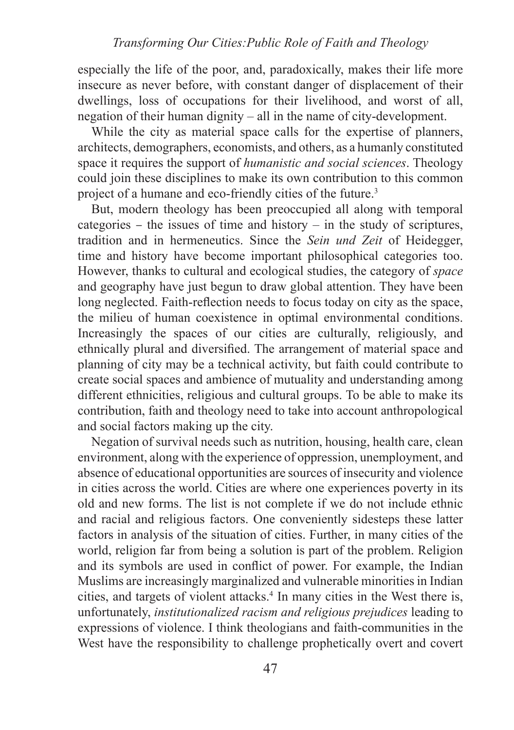especially the life of the poor, and, paradoxically, makes their life more insecure as never before, with constant danger of displacement of their dwellings, loss of occupations for their livelihood, and worst of all, negation of their human dignity – all in the name of city-development.

While the city as material space calls for the expertise of planners, architects, demographers, economists, and others, as a humanly constituted space it requires the support of *humanistic and social sciences*. Theology could join these disciplines to make its own contribution to this common project of a humane and eco-friendly cities of the future.<sup>3</sup>

But, modern theology has been preoccupied all along with temporal categories – the issues of time and history – in the study of scriptures, tradition and in hermeneutics. Since the *Sein und Zeit* of Heidegger, time and history have become important philosophical categories too. However, thanks to cultural and ecological studies, the category of *space* and geography have just begun to draw global attention. They have been long neglected. Faith-reflection needs to focus today on city as the space, the milieu of human coexistence in optimal environmental conditions. Increasingly the spaces of our cities are culturally, religiously, and ethnically plural and diversified. The arrangement of material space and planning of city may be a technical activity, but faith could contribute to create social spaces and ambience of mutuality and understanding among different ethnicities, religious and cultural groups. To be able to make its contribution, faith and theology need to take into account anthropological and social factors making up the city.

Negation of survival needs such as nutrition, housing, health care, clean environment, along with the experience of oppression, unemployment, and absence of educational opportunities are sources of insecurity and violence in cities across the world. Cities are where one experiences poverty in its old and new forms. The list is not complete if we do not include ethnic and racial and religious factors. One conveniently sidesteps these latter factors in analysis of the situation of cities. Further, in many cities of the world, religion far from being a solution is part of the problem. Religion and its symbols are used in conflict of power. For example, the Indian Muslims are increasingly marginalized and vulnerable minorities in Indian cities, and targets of violent attacks.<sup>4</sup> In many cities in the West there is, unfortunately, *institutionalized racism and religious prejudices* leading to expressions of violence. I think theologians and faith-communities in the West have the responsibility to challenge prophetically overt and covert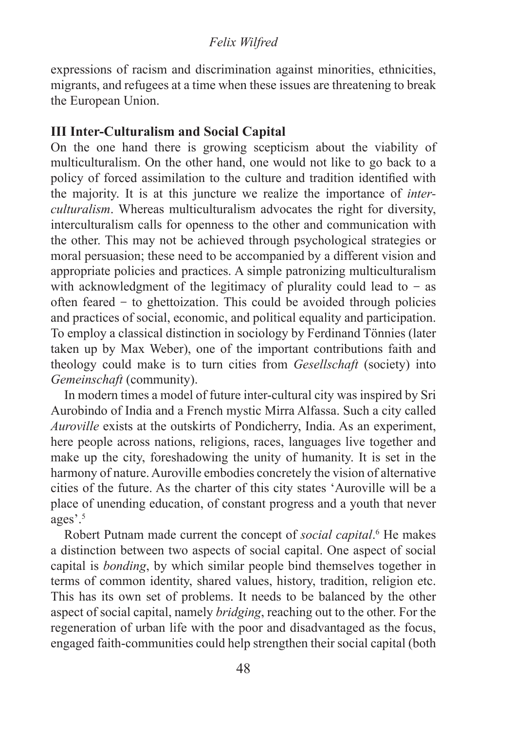## *Felix Wilfred*

expressions of racism and discrimination against minorities, ethnicities, migrants, and refugees at a time when these issues are threatening to break the European Union.

# **III Inter-Culturalism and Social Capital**

On the one hand there is growing scepticism about the viability of multiculturalism. On the other hand, one would not like to go back to a policy of forced assimilation to the culture and tradition identified with the majority. It is at this juncture we realize the importance of *interculturalism*. Whereas multiculturalism advocates the right for diversity, interculturalism calls for openness to the other and communication with the other. This may not be achieved through psychological strategies or moral persuasion; these need to be accompanied by a different vision and appropriate policies and practices. A simple patronizing multiculturalism with acknowledgment of the legitimacy of plurality could lead to  $-$  as often feared  $-$  to ghettoization. This could be avoided through policies and practices of social, economic, and political equality and participation. To employ a classical distinction in sociology by Ferdinand Tönnies (later taken up by Max Weber), one of the important contributions faith and theology could make is to turn cities from *Gesellschaft* (society) into *Gemeinschaft* (community).

In modern times a model of future inter-cultural city was inspired by Sri Aurobindo of India and a French mystic Mirra Alfassa. Such a city called *Auroville* exists at the outskirts of Pondicherry, India. As an experiment, here people across nations, religions, races, languages live together and make up the city, foreshadowing the unity of humanity. It is set in the harmony of nature. Auroville embodies concretely the vision of alternative cities of the future. As the charter of this city states 'Auroville will be a place of unending education, of constant progress and a youth that never ages'.<sup>5</sup>

Robert Putnam made current the concept of *social capital*.<sup>6</sup> He makes a distinction between two aspects of social capital. One aspect of social capital is *bonding*, by which similar people bind themselves together in terms of common identity, shared values, history, tradition, religion etc. This has its own set of problems. It needs to be balanced by the other aspect of social capital, namely *bridging*, reaching out to the other. For the regeneration of urban life with the poor and disadvantaged as the focus, engaged faith-communities could help strengthen their social capital (both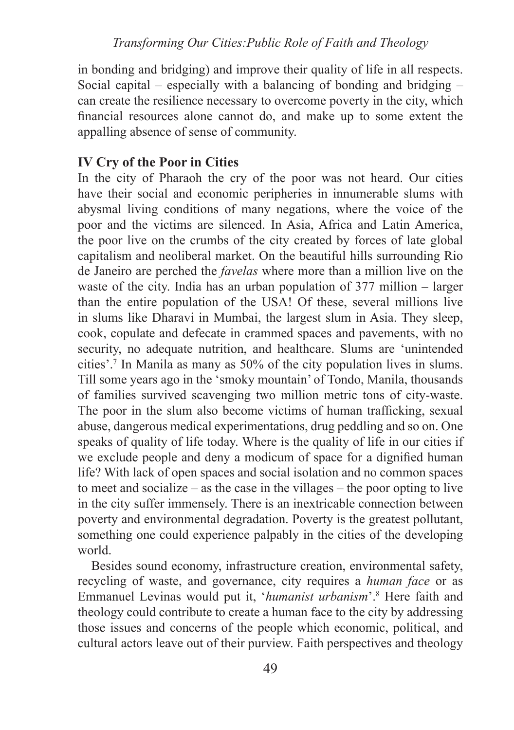in bonding and bridging) and improve their quality of life in all respects. Social capital – especially with a balancing of bonding and bridging – can create the resilience necessary to overcome poverty in the city, which financial resources alone cannot do, and make up to some extent the appalling absence of sense of community.

# **IV Cry of the Poor in Cities**

In the city of Pharaoh the cry of the poor was not heard. Our cities have their social and economic peripheries in innumerable slums with abysmal living conditions of many negations, where the voice of the poor and the victims are silenced. In Asia, Africa and Latin America, the poor live on the crumbs of the city created by forces of late global capitalism and neoliberal market. On the beautiful hills surrounding Rio de Janeiro are perched the *favelas* where more than a million live on the waste of the city. India has an urban population of 377 million – larger than the entire population of the USA! Of these, several millions live in slums like Dharavi in Mumbai, the largest slum in Asia. They sleep, cook, copulate and defecate in crammed spaces and pavements, with no security, no adequate nutrition, and healthcare. Slums are 'unintended cities'.<sup>7</sup> In Manila as many as 50% of the city population lives in slums. Till some years ago in the 'smoky mountain' of Tondo, Manila, thousands of families survived scavenging two million metric tons of city-waste. The poor in the slum also become victims of human trafficking, sexual abuse, dangerous medical experimentations, drug peddling and so on. One speaks of quality of life today. Where is the quality of life in our cities if we exclude people and deny a modicum of space for a dignified human life? With lack of open spaces and social isolation and no common spaces to meet and socialize – as the case in the villages – the poor opting to live in the city suffer immensely. There is an inextricable connection between poverty and environmental degradation. Poverty is the greatest pollutant, something one could experience palpably in the cities of the developing world.

Besides sound economy, infrastructure creation, environmental safety, recycling of waste, and governance, city requires a *human face* or as Emmanuel Levinas would put it, '*humanist urbanism*'.<sup>8</sup> Here faith and theology could contribute to create a human face to the city by addressing those issues and concerns of the people which economic, political, and cultural actors leave out of their purview. Faith perspectives and theology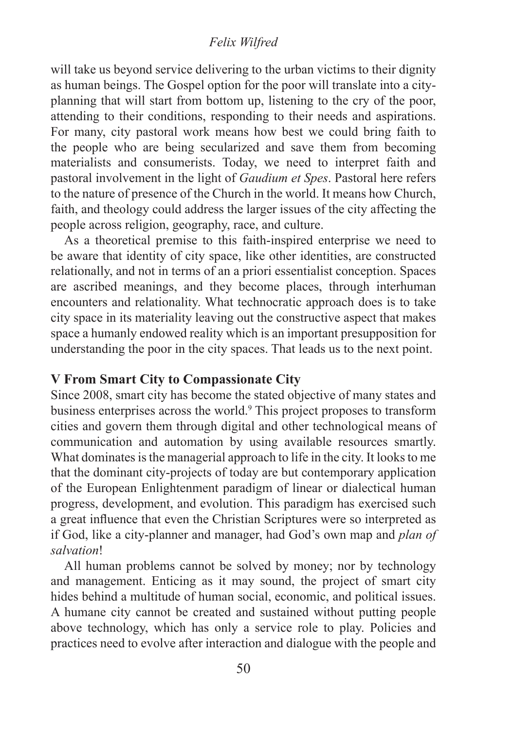#### *Felix Wilfred*

will take us beyond service delivering to the urban victims to their dignity as human beings. The Gospel option for the poor will translate into a cityplanning that will start from bottom up, listening to the cry of the poor, attending to their conditions, responding to their needs and aspirations. For many, city pastoral work means how best we could bring faith to the people who are being secularized and save them from becoming materialists and consumerists. Today, we need to interpret faith and pastoral involvement in the light of *Gaudium et Spes*. Pastoral here refers to the nature of presence of the Church in the world. It means how Church, faith, and theology could address the larger issues of the city affecting the people across religion, geography, race, and culture.

As a theoretical premise to this faith-inspired enterprise we need to be aware that identity of city space, like other identities, are constructed relationally, and not in terms of an a priori essentialist conception. Spaces are ascribed meanings, and they become places, through interhuman encounters and relationality. What technocratic approach does is to take city space in its materiality leaving out the constructive aspect that makes space a humanly endowed reality which is an important presupposition for understanding the poor in the city spaces. That leads us to the next point.

## **V From Smart City to Compassionate City**

Since 2008, smart city has become the stated objective of many states and business enterprises across the world.9 This project proposes to transform cities and govern them through digital and other technological means of communication and automation by using available resources smartly. What dominates is the managerial approach to life in the city. It looks to me that the dominant city-projects of today are but contemporary application of the European Enlightenment paradigm of linear or dialectical human progress, development, and evolution. This paradigm has exercised such a great influence that even the Christian Scriptures were so interpreted as if God, like a city-planner and manager, had God's own map and *plan of salvation*!

All human problems cannot be solved by money; nor by technology and management. Enticing as it may sound, the project of smart city hides behind a multitude of human social, economic, and political issues. A humane city cannot be created and sustained without putting people above technology, which has only a service role to play. Policies and practices need to evolve after interaction and dialogue with the people and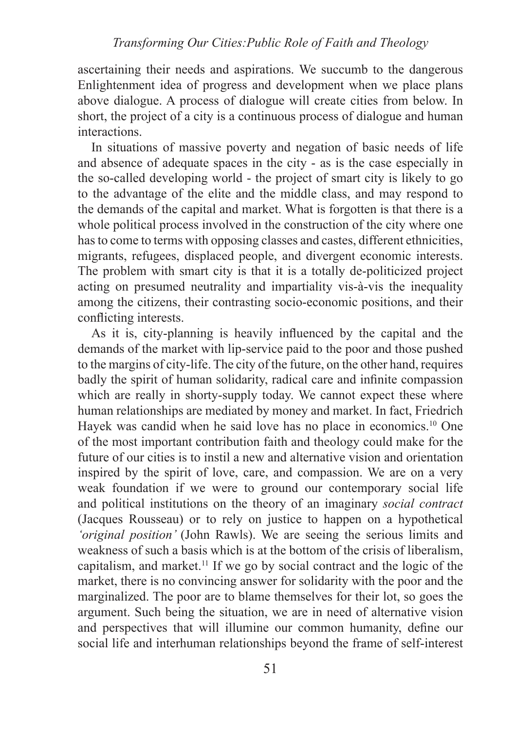ascertaining their needs and aspirations. We succumb to the dangerous Enlightenment idea of progress and development when we place plans above dialogue. A process of dialogue will create cities from below. In short, the project of a city is a continuous process of dialogue and human interactions.

In situations of massive poverty and negation of basic needs of life and absence of adequate spaces in the city - as is the case especially in the so-called developing world - the project of smart city is likely to go to the advantage of the elite and the middle class, and may respond to the demands of the capital and market. What is forgotten is that there is a whole political process involved in the construction of the city where one has to come to terms with opposing classes and castes, different ethnicities, migrants, refugees, displaced people, and divergent economic interests. The problem with smart city is that it is a totally de-politicized project acting on presumed neutrality and impartiality vis-à-vis the inequality among the citizens, their contrasting socio-economic positions, and their conflicting interests.

As it is, city-planning is heavily influenced by the capital and the demands of the market with lip-service paid to the poor and those pushed to the margins of city-life. The city of the future, on the other hand, requires badly the spirit of human solidarity, radical care and infinite compassion which are really in shorty-supply today. We cannot expect these where human relationships are mediated by money and market. In fact, Friedrich Hayek was candid when he said love has no place in economics.<sup>10</sup> One of the most important contribution faith and theology could make for the future of our cities is to instil a new and alternative vision and orientation inspired by the spirit of love, care, and compassion. We are on a very weak foundation if we were to ground our contemporary social life and political institutions on the theory of an imaginary *social contract*  (Jacques Rousseau) or to rely on justice to happen on a hypothetical *'original position'* (John Rawls). We are seeing the serious limits and weakness of such a basis which is at the bottom of the crisis of liberalism, capitalism, and market.<sup>11</sup> If we go by social contract and the logic of the market, there is no convincing answer for solidarity with the poor and the marginalized. The poor are to blame themselves for their lot, so goes the argument. Such being the situation, we are in need of alternative vision and perspectives that will illumine our common humanity, define our social life and interhuman relationships beyond the frame of self-interest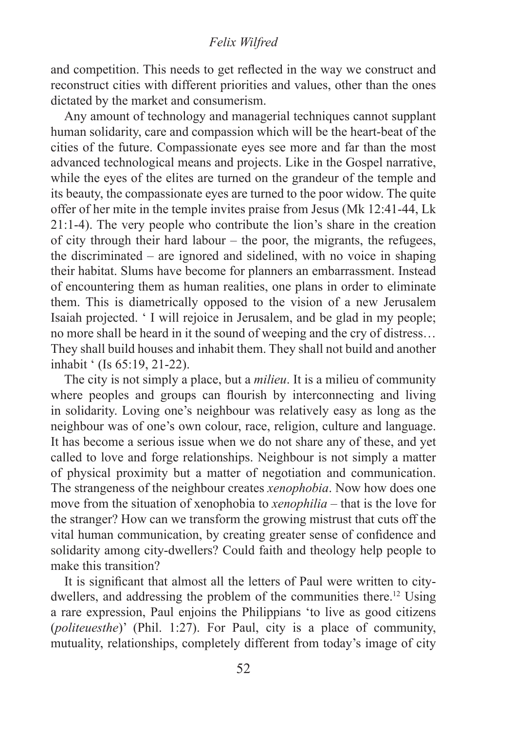#### *Felix Wilfred*

and competition. This needs to get reflected in the way we construct and reconstruct cities with different priorities and values, other than the ones dictated by the market and consumerism.

Any amount of technology and managerial techniques cannot supplant human solidarity, care and compassion which will be the heart-beat of the cities of the future. Compassionate eyes see more and far than the most advanced technological means and projects. Like in the Gospel narrative, while the eyes of the elites are turned on the grandeur of the temple and its beauty, the compassionate eyes are turned to the poor widow. The quite offer of her mite in the temple invites praise from Jesus (Mk 12:41-44, Lk 21:1-4). The very people who contribute the lion's share in the creation of city through their hard labour – the poor, the migrants, the refugees, the discriminated – are ignored and sidelined, with no voice in shaping their habitat. Slums have become for planners an embarrassment. Instead of encountering them as human realities, one plans in order to eliminate them. This is diametrically opposed to the vision of a new Jerusalem Isaiah projected. ' I will rejoice in Jerusalem, and be glad in my people; no more shall be heard in it the sound of weeping and the cry of distress… They shall build houses and inhabit them. They shall not build and another inhabit ' (Is 65:19, 21-22).

The city is not simply a place, but a *milieu*. It is a milieu of community where peoples and groups can flourish by interconnecting and living in solidarity. Loving one's neighbour was relatively easy as long as the neighbour was of one's own colour, race, religion, culture and language. It has become a serious issue when we do not share any of these, and yet called to love and forge relationships. Neighbour is not simply a matter of physical proximity but a matter of negotiation and communication. The strangeness of the neighbour creates *xenophobia*. Now how does one move from the situation of xenophobia to *xenophilia* – that is the love for the stranger? How can we transform the growing mistrust that cuts off the vital human communication, by creating greater sense of confidence and solidarity among city-dwellers? Could faith and theology help people to make this transition?

It is significant that almost all the letters of Paul were written to citydwellers, and addressing the problem of the communities there.<sup>12</sup> Using a rare expression, Paul enjoins the Philippians 'to live as good citizens (*politeuesthe*)' (Phil. 1:27). For Paul, city is a place of community, mutuality, relationships, completely different from today's image of city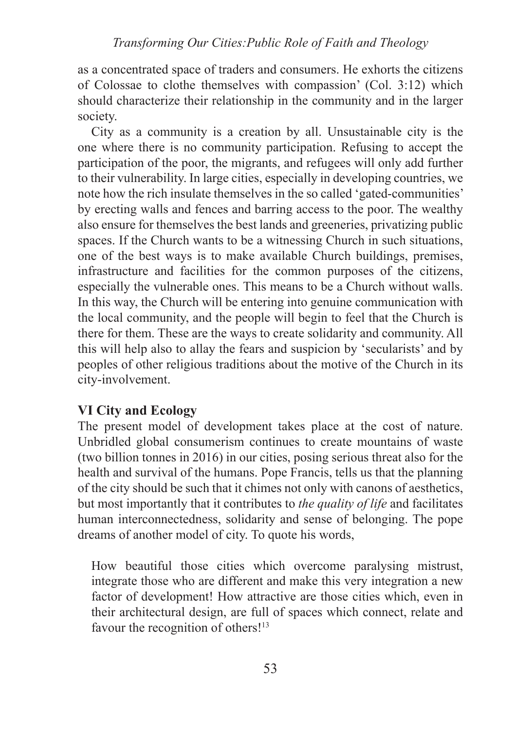as a concentrated space of traders and consumers. He exhorts the citizens of Colossae to clothe themselves with compassion' (Col. 3:12) which should characterize their relationship in the community and in the larger society.

City as a community is a creation by all. Unsustainable city is the one where there is no community participation. Refusing to accept the participation of the poor, the migrants, and refugees will only add further to their vulnerability. In large cities, especially in developing countries, we note how the rich insulate themselves in the so called 'gated-communities' by erecting walls and fences and barring access to the poor. The wealthy also ensure for themselves the best lands and greeneries, privatizing public spaces. If the Church wants to be a witnessing Church in such situations, one of the best ways is to make available Church buildings, premises, infrastructure and facilities for the common purposes of the citizens, especially the vulnerable ones. This means to be a Church without walls. In this way, the Church will be entering into genuine communication with the local community, and the people will begin to feel that the Church is there for them. These are the ways to create solidarity and community. All this will help also to allay the fears and suspicion by 'secularists' and by peoples of other religious traditions about the motive of the Church in its city-involvement.

# **VI City and Ecology**

The present model of development takes place at the cost of nature. Unbridled global consumerism continues to create mountains of waste (two billion tonnes in 2016) in our cities, posing serious threat also for the health and survival of the humans. Pope Francis, tells us that the planning of the city should be such that it chimes not only with canons of aesthetics, but most importantly that it contributes to *the quality of life* and facilitates human interconnectedness, solidarity and sense of belonging. The pope dreams of another model of city. To quote his words,

How beautiful those cities which overcome paralysing mistrust, integrate those who are different and make this very integration a new factor of development! How attractive are those cities which, even in their architectural design, are full of spaces which connect, relate and favour the recognition of others!<sup>13</sup>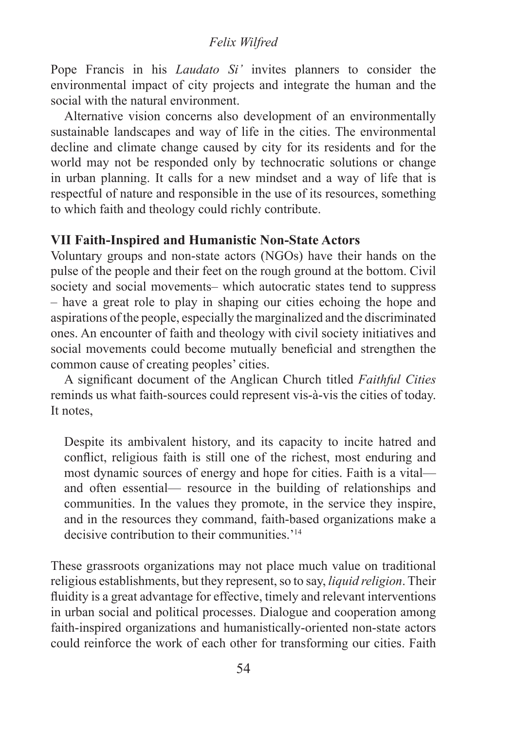## *Felix Wilfred*

Pope Francis in his *Laudato Si'* invites planners to consider the environmental impact of city projects and integrate the human and the social with the natural environment.

Alternative vision concerns also development of an environmentally sustainable landscapes and way of life in the cities. The environmental decline and climate change caused by city for its residents and for the world may not be responded only by technocratic solutions or change in urban planning. It calls for a new mindset and a way of life that is respectful of nature and responsible in the use of its resources, something to which faith and theology could richly contribute.

# **VII Faith-Inspired and Humanistic Non-State Actors**

Voluntary groups and non-state actors (NGOs) have their hands on the pulse of the people and their feet on the rough ground at the bottom. Civil society and social movements– which autocratic states tend to suppress – have a great role to play in shaping our cities echoing the hope and aspirations of the people, especially the marginalized and the discriminated ones. An encounter of faith and theology with civil society initiatives and social movements could become mutually beneficial and strengthen the common cause of creating peoples' cities.

A significant document of the Anglican Church titled *Faithful Cities* reminds us what faith-sources could represent vis-à-vis the cities of today. It notes,

Despite its ambivalent history, and its capacity to incite hatred and conflict, religious faith is still one of the richest, most enduring and most dynamic sources of energy and hope for cities. Faith is a vital and often essential— resource in the building of relationships and communities. In the values they promote, in the service they inspire, and in the resources they command, faith-based organizations make a decisive contribution to their communities.<sup>'14</sup>

These grassroots organizations may not place much value on traditional religious establishments, but they represent, so to say, *liquid religion*. Their fluidity is a great advantage for effective, timely and relevant interventions in urban social and political processes. Dialogue and cooperation among faith-inspired organizations and humanistically-oriented non-state actors could reinforce the work of each other for transforming our cities. Faith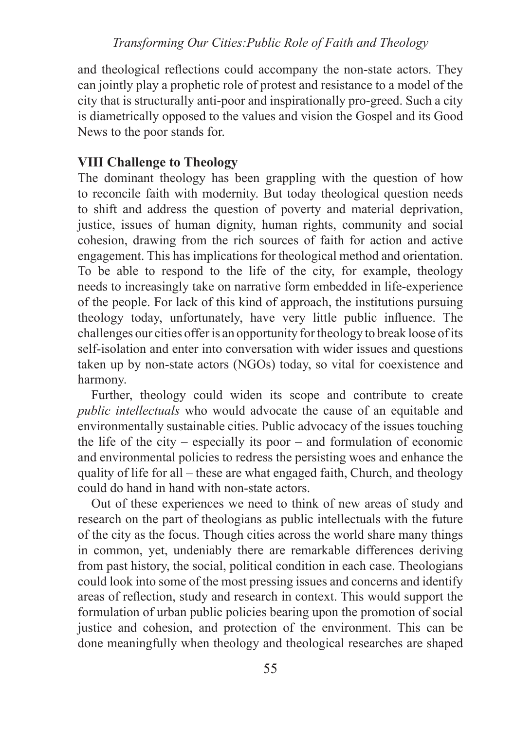and theological reflections could accompany the non-state actors. They can jointly play a prophetic role of protest and resistance to a model of the city that is structurally anti-poor and inspirationally pro-greed. Such a city is diametrically opposed to the values and vision the Gospel and its Good News to the poor stands for.

# **VIII Challenge to Theology**

The dominant theology has been grappling with the question of how to reconcile faith with modernity. But today theological question needs to shift and address the question of poverty and material deprivation, justice, issues of human dignity, human rights, community and social cohesion, drawing from the rich sources of faith for action and active engagement. This has implications for theological method and orientation. To be able to respond to the life of the city, for example, theology needs to increasingly take on narrative form embedded in life-experience of the people. For lack of this kind of approach, the institutions pursuing theology today, unfortunately, have very little public influence. The challenges our cities offer is an opportunity for theology to break loose of its self-isolation and enter into conversation with wider issues and questions taken up by non-state actors (NGOs) today, so vital for coexistence and harmony.

Further, theology could widen its scope and contribute to create *public intellectuals* who would advocate the cause of an equitable and environmentally sustainable cities. Public advocacy of the issues touching the life of the city – especially its poor – and formulation of economic and environmental policies to redress the persisting woes and enhance the quality of life for all – these are what engaged faith, Church, and theology could do hand in hand with non-state actors.

Out of these experiences we need to think of new areas of study and research on the part of theologians as public intellectuals with the future of the city as the focus. Though cities across the world share many things in common, yet, undeniably there are remarkable differences deriving from past history, the social, political condition in each case. Theologians could look into some of the most pressing issues and concerns and identify areas of reflection, study and research in context. This would support the formulation of urban public policies bearing upon the promotion of social justice and cohesion, and protection of the environment. This can be done meaningfully when theology and theological researches are shaped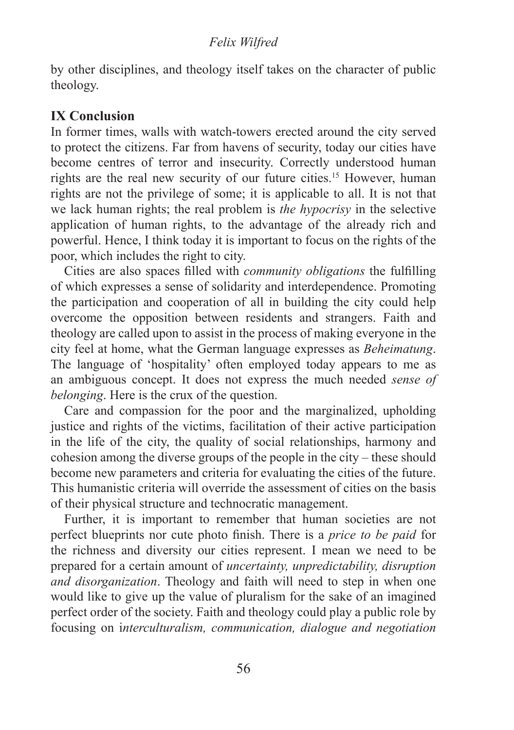#### *Felix Wilfred*

by other disciplines, and theology itself takes on the character of public theology.

# **IX Conclusion**

In former times, walls with watch-towers erected around the city served to protect the citizens. Far from havens of security, today our cities have become centres of terror and insecurity. Correctly understood human rights are the real new security of our future cities.15 However, human rights are not the privilege of some; it is applicable to all. It is not that we lack human rights; the real problem is *the hypocrisy* in the selective application of human rights, to the advantage of the already rich and powerful. Hence, I think today it is important to focus on the rights of the poor, which includes the right to city.

Cities are also spaces filled with *community obligations* the fulfilling of which expresses a sense of solidarity and interdependence. Promoting the participation and cooperation of all in building the city could help overcome the opposition between residents and strangers. Faith and theology are called upon to assist in the process of making everyone in the city feel at home, what the German language expresses as *Beheimatung*. The language of 'hospitality' often employed today appears to me as an ambiguous concept. It does not express the much needed *sense of belonging*. Here is the crux of the question.

Care and compassion for the poor and the marginalized, upholding justice and rights of the victims, facilitation of their active participation in the life of the city, the quality of social relationships, harmony and cohesion among the diverse groups of the people in the city – these should become new parameters and criteria for evaluating the cities of the future. This humanistic criteria will override the assessment of cities on the basis of their physical structure and technocratic management.

Further, it is important to remember that human societies are not perfect blueprints nor cute photo finish. There is a *price to be paid* for the richness and diversity our cities represent. I mean we need to be prepared for a certain amount of *uncertainty, unpredictability, disruption and disorganization*. Theology and faith will need to step in when one would like to give up the value of pluralism for the sake of an imagined perfect order of the society. Faith and theology could play a public role by focusing on i*nterculturalism, communication, dialogue and negotiation*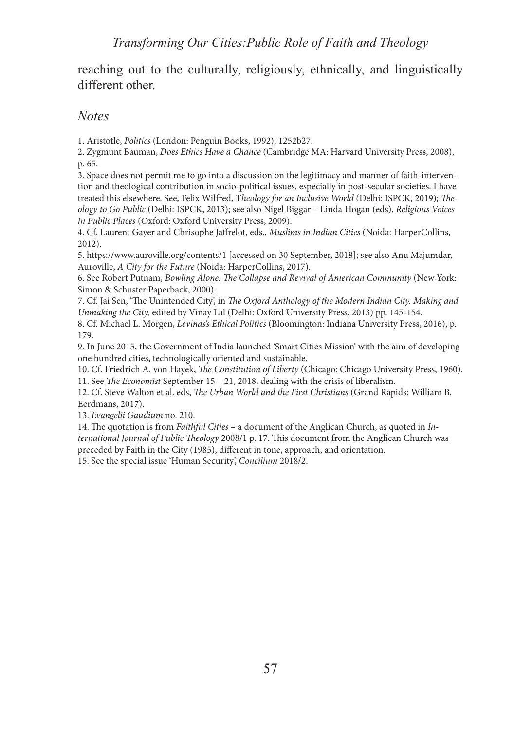reaching out to the culturally, religiously, ethnically, and linguistically different other.

# *Notes*

1. Aristotle, *Politics* (London: Penguin Books, 1992), 1252b27.

2. Zygmunt Bauman, *Does Ethics Have a Chance* (Cambridge MA: Harvard University Press, 2008), p. 65.

3. Space does not permit me to go into a discussion on the legitimacy and manner of faith-intervention and theological contribution in socio-political issues, especially in post-secular societies. I have treated this elsewhere. See, Felix Wilfred, T*heology for an Inclusive World* (Delhi: ISPCK, 2019); *Theology to Go Public* (Delhi: ISPCK, 2013); see also Nigel Biggar – Linda Hogan (eds), *Religious Voices in Public Places* (Oxford: Oxford University Press, 2009).

4. Cf. Laurent Gayer and Chrisophe Jaffrelot, eds., *Muslims in Indian Cities* (Noida: HarperCollins, 2012).

5. https://www.auroville.org/contents/1 [accessed on 30 September, 2018]; see also Anu Majumdar, Auroville, *A City for the Future* (Noida: HarperCollins, 2017).

6. See Robert Putnam, *Bowling Alone. The Collapse and Revival of American Community* (New York: Simon & Schuster Paperback, 2000).

7. Cf. Jai Sen, 'The Unintended City', in *The Oxford Anthology of the Modern Indian City. Making and Unmaking the City,* edited by Vinay Lal (Delhi: Oxford University Press, 2013) pp. 145-154.

8. Cf. Michael L. Morgen, *Levinas's Ethical Politics* (Bloomington: Indiana University Press, 2016), p. 179.

9. In June 2015, the Government of India launched 'Smart Cities Mission' with the aim of developing one hundred cities, technologically oriented and sustainable.

10. Cf. Friedrich A. von Hayek, *The Constitution of Liberty* (Chicago: Chicago University Press, 1960). 11. See *The Economist* September 15 – 21, 2018, dealing with the crisis of liberalism.

12. Cf. Steve Walton et al. eds, *The Urban World and the First Christians* (Grand Rapids: William B. Eerdmans, 2017).

13. *Evangelii Gaudium* no. 210.

14. The quotation is from *Faithful Cities* – a document of the Anglican Church, as quoted in *International Journal of Public Theology* 2008/1 p. 17. This document from the Anglican Church was preceded by Faith in the City (1985), different in tone, approach, and orientation.

15. See the special issue 'Human Security', *Concilium* 2018/2.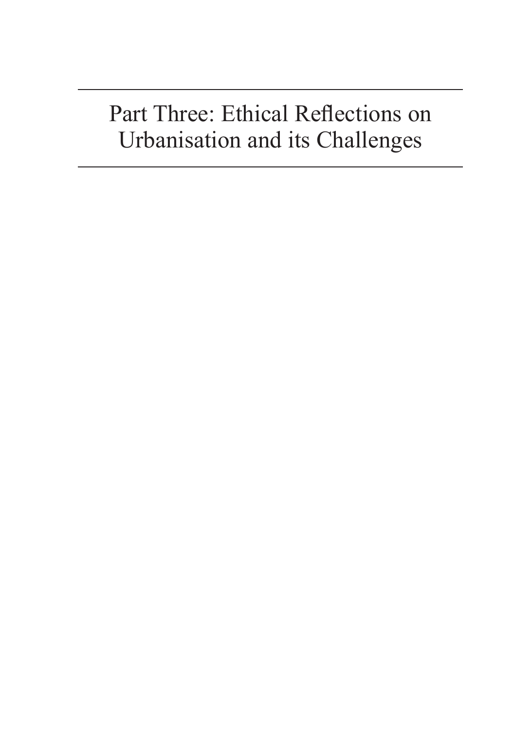# Part Three: Ethical Reflections on Urbanisation and its Challenges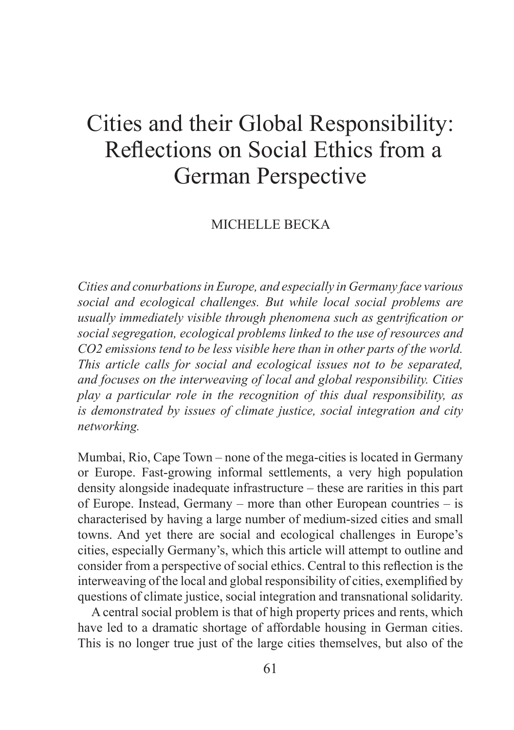# Cities and their Global Responsibility: Reflections on Social Ethics from a German Perspective

## MICHELLE BECKA

*Cities and conurbations in Europe, and especially in Germany face various social and ecological challenges. But while local social problems are usually immediately visible through phenomena such as gentrification or social segregation, ecological problems linked to the use of resources and CO2 emissions tend to be less visible here than in other parts of the world. This article calls for social and ecological issues not to be separated, and focuses on the interweaving of local and global responsibility. Cities play a particular role in the recognition of this dual responsibility, as is demonstrated by issues of climate justice, social integration and city networking.*

Mumbai, Rio, Cape Town – none of the mega-cities is located in Germany or Europe. Fast-growing informal settlements, a very high population density alongside inadequate infrastructure – these are rarities in this part of Europe. Instead, Germany – more than other European countries – is characterised by having a large number of medium-sized cities and small towns. And yet there are social and ecological challenges in Europe's cities, especially Germany's, which this article will attempt to outline and consider from a perspective of social ethics. Central to this reflection is the interweaving of the local and global responsibility of cities, exemplified by questions of climate justice, social integration and transnational solidarity.

A central social problem is that of high property prices and rents, which have led to a dramatic shortage of affordable housing in German cities. This is no longer true just of the large cities themselves, but also of the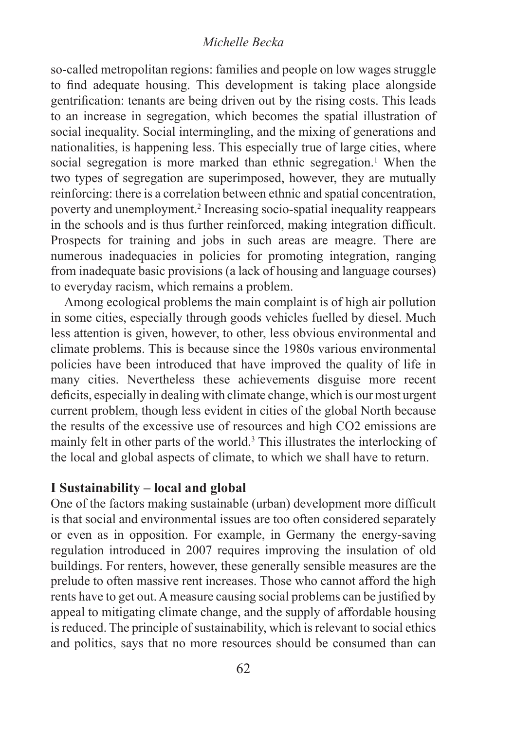#### *Michelle Becka*

so-called metropolitan regions: families and people on low wages struggle to find adequate housing. This development is taking place alongside gentrification: tenants are being driven out by the rising costs. This leads to an increase in segregation, which becomes the spatial illustration of social inequality. Social intermingling, and the mixing of generations and nationalities, is happening less. This especially true of large cities, where social segregation is more marked than ethnic segregation.<sup>1</sup> When the two types of segregation are superimposed, however, they are mutually reinforcing: there is a correlation between ethnic and spatial concentration, poverty and unemployment.2 Increasing socio-spatial inequality reappears in the schools and is thus further reinforced, making integration difficult. Prospects for training and jobs in such areas are meagre. There are numerous inadequacies in policies for promoting integration, ranging from inadequate basic provisions (a lack of housing and language courses) to everyday racism, which remains a problem.

Among ecological problems the main complaint is of high air pollution in some cities, especially through goods vehicles fuelled by diesel. Much less attention is given, however, to other, less obvious environmental and climate problems. This is because since the 1980s various environmental policies have been introduced that have improved the quality of life in many cities. Nevertheless these achievements disguise more recent deficits, especially in dealing with climate change, which is our most urgent current problem, though less evident in cities of the global North because the results of the excessive use of resources and high CO2 emissions are mainly felt in other parts of the world.<sup>3</sup> This illustrates the interlocking of the local and global aspects of climate, to which we shall have to return.

# **I Sustainability – local and global**

One of the factors making sustainable (urban) development more difficult is that social and environmental issues are too often considered separately or even as in opposition. For example, in Germany the energy-saving regulation introduced in 2007 requires improving the insulation of old buildings. For renters, however, these generally sensible measures are the prelude to often massive rent increases. Those who cannot afford the high rents have to get out. A measure causing social problems can be justified by appeal to mitigating climate change, and the supply of affordable housing is reduced. The principle of sustainability, which is relevant to social ethics and politics, says that no more resources should be consumed than can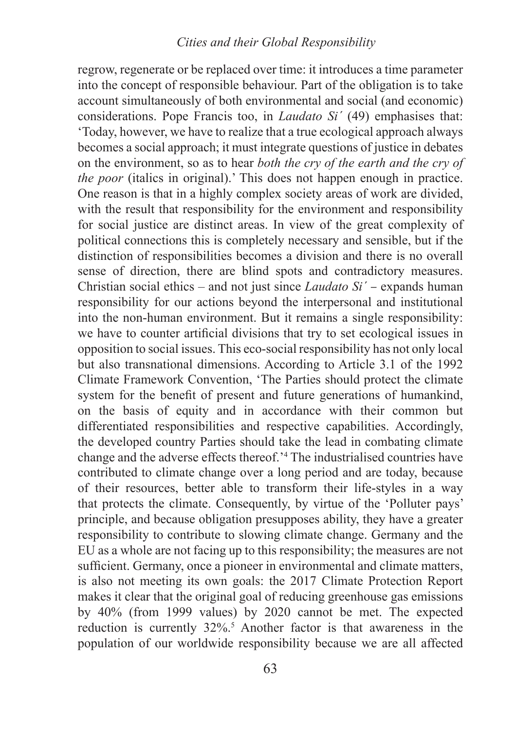# *Reflections on Social Ethics from a German Perspective Cities and their Global Responsibility*

regrow, regenerate or be replaced over time: it introduces a time parameter into the concept of responsible behaviour. Part of the obligation is to take account simultaneously of both environmental and social (and economic) considerations. Pope Francis too, in *Laudato Si´* (49) emphasises that: 'Today, however, we have to realize that a true ecological approach always becomes a social approach; it must integrate questions of justice in debates on the environment, so as to hear *both the cry of the earth and the cry of the poor* (italics in original).' This does not happen enough in practice. One reason is that in a highly complex society areas of work are divided, with the result that responsibility for the environment and responsibility for social justice are distinct areas. In view of the great complexity of political connections this is completely necessary and sensible, but if the distinction of responsibilities becomes a division and there is no overall sense of direction, there are blind spots and contradictory measures. Christian social ethics – and not just since *Laudato Si´* – expands human responsibility for our actions beyond the interpersonal and institutional into the non-human environment. But it remains a single responsibility: we have to counter artificial divisions that try to set ecological issues in opposition to social issues. This eco-social responsibility has not only local but also transnational dimensions. According to Article 3.1 of the 1992 Climate Framework Convention, 'The Parties should protect the climate system for the benefit of present and future generations of humankind, on the basis of equity and in accordance with their common but differentiated responsibilities and respective capabilities. Accordingly, the developed country Parties should take the lead in combating climate change and the adverse effects thereof.'<sup>4</sup> The industrialised countries have contributed to climate change over a long period and are today, because of their resources, better able to transform their life-styles in a way that protects the climate. Consequently, by virtue of the 'Polluter pays' principle, and because obligation presupposes ability, they have a greater responsibility to contribute to slowing climate change. Germany and the EU as a whole are not facing up to this responsibility; the measures are not sufficient. Germany, once a pioneer in environmental and climate matters, is also not meeting its own goals: the 2017 Climate Protection Report makes it clear that the original goal of reducing greenhouse gas emissions by 40% (from 1999 values) by 2020 cannot be met. The expected reduction is currently 32%.<sup>5</sup> Another factor is that awareness in the population of our worldwide responsibility because we are all affected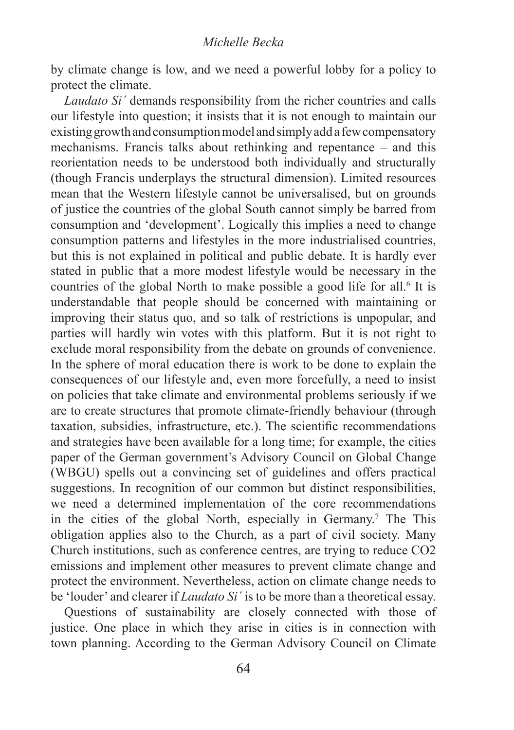by climate change is low, and we need a powerful lobby for a policy to protect the climate.

*Laudato Si´* demands responsibility from the richer countries and calls our lifestyle into question; it insists that it is not enough to maintain our existing growth and consumption model and simply add a few compensatory mechanisms. Francis talks about rethinking and repentance – and this reorientation needs to be understood both individually and structurally (though Francis underplays the structural dimension). Limited resources mean that the Western lifestyle cannot be universalised, but on grounds of justice the countries of the global South cannot simply be barred from consumption and 'development'. Logically this implies a need to change consumption patterns and lifestyles in the more industrialised countries, but this is not explained in political and public debate. It is hardly ever stated in public that a more modest lifestyle would be necessary in the countries of the global North to make possible a good life for all.<sup>6</sup> It is understandable that people should be concerned with maintaining or improving their status quo, and so talk of restrictions is unpopular, and parties will hardly win votes with this platform. But it is not right to exclude moral responsibility from the debate on grounds of convenience. In the sphere of moral education there is work to be done to explain the consequences of our lifestyle and, even more forcefully, a need to insist on policies that take climate and environmental problems seriously if we are to create structures that promote climate-friendly behaviour (through taxation, subsidies, infrastructure, etc.). The scientific recommendations and strategies have been available for a long time; for example, the cities paper of the German government's Advisory Council on Global Change (WBGU) spells out a convincing set of guidelines and offers practical suggestions. In recognition of our common but distinct responsibilities, we need a determined implementation of the core recommendations in the cities of the global North, especially in Germany.7 The This obligation applies also to the Church, as a part of civil society. Many Church institutions, such as conference centres, are trying to reduce CO2 emissions and implement other measures to prevent climate change and protect the environment. Nevertheless, action on climate change needs to be 'louder' and clearer if *Laudato Si´* is to be more than a theoretical essay.

Questions of sustainability are closely connected with those of justice. One place in which they arise in cities is in connection with town planning. According to the German Advisory Council on Climate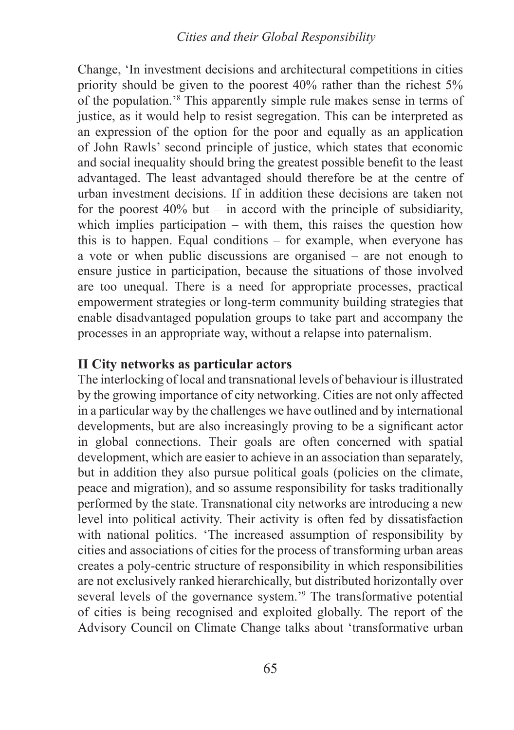Change, 'In investment decisions and architectural competitions in cities priority should be given to the poorest 40% rather than the richest 5% of the population.'<sup>8</sup> This apparently simple rule makes sense in terms of justice, as it would help to resist segregation. This can be interpreted as an expression of the option for the poor and equally as an application of John Rawls' second principle of justice, which states that economic and social inequality should bring the greatest possible benefit to the least advantaged. The least advantaged should therefore be at the centre of urban investment decisions. If in addition these decisions are taken not for the poorest  $40\%$  but – in accord with the principle of subsidiarity, which implies participation – with them, this raises the question how this is to happen. Equal conditions – for example, when everyone has a vote or when public discussions are organised – are not enough to ensure justice in participation, because the situations of those involved are too unequal. There is a need for appropriate processes, practical empowerment strategies or long-term community building strategies that enable disadvantaged population groups to take part and accompany the processes in an appropriate way, without a relapse into paternalism.

# **II City networks as particular actors**

The interlocking of local and transnational levels of behaviour is illustrated by the growing importance of city networking. Cities are not only affected in a particular way by the challenges we have outlined and by international developments, but are also increasingly proving to be a significant actor in global connections. Their goals are often concerned with spatial development, which are easier to achieve in an association than separately, but in addition they also pursue political goals (policies on the climate, peace and migration), and so assume responsibility for tasks traditionally performed by the state. Transnational city networks are introducing a new level into political activity. Their activity is often fed by dissatisfaction with national politics. 'The increased assumption of responsibility by cities and associations of cities for the process of transforming urban areas creates a poly-centric structure of responsibility in which responsibilities are not exclusively ranked hierarchically, but distributed horizontally over several levels of the governance system.'<sup>9</sup> The transformative potential of cities is being recognised and exploited globally. The report of the Advisory Council on Climate Change talks about 'transformative urban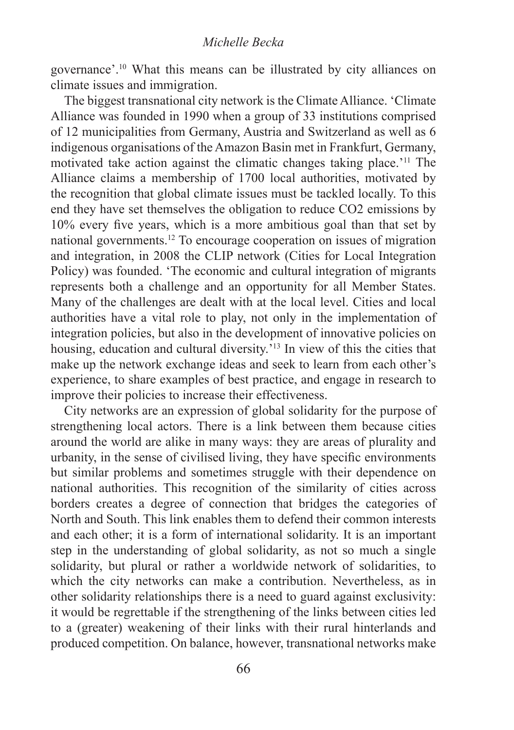governance'.10 What this means can be illustrated by city alliances on climate issues and immigration.

The biggest transnational city network is the Climate Alliance. 'Climate Alliance was founded in 1990 when a group of 33 institutions comprised of 12 municipalities from Germany, Austria and Switzerland as well as 6 indigenous organisations of the Amazon Basin met in Frankfurt, Germany, motivated take action against the climatic changes taking place.'11 The Alliance claims a membership of 1700 local authorities, motivated by the recognition that global climate issues must be tackled locally. To this end they have set themselves the obligation to reduce CO2 emissions by 10% every five years, which is a more ambitious goal than that set by national governments.12 To encourage cooperation on issues of migration and integration, in 2008 the CLIP network (Cities for Local Integration Policy) was founded. 'The economic and cultural integration of migrants represents both a challenge and an opportunity for all Member States. Many of the challenges are dealt with at the local level. Cities and local authorities have a vital role to play, not only in the implementation of integration policies, but also in the development of innovative policies on housing, education and cultural diversity.'13 In view of this the cities that make up the network exchange ideas and seek to learn from each other's experience, to share examples of best practice, and engage in research to improve their policies to increase their effectiveness.

City networks are an expression of global solidarity for the purpose of strengthening local actors. There is a link between them because cities around the world are alike in many ways: they are areas of plurality and urbanity, in the sense of civilised living, they have specific environments but similar problems and sometimes struggle with their dependence on national authorities. This recognition of the similarity of cities across borders creates a degree of connection that bridges the categories of North and South. This link enables them to defend their common interests and each other; it is a form of international solidarity. It is an important step in the understanding of global solidarity, as not so much a single solidarity, but plural or rather a worldwide network of solidarities, to which the city networks can make a contribution. Nevertheless, as in other solidarity relationships there is a need to guard against exclusivity: it would be regrettable if the strengthening of the links between cities led to a (greater) weakening of their links with their rural hinterlands and produced competition. On balance, however, transnational networks make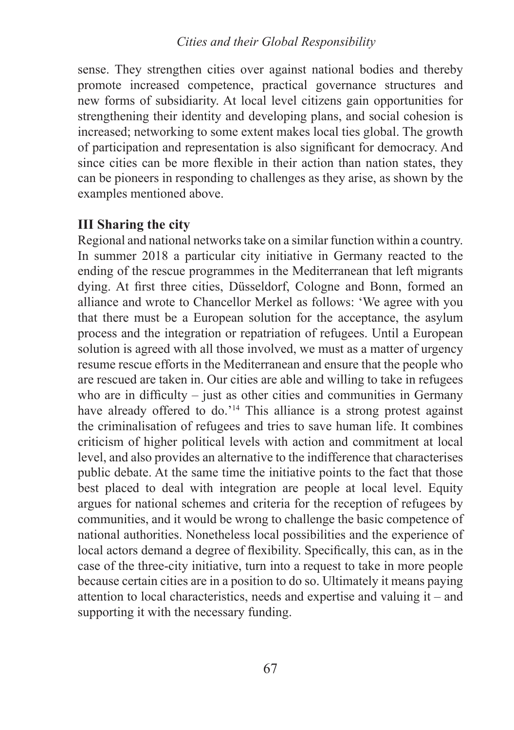# *Reflections on Social Ethics from a German Perspective Cities and their Global Responsibility*

sense. They strengthen cities over against national bodies and thereby promote increased competence, practical governance structures and new forms of subsidiarity. At local level citizens gain opportunities for strengthening their identity and developing plans, and social cohesion is increased; networking to some extent makes local ties global. The growth of participation and representation is also significant for democracy. And since cities can be more flexible in their action than nation states, they can be pioneers in responding to challenges as they arise, as shown by the examples mentioned above.

# **III Sharing the city**

Regional and national networks take on a similar function within a country. In summer 2018 a particular city initiative in Germany reacted to the ending of the rescue programmes in the Mediterranean that left migrants dying. At first three cities, Düsseldorf, Cologne and Bonn, formed an alliance and wrote to Chancellor Merkel as follows: 'We agree with you that there must be a European solution for the acceptance, the asylum process and the integration or repatriation of refugees. Until a European solution is agreed with all those involved, we must as a matter of urgency resume rescue efforts in the Mediterranean and ensure that the people who are rescued are taken in. Our cities are able and willing to take in refugees who are in difficulty – just as other cities and communities in Germany have already offered to do.'<sup>14</sup> This alliance is a strong protest against the criminalisation of refugees and tries to save human life. It combines criticism of higher political levels with action and commitment at local level, and also provides an alternative to the indifference that characterises public debate. At the same time the initiative points to the fact that those best placed to deal with integration are people at local level. Equity argues for national schemes and criteria for the reception of refugees by communities, and it would be wrong to challenge the basic competence of national authorities. Nonetheless local possibilities and the experience of local actors demand a degree of flexibility. Specifically, this can, as in the case of the three-city initiative, turn into a request to take in more people because certain cities are in a position to do so. Ultimately it means paying attention to local characteristics, needs and expertise and valuing it – and supporting it with the necessary funding.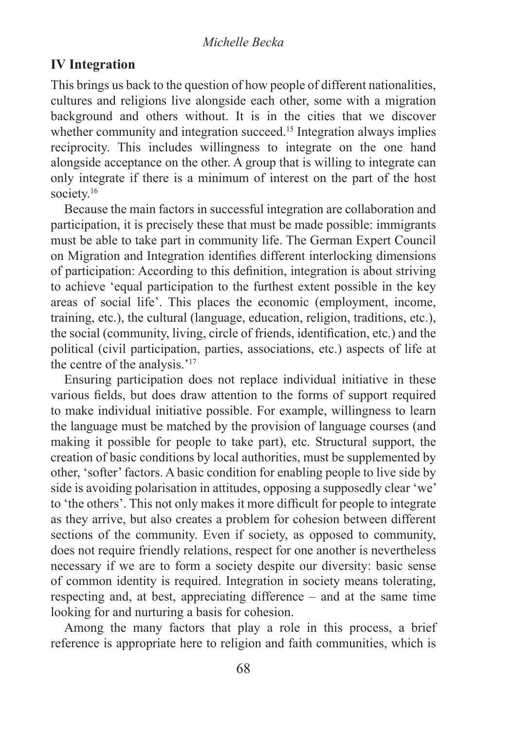#### *Michelle Becka*

# **IV Integration**

This brings us back to the question of how people of different nationalities, cultures and religions live alongside each other, some with a migration background and others without. It is in the cities that we discover whether community and integration succeed.<sup>15</sup> Integration always implies reciprocity. This includes willingness to integrate on the one hand alongside acceptance on the other. A group that is willing to integrate can only integrate if there is a minimum of interest on the part of the host society.<sup>16</sup>

Because the main factors in successful integration are collaboration and participation, it is precisely these that must be made possible: immigrants must be able to take part in community life. The German Expert Council on Migration and Integration identifies different interlocking dimensions of participation: According to this definition, integration is about striving to achieve 'equal participation to the furthest extent possible in the key areas of social life'. This places the economic (employment, income, training, etc.), the cultural (language, education, religion, traditions, etc.), the social (community, living, circle of friends, identification, etc.) and the political (civil participation, parties, associations, etc.) aspects of life at the centre of the analysis.'<sup>17</sup>

Ensuring participation does not replace individual initiative in these various fields, but does draw attention to the forms of support required to make individual initiative possible. For example, willingness to learn the language must be matched by the provision of language courses (and making it possible for people to take part), etc. Structural support, the creation of basic conditions by local authorities, must be supplemented by other, 'softer' factors. A basic condition for enabling people to live side by side is avoiding polarisation in attitudes, opposing a supposedly clear 'we' to 'the others'. This not only makes it more difficult for people to integrate as they arrive, but also creates a problem for cohesion between different sections of the community. Even if society, as opposed to community, does not require friendly relations, respect for one another is nevertheless necessary if we are to form a society despite our diversity: basic sense of common identity is required. Integration in society means tolerating, respecting and, at best, appreciating difference – and at the same time looking for and nurturing a basis for cohesion.

Among the many factors that play a role in this process, a brief reference is appropriate here to religion and faith communities, which is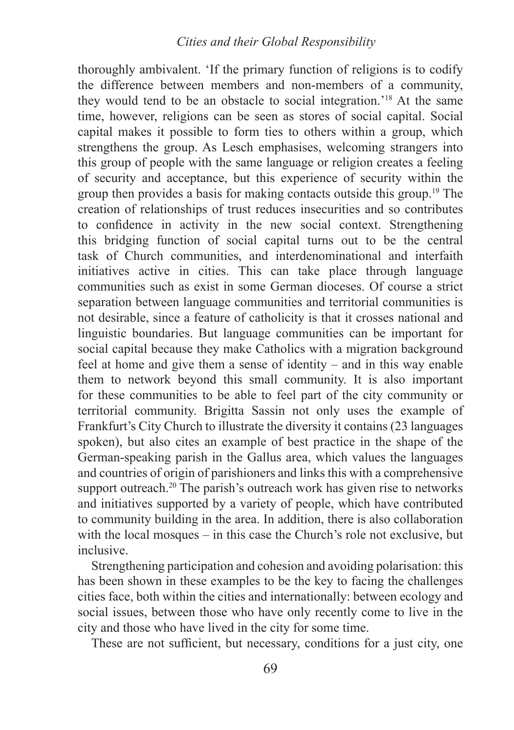# *Reflections on Social Ethics from a German Perspective Cities and their Global Responsibility*

thoroughly ambivalent. 'If the primary function of religions is to codify the difference between members and non-members of a community, they would tend to be an obstacle to social integration.'18 At the same time, however, religions can be seen as stores of social capital. Social capital makes it possible to form ties to others within a group, which strengthens the group. As Lesch emphasises, welcoming strangers into this group of people with the same language or religion creates a feeling of security and acceptance, but this experience of security within the group then provides a basis for making contacts outside this group.19 The creation of relationships of trust reduces insecurities and so contributes to confidence in activity in the new social context. Strengthening this bridging function of social capital turns out to be the central task of Church communities, and interdenominational and interfaith initiatives active in cities. This can take place through language communities such as exist in some German dioceses. Of course a strict separation between language communities and territorial communities is not desirable, since a feature of catholicity is that it crosses national and linguistic boundaries. But language communities can be important for social capital because they make Catholics with a migration background feel at home and give them a sense of identity – and in this way enable them to network beyond this small community. It is also important for these communities to be able to feel part of the city community or territorial community. Brigitta Sassin not only uses the example of Frankfurt's City Church to illustrate the diversity it contains (23 languages spoken), but also cites an example of best practice in the shape of the German-speaking parish in the Gallus area, which values the languages and countries of origin of parishioners and links this with a comprehensive support outreach.<sup>20</sup> The parish's outreach work has given rise to networks and initiatives supported by a variety of people, which have contributed to community building in the area. In addition, there is also collaboration with the local mosques – in this case the Church's role not exclusive, but inclusive.

Strengthening participation and cohesion and avoiding polarisation: this has been shown in these examples to be the key to facing the challenges cities face, both within the cities and internationally: between ecology and social issues, between those who have only recently come to live in the city and those who have lived in the city for some time.

These are not sufficient, but necessary, conditions for a just city, one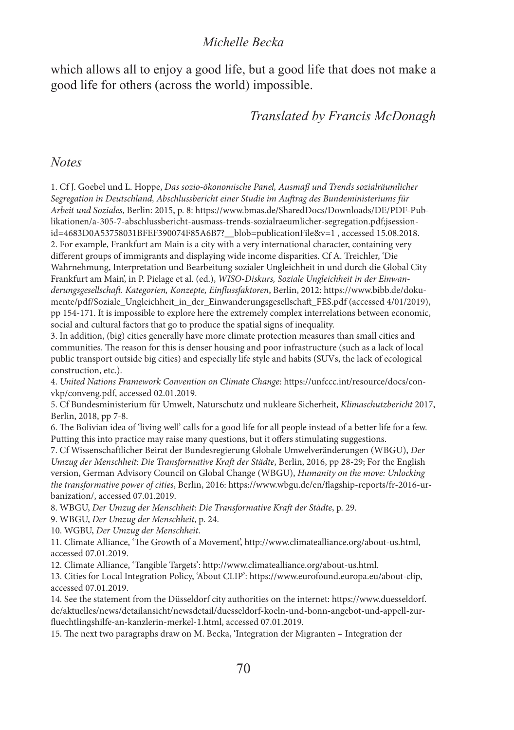#### *Michelle Becka*

which allows all to enjoy a good life, but a good life that does not make a good life for others (across the world) impossible.

# *Translated by Francis McDonagh*

*Notes*

1. Cf J. Goebel und L. Hoppe, *Das sozio-ökonomische Panel, Ausmaß und Trends sozialräumlicher Segregation in Deutschland, Abschlussbericht einer Studie im Auftrag des Bundeministeriums für Arbeit und Soziales*, Berlin: 2015, p. 8: https://www.bmas.de/SharedDocs/Downloads/DE/PDF-Publikationen/a-305-7-abschlussbericht-ausmass-trends-sozialraeumlicher-segregation.pdf;jsessionid=4683D0A53758031BFEF390074F85A6B7?\_\_blob=publicationFile&v=1 , accessed 15.08.2018. 2. For example, Frankfurt am Main is a city with a very international character, containing very different groups of immigrants and displaying wide income disparities. Cf A. Treichler, 'Die Wahrnehmung, Interpretation und Bearbeitung sozialer Ungleichheit in und durch die Global City Frankfurt am Main', in P. Pielage et al. (ed.), *WISO-Diskurs, Soziale Ungleichheit in der Einwanderungsgesellschaft. Kategorien, Konzepte, Einflussfaktoren*, Berlin, 2012: https://www.bibb.de/dokumente/pdf/Soziale\_Ungleichheit\_in\_der\_Einwanderungsgesellschaft\_FES.pdf (accessed 4/01/2019), pp 154-171. It is impossible to explore here the extremely complex interrelations between economic, social and cultural factors that go to produce the spatial signs of inequality.

3. In addition, (big) cities generally have more climate protection measures than small cities and communities. The reason for this is denser housing and poor infrastructure (such as a lack of local public transport outside big cities) and especially life style and habits (SUVs, the lack of ecological construction, etc.).

4. *United Nations Framework Convention on Climate Change*: https://unfccc.int/resource/docs/convkp/conveng.pdf, accessed 02.01.2019.

5. Cf Bundesministerium für Umwelt, Naturschutz und nukleare Sicherheit, *Klimaschutzbericht* 2017, Berlin, 2018, pp 7-8.

6. The Bolivian idea of 'living well' calls for a good life for all people instead of a better life for a few. Putting this into practice may raise many questions, but it offers stimulating suggestions.

7. Cf Wissenschaftlicher Beirat der Bundesregierung Globale Umwelveränderungen (WBGU), *Der Umzug der Menschheit: Die Transformative Kraft der Städte*, Berlin, 2016, pp 28-29; For the English version, German Advisory Council on Global Change (WBGU), *Humanity on the move: Unlocking the transformative power of cities*, Berlin, 2016: https://www.wbgu.de/en/flagship-reports/fr-2016-urbanization/, accessed 07.01.2019.

8. WBGU, *Der Umzug der Menschheit: Die Transformative Kraft der Städte*, p. 29.

9. WBGU, *Der Umzug der Menschheit*, p. 24.

10. WGBU, *Der Umzug der Menschheit*.

11. Climate Alliance, 'The Growth of a Movement', http://www.climatealliance.org/about-us.html, accessed 07.01.2019.

12. Climate Alliance, 'Tangible Targets': http://www.climatealliance.org/about-us.html.

13. Cities for Local Integration Policy, 'About CLIP': https://www.eurofound.europa.eu/about-clip, accessed 07.01.2019.

14. See the statement from the Düsseldorf city authorities on the internet: https://www.duesseldorf. de/aktuelles/news/detailansicht/newsdetail/duesseldorf-koeln-und-bonn-angebot-und-appell-zurfluechtlingshilfe-an-kanzlerin-merkel-1.html, accessed 07.01.2019.

15. The next two paragraphs draw on M. Becka, 'Integration der Migranten – Integration der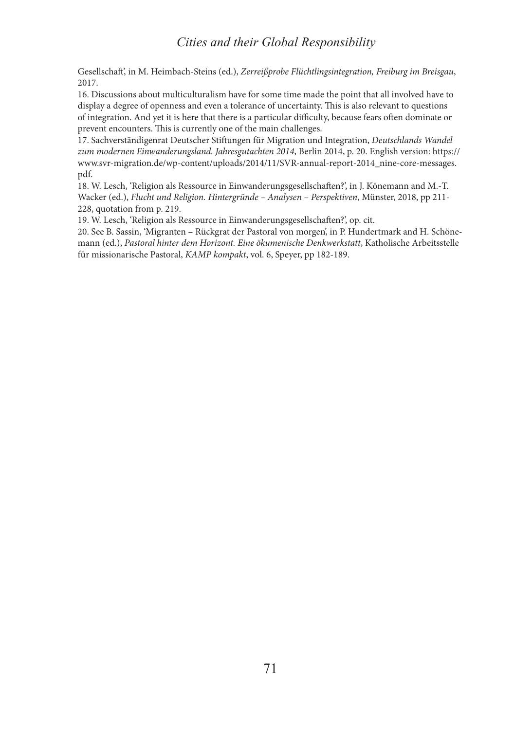# *Cities and their Global Responsibility*

Gesellschaft', in M. Heimbach-Steins (ed.), *Zerreißprobe Flüchtlingsintegration, Freiburg im Breisgau*, 2017.

16. Discussions about multiculturalism have for some time made the point that all involved have to display a degree of openness and even a tolerance of uncertainty. This is also relevant to questions of integration. And yet it is here that there is a particular difficulty, because fears often dominate or prevent encounters. This is currently one of the main challenges.

17. Sachverständigenrat Deutscher Stiftungen für Migration und Integration, *Deutschlands Wandel zum modernen Einwanderungsland. Jahresgutachten 2014*, Berlin 2014, p. 20. English version: https:// www.svr-migration.de/wp-content/uploads/2014/11/SVR-annual-report-2014\_nine-core-messages. pdf.

18. W. Lesch, 'Religion als Ressource in Einwanderungsgesellschaften?', in J. Könemann and M.-T. Wacker (ed.), *Flucht und Religion. Hintergründe – Analysen – Perspektiven*, Münster, 2018, pp 211- 228, quotation from p. 219.

19. W. Lesch, 'Religion als Ressource in Einwanderungsgesellschaften?', op. cit.

20. See B. Sassin, 'Migranten – Rückgrat der Pastoral von morgen', in P. Hundertmark and H. Schönemann (ed.), *Pastoral hinter dem Horizont. Eine ökumenische Denkwerkstatt*, Katholische Arbeitsstelle für missionarische Pastoral, *KAMP kompakt*, vol. 6, Speyer, pp 182-189.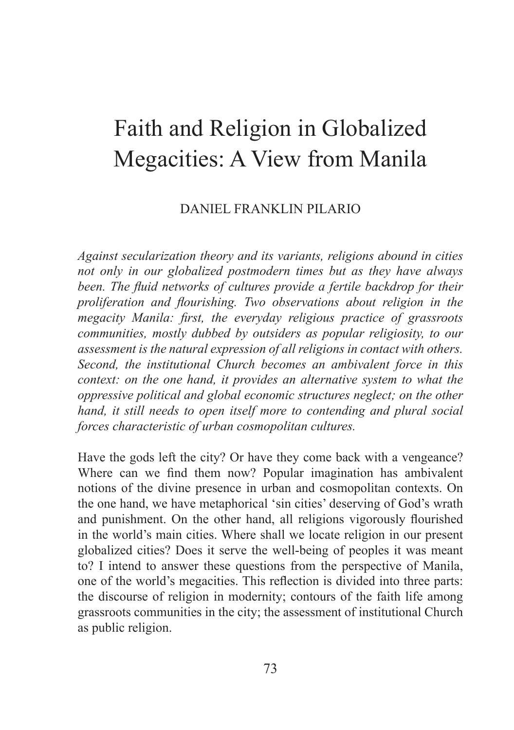## Faith and Religion in Globalized Megacities: A View from Manila

## DANIEL FRANKLIN PILARIO

*Against secularization theory and its variants, religions abound in cities not only in our globalized postmodern times but as they have always been. The fluid networks of cultures provide a fertile backdrop for their proliferation and flourishing. Two observations about religion in the megacity Manila: first, the everyday religious practice of grassroots communities, mostly dubbed by outsiders as popular religiosity, to our assessment is the natural expression of all religions in contact with others. Second, the institutional Church becomes an ambivalent force in this context: on the one hand, it provides an alternative system to what the oppressive political and global economic structures neglect; on the other hand, it still needs to open itself more to contending and plural social forces characteristic of urban cosmopolitan cultures.*

Have the gods left the city? Or have they come back with a vengeance? Where can we find them now? Popular imagination has ambivalent notions of the divine presence in urban and cosmopolitan contexts. On the one hand, we have metaphorical 'sin cities' deserving of God's wrath and punishment. On the other hand, all religions vigorously flourished in the world's main cities. Where shall we locate religion in our present globalized cities? Does it serve the well-being of peoples it was meant to? I intend to answer these questions from the perspective of Manila, one of the world's megacities. This reflection is divided into three parts: the discourse of religion in modernity; contours of the faith life among grassroots communities in the city; the assessment of institutional Church as public religion.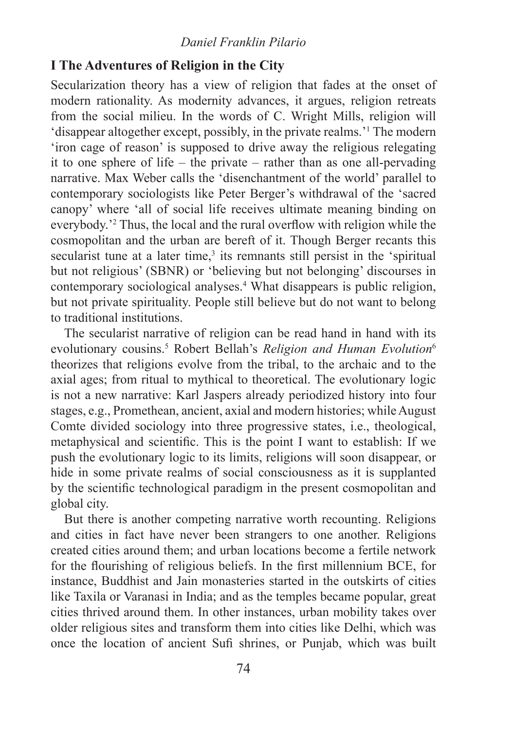#### *Daniel Franklin Pilario*

## **I The Adventures of Religion in the City**

Secularization theory has a view of religion that fades at the onset of modern rationality. As modernity advances, it argues, religion retreats from the social milieu. In the words of C. Wright Mills, religion will 'disappear altogether except, possibly, in the private realms.'<sup>1</sup> The modern 'iron cage of reason' is supposed to drive away the religious relegating it to one sphere of life – the private – rather than as one all-pervading narrative. Max Weber calls the 'disenchantment of the world' parallel to contemporary sociologists like Peter Berger's withdrawal of the 'sacred canopy' where 'all of social life receives ultimate meaning binding on everybody.'<sup>2</sup> Thus, the local and the rural overflow with religion while the cosmopolitan and the urban are bereft of it. Though Berger recants this secularist tune at a later time,<sup>3</sup> its remnants still persist in the 'spiritual but not religious' (SBNR) or 'believing but not belonging' discourses in contemporary sociological analyses.4 What disappears is public religion, but not private spirituality. People still believe but do not want to belong to traditional institutions.

The secularist narrative of religion can be read hand in hand with its evolutionary cousins.<sup>5</sup> Robert Bellah's *Religion and Human Evolution*<sup>6</sup> theorizes that religions evolve from the tribal, to the archaic and to the axial ages; from ritual to mythical to theoretical. The evolutionary logic is not a new narrative: Karl Jaspers already periodized history into four stages, e.g., Promethean, ancient, axial and modern histories; while August Comte divided sociology into three progressive states, i.e., theological, metaphysical and scientific. This is the point I want to establish: If we push the evolutionary logic to its limits, religions will soon disappear, or hide in some private realms of social consciousness as it is supplanted by the scientific technological paradigm in the present cosmopolitan and global city.

But there is another competing narrative worth recounting. Religions and cities in fact have never been strangers to one another. Religions created cities around them; and urban locations become a fertile network for the flourishing of religious beliefs. In the first millennium BCE, for instance, Buddhist and Jain monasteries started in the outskirts of cities like Taxila or Varanasi in India; and as the temples became popular, great cities thrived around them. In other instances, urban mobility takes over older religious sites and transform them into cities like Delhi, which was once the location of ancient Sufi shrines, or Punjab, which was built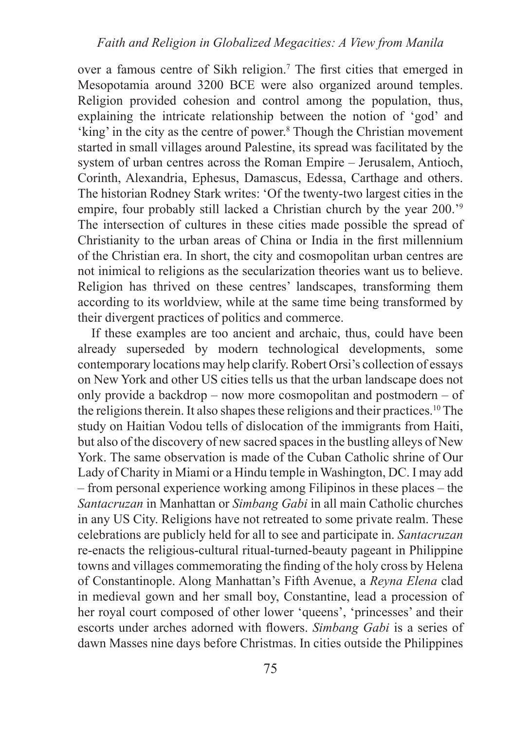over a famous centre of Sikh religion.7 The first cities that emerged in Mesopotamia around 3200 BCE were also organized around temples. Religion provided cohesion and control among the population, thus, explaining the intricate relationship between the notion of 'god' and 'king' in the city as the centre of power.<sup>8</sup> Though the Christian movement started in small villages around Palestine, its spread was facilitated by the system of urban centres across the Roman Empire – Jerusalem, Antioch, Corinth, Alexandria, Ephesus, Damascus, Edessa, Carthage and others. The historian Rodney Stark writes: 'Of the twenty-two largest cities in the empire, four probably still lacked a Christian church by the year 200.'<sup>9</sup> The intersection of cultures in these cities made possible the spread of Christianity to the urban areas of China or India in the first millennium of the Christian era. In short, the city and cosmopolitan urban centres are not inimical to religions as the secularization theories want us to believe. Religion has thrived on these centres' landscapes, transforming them according to its worldview, while at the same time being transformed by their divergent practices of politics and commerce.

If these examples are too ancient and archaic, thus, could have been already superseded by modern technological developments, some contemporary locations may help clarify. Robert Orsi's collection of essays on New York and other US cities tells us that the urban landscape does not only provide a backdrop – now more cosmopolitan and postmodern – of the religions therein. It also shapes these religions and their practices.10 The study on Haitian Vodou tells of dislocation of the immigrants from Haiti, but also of the discovery of new sacred spaces in the bustling alleys of New York. The same observation is made of the Cuban Catholic shrine of Our Lady of Charity in Miami or a Hindu temple in Washington, DC. I may add – from personal experience working among Filipinos in these places – the *Santacruzan* in Manhattan or *Simbang Gabi* in all main Catholic churches in any US City. Religions have not retreated to some private realm. These celebrations are publicly held for all to see and participate in. *Santacruzan* re-enacts the religious-cultural ritual-turned-beauty pageant in Philippine towns and villages commemorating the finding of the holy cross by Helena of Constantinople. Along Manhattan's Fifth Avenue, a *Reyna Elena* clad in medieval gown and her small boy, Constantine, lead a procession of her royal court composed of other lower 'queens', 'princesses' and their escorts under arches adorned with flowers. *Simbang Gabi* is a series of dawn Masses nine days before Christmas. In cities outside the Philippines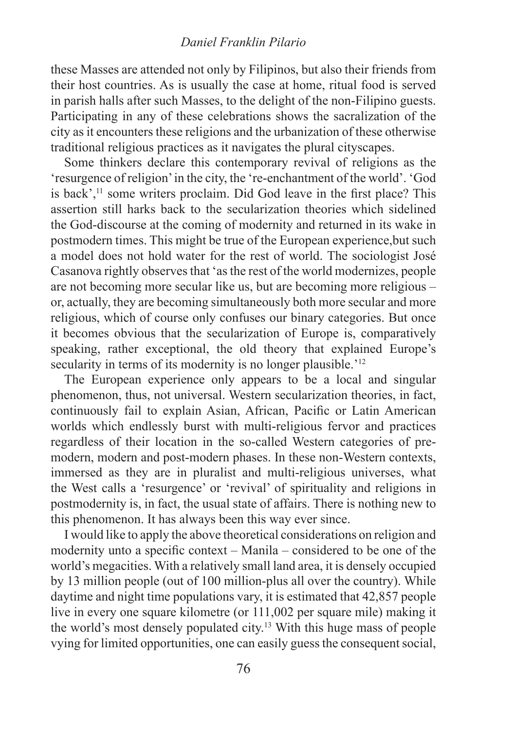#### *Daniel Franklin Pilario*

these Masses are attended not only by Filipinos, but also their friends from their host countries. As is usually the case at home, ritual food is served in parish halls after such Masses, to the delight of the non-Filipino guests. Participating in any of these celebrations shows the sacralization of the city as it encounters these religions and the urbanization of these otherwise traditional religious practices as it navigates the plural cityscapes.

Some thinkers declare this contemporary revival of religions as the 'resurgence of religion' in the city, the 're-enchantment of the world'. 'God is back',<sup>11</sup> some writers proclaim. Did God leave in the first place? This assertion still harks back to the secularization theories which sidelined the God-discourse at the coming of modernity and returned in its wake in postmodern times. This might be true of the European experience,but such a model does not hold water for the rest of world. The sociologist José Casanova rightly observes that 'as the rest of the world modernizes, people are not becoming more secular like us, but are becoming more religious – or, actually, they are becoming simultaneously both more secular and more religious, which of course only confuses our binary categories. But once it becomes obvious that the secularization of Europe is, comparatively speaking, rather exceptional, the old theory that explained Europe's secularity in terms of its modernity is no longer plausible.<sup>'12</sup>

The European experience only appears to be a local and singular phenomenon, thus, not universal. Western secularization theories, in fact, continuously fail to explain Asian, African, Pacific or Latin American worlds which endlessly burst with multi-religious fervor and practices regardless of their location in the so-called Western categories of premodern, modern and post-modern phases. In these non-Western contexts, immersed as they are in pluralist and multi-religious universes, what the West calls a 'resurgence' or 'revival' of spirituality and religions in postmodernity is, in fact, the usual state of affairs. There is nothing new to this phenomenon. It has always been this way ever since.

I would like to apply the above theoretical considerations on religion and modernity unto a specific context – Manila – considered to be one of the world's megacities. With a relatively small land area, it is densely occupied by 13 million people (out of 100 million-plus all over the country). While daytime and night time populations vary, it is estimated that 42,857 people live in every one square kilometre (or 111,002 per square mile) making it the world's most densely populated city.13 With this huge mass of people vying for limited opportunities, one can easily guess the consequent social,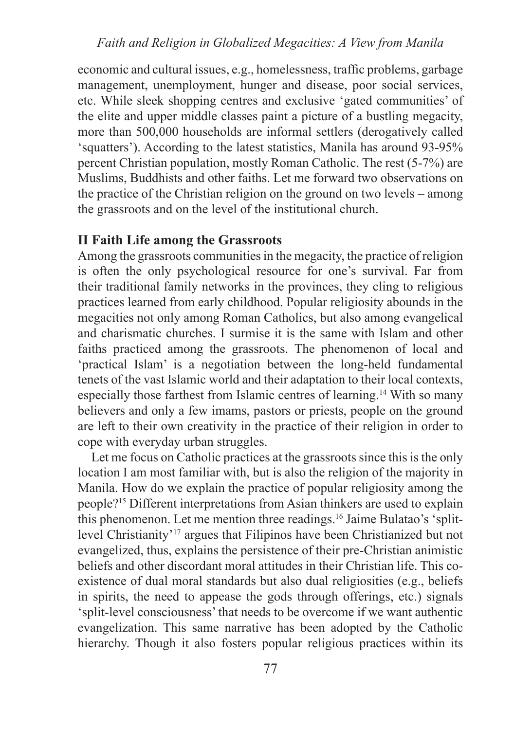#### *Faith and Religion in Globalized Megacities: A View from Manila*

economic and cultural issues, e.g., homelessness, traffic problems, garbage management, unemployment, hunger and disease, poor social services, etc. While sleek shopping centres and exclusive 'gated communities' of the elite and upper middle classes paint a picture of a bustling megacity, more than 500,000 households are informal settlers (derogatively called 'squatters'). According to the latest statistics, Manila has around 93-95% percent Christian population, mostly Roman Catholic. The rest (5-7%) are Muslims, Buddhists and other faiths. Let me forward two observations on the practice of the Christian religion on the ground on two levels – among the grassroots and on the level of the institutional church.

## **II Faith Life among the Grassroots**

Among the grassroots communities in the megacity, the practice of religion is often the only psychological resource for one's survival. Far from their traditional family networks in the provinces, they cling to religious practices learned from early childhood. Popular religiosity abounds in the megacities not only among Roman Catholics, but also among evangelical and charismatic churches. I surmise it is the same with Islam and other faiths practiced among the grassroots. The phenomenon of local and 'practical Islam' is a negotiation between the long-held fundamental tenets of the vast Islamic world and their adaptation to their local contexts, especially those farthest from Islamic centres of learning.14 With so many believers and only a few imams, pastors or priests, people on the ground are left to their own creativity in the practice of their religion in order to cope with everyday urban struggles.

Let me focus on Catholic practices at the grassroots since this is the only location I am most familiar with, but is also the religion of the majority in Manila. How do we explain the practice of popular religiosity among the people?15 Different interpretations from Asian thinkers are used to explain this phenomenon. Let me mention three readings.16 Jaime Bulatao's 'splitlevel Christianity'17 argues that Filipinos have been Christianized but not evangelized, thus, explains the persistence of their pre-Christian animistic beliefs and other discordant moral attitudes in their Christian life. This coexistence of dual moral standards but also dual religiosities (e.g., beliefs in spirits, the need to appease the gods through offerings, etc.) signals 'split-level consciousness' that needs to be overcome if we want authentic evangelization. This same narrative has been adopted by the Catholic hierarchy. Though it also fosters popular religious practices within its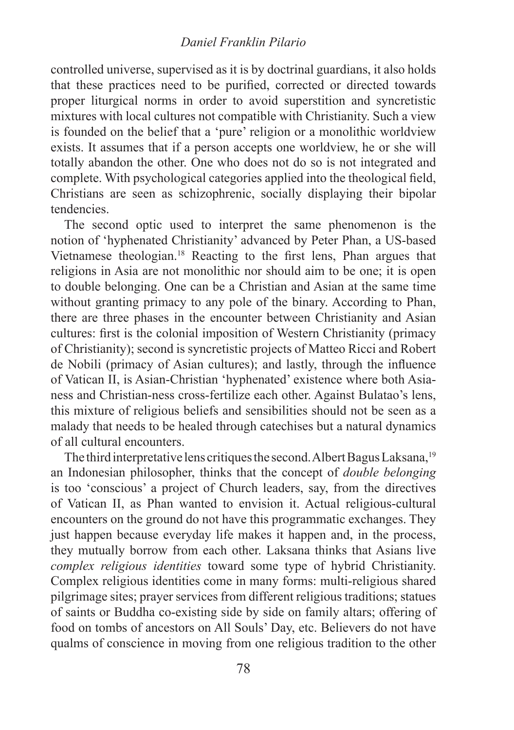#### *Daniel Franklin Pilario*

controlled universe, supervised as it is by doctrinal guardians, it also holds that these practices need to be purified, corrected or directed towards proper liturgical norms in order to avoid superstition and syncretistic mixtures with local cultures not compatible with Christianity. Such a view is founded on the belief that a 'pure' religion or a monolithic worldview exists. It assumes that if a person accepts one worldview, he or she will totally abandon the other. One who does not do so is not integrated and complete. With psychological categories applied into the theological field, Christians are seen as schizophrenic, socially displaying their bipolar tendencies.

The second optic used to interpret the same phenomenon is the notion of 'hyphenated Christianity' advanced by Peter Phan, a US-based Vietnamese theologian.18 Reacting to the first lens, Phan argues that religions in Asia are not monolithic nor should aim to be one; it is open to double belonging. One can be a Christian and Asian at the same time without granting primacy to any pole of the binary. According to Phan, there are three phases in the encounter between Christianity and Asian cultures: first is the colonial imposition of Western Christianity (primacy of Christianity); second is syncretistic projects of Matteo Ricci and Robert de Nobili (primacy of Asian cultures); and lastly, through the influence of Vatican II, is Asian-Christian 'hyphenated' existence where both Asianess and Christian-ness cross-fertilize each other. Against Bulatao's lens, this mixture of religious beliefs and sensibilities should not be seen as a malady that needs to be healed through catechises but a natural dynamics of all cultural encounters.

The third interpretative lens critiques the second. Albert Bagus Laksana,<sup>19</sup> an Indonesian philosopher, thinks that the concept of *double belonging*  is too 'conscious' a project of Church leaders, say, from the directives of Vatican II, as Phan wanted to envision it. Actual religious-cultural encounters on the ground do not have this programmatic exchanges. They just happen because everyday life makes it happen and, in the process, they mutually borrow from each other. Laksana thinks that Asians live *complex religious identities* toward some type of hybrid Christianity. Complex religious identities come in many forms: multi-religious shared pilgrimage sites; prayer services from different religious traditions; statues of saints or Buddha co-existing side by side on family altars; offering of food on tombs of ancestors on All Souls' Day, etc. Believers do not have qualms of conscience in moving from one religious tradition to the other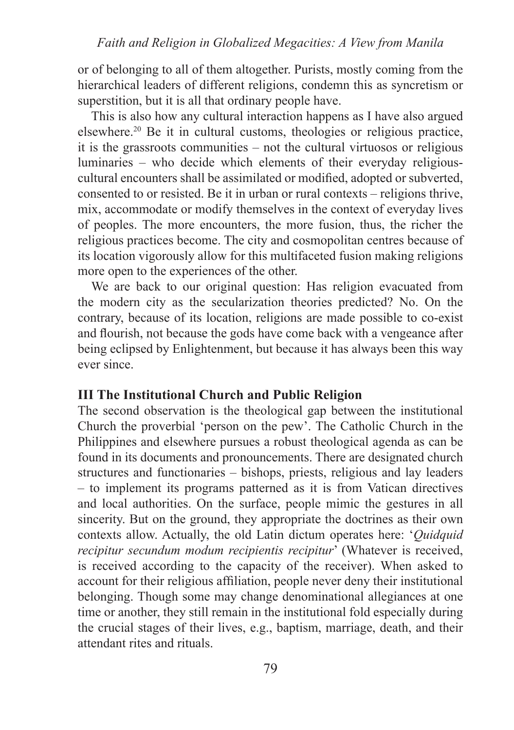or of belonging to all of them altogether. Purists, mostly coming from the hierarchical leaders of different religions, condemn this as syncretism or superstition, but it is all that ordinary people have.

This is also how any cultural interaction happens as I have also argued elsewhere.20 Be it in cultural customs, theologies or religious practice, it is the grassroots communities – not the cultural virtuosos or religious luminaries – who decide which elements of their everyday religiouscultural encounters shall be assimilated or modified, adopted or subverted, consented to or resisted. Be it in urban or rural contexts – religions thrive, mix, accommodate or modify themselves in the context of everyday lives of peoples. The more encounters, the more fusion, thus, the richer the religious practices become. The city and cosmopolitan centres because of its location vigorously allow for this multifaceted fusion making religions more open to the experiences of the other.

We are back to our original question: Has religion evacuated from the modern city as the secularization theories predicted? No. On the contrary, because of its location, religions are made possible to co-exist and flourish, not because the gods have come back with a vengeance after being eclipsed by Enlightenment, but because it has always been this way ever since.

## **III The Institutional Church and Public Religion**

The second observation is the theological gap between the institutional Church the proverbial 'person on the pew'. The Catholic Church in the Philippines and elsewhere pursues a robust theological agenda as can be found in its documents and pronouncements. There are designated church structures and functionaries – bishops, priests, religious and lay leaders – to implement its programs patterned as it is from Vatican directives and local authorities. On the surface, people mimic the gestures in all sincerity. But on the ground, they appropriate the doctrines as their own contexts allow. Actually, the old Latin dictum operates here: '*Quidquid recipitur secundum modum recipientis recipitur*' (Whatever is received, is received according to the capacity of the receiver). When asked to account for their religious affiliation, people never deny their institutional belonging. Though some may change denominational allegiances at one time or another, they still remain in the institutional fold especially during the crucial stages of their lives, e.g., baptism, marriage, death, and their attendant rites and rituals.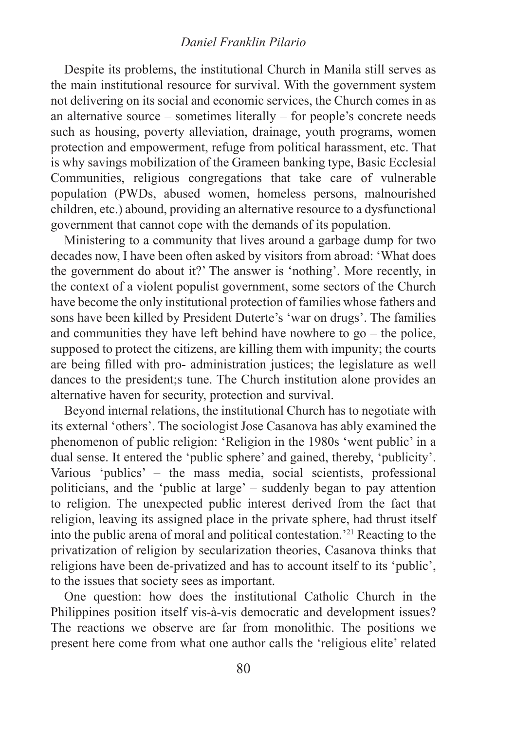#### *Daniel Franklin Pilario*

Despite its problems, the institutional Church in Manila still serves as the main institutional resource for survival. With the government system not delivering on its social and economic services, the Church comes in as an alternative source – sometimes literally – for people's concrete needs such as housing, poverty alleviation, drainage, youth programs, women protection and empowerment, refuge from political harassment, etc. That is why savings mobilization of the Grameen banking type, Basic Ecclesial Communities, religious congregations that take care of vulnerable population (PWDs, abused women, homeless persons, malnourished children, etc.) abound, providing an alternative resource to a dysfunctional government that cannot cope with the demands of its population.

Ministering to a community that lives around a garbage dump for two decades now, I have been often asked by visitors from abroad: 'What does the government do about it?' The answer is 'nothing'. More recently, in the context of a violent populist government, some sectors of the Church have become the only institutional protection of families whose fathers and sons have been killed by President Duterte's 'war on drugs'. The families and communities they have left behind have nowhere to go – the police, supposed to protect the citizens, are killing them with impunity; the courts are being filled with pro- administration justices; the legislature as well dances to the president;s tune. The Church institution alone provides an alternative haven for security, protection and survival.

Beyond internal relations, the institutional Church has to negotiate with its external 'others'. The sociologist Jose Casanova has ably examined the phenomenon of public religion: 'Religion in the 1980s 'went public' in a dual sense. It entered the 'public sphere' and gained, thereby, 'publicity'. Various 'publics' – the mass media, social scientists, professional politicians, and the 'public at large' – suddenly began to pay attention to religion. The unexpected public interest derived from the fact that religion, leaving its assigned place in the private sphere, had thrust itself into the public arena of moral and political contestation.'21 Reacting to the privatization of religion by secularization theories, Casanova thinks that religions have been de-privatized and has to account itself to its 'public', to the issues that society sees as important.

One question: how does the institutional Catholic Church in the Philippines position itself vis-à-vis democratic and development issues? The reactions we observe are far from monolithic. The positions we present here come from what one author calls the 'religious elite' related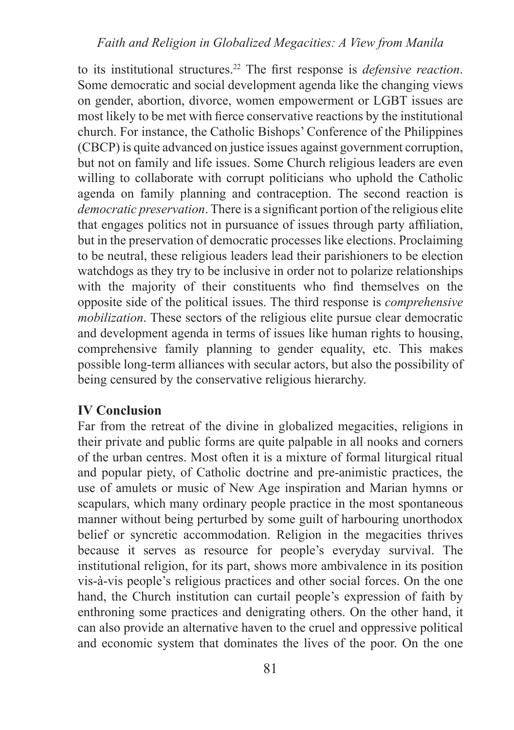## *Faith and Religion in Globalized Megacities: A View from Manila*

to its institutional structures.22 The first response is *defensive reaction*. Some democratic and social development agenda like the changing views on gender, abortion, divorce, women empowerment or LGBT issues are most likely to be met with fierce conservative reactions by the institutional church. For instance, the Catholic Bishops' Conference of the Philippines (CBCP) is quite advanced on justice issues against government corruption, but not on family and life issues. Some Church religious leaders are even willing to collaborate with corrupt politicians who uphold the Catholic agenda on family planning and contraception. The second reaction is *democratic preservation*. There is a significant portion of the religious elite that engages politics not in pursuance of issues through party affiliation, but in the preservation of democratic processes like elections. Proclaiming to be neutral, these religious leaders lead their parishioners to be election watchdogs as they try to be inclusive in order not to polarize relationships with the majority of their constituents who find themselves on the opposite side of the political issues. The third response is *comprehensive mobilization*. These sectors of the religious elite pursue clear democratic and development agenda in terms of issues like human rights to housing, comprehensive family planning to gender equality, etc. This makes possible long-term alliances with secular actors, but also the possibility of being censured by the conservative religious hierarchy.

#### **IV Conclusion**

Far from the retreat of the divine in globalized megacities, religions in their private and public forms are quite palpable in all nooks and corners of the urban centres. Most often it is a mixture of formal liturgical ritual and popular piety, of Catholic doctrine and pre-animistic practices, the use of amulets or music of New Age inspiration and Marian hymns or scapulars, which many ordinary people practice in the most spontaneous manner without being perturbed by some guilt of harbouring unorthodox belief or syncretic accommodation. Religion in the megacities thrives because it serves as resource for people's everyday survival. The institutional religion, for its part, shows more ambivalence in its position vis-à-vis people's religious practices and other social forces. On the one hand, the Church institution can curtail people's expression of faith by enthroning some practices and denigrating others. On the other hand, it can also provide an alternative haven to the cruel and oppressive political and economic system that dominates the lives of the poor. On the one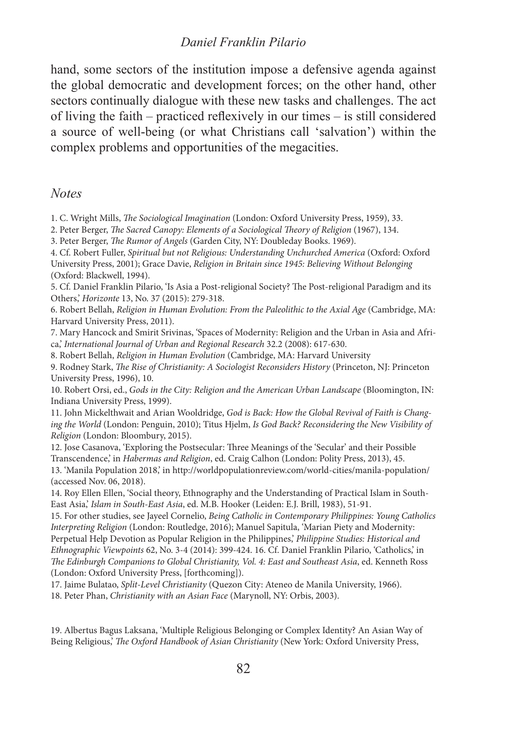#### *Daniel Franklin Pilario*

hand, some sectors of the institution impose a defensive agenda against the global democratic and development forces; on the other hand, other sectors continually dialogue with these new tasks and challenges. The act of living the faith – practiced reflexively in our times – is still considered a source of well-being (or what Christians call 'salvation') within the complex problems and opportunities of the megacities.

#### *Notes*

1. C. Wright Mills, *The Sociological Imagination* (London: Oxford University Press, 1959), 33.

2. Peter Berger, *The Sacred Canopy: Elements of a Sociological Theory of Religion* (1967), 134.

3. Peter Berger, *The Rumor of Angels* (Garden City, NY: Doubleday Books. 1969).

4. Cf. Robert Fuller, *Spiritual but not Religious: Understanding Unchurched America* (Oxford: Oxford University Press, 2001); Grace Davie, *Religion in Britain since 1945: Believing Without Belonging* (Oxford: Blackwell, 1994).

5. Cf. Daniel Franklin Pilario, 'Is Asia a Post-religional Society? The Post-religional Paradigm and its Others,' *Horizonte* 13, No. 37 (2015): 279-318.

6. Robert Bellah, *Religion in Human Evolution: From the Paleolithic to the Axial Age* (Cambridge, MA: Harvard University Press, 2011).

7. Mary Hancock and Smirit Srivinas, 'Spaces of Modernity: Religion and the Urban in Asia and Africa,' *International Journal of Urban and Regional Research* 32.2 (2008): 617-630.

8. Robert Bellah, *Religion in Human Evolution* (Cambridge, MA: Harvard University

9. Rodney Stark, *The Rise of Christianity: A Sociologist Reconsiders History* (Princeton, NJ: Princeton University Press, 1996), 10.

10. Robert Orsi, ed., *Gods in the City: Religion and the American Urban Landscape* (Bloomington, IN: Indiana University Press, 1999).

11. John Mickelthwait and Arian Wooldridge, *God is Back: How the Global Revival of Faith is Changing the World* (London: Penguin, 2010); Titus Hjelm, *Is God Back? Reconsidering the New Visibility of Religion* (London: Bloombury, 2015).

12. Jose Casanova, 'Exploring the Postsecular: Three Meanings of the 'Secular' and their Possible Transcendence,' in *Habermas and Religion*, ed. Craig Calhon (London: Polity Press, 2013), 45.

13. 'Manila Population 2018,' in http://worldpopulationreview.com/world-cities/manila-population/ (accessed Nov. 06, 2018).

14. Roy Ellen Ellen, 'Social theory, Ethnography and the Understanding of Practical Islam in South-East Asia,' *Islam in South-East Asia*, ed. M.B. Hooker (Leiden: E.J. Brill, 1983), 51-91.

15. For other studies, see Jayeel Cornelio, *Being Catholic in Contemporary Philippines: Young Catholics Interpreting Religion* (London: Routledge, 2016); Manuel Sapitula, 'Marian Piety and Modernity: Perpetual Help Devotion as Popular Religion in the Philippines,' *Philippine Studies: Historical and Ethnographic Viewpoints* 62, No. 3-4 (2014): 399-424. 16. Cf. Daniel Franklin Pilario, 'Catholics,' in *The Edinburgh Companions to Global Christianity, Vol. 4: East and Southeast Asia*, ed. Kenneth Ross (London: Oxford University Press, [forthcoming]).

17. Jaime Bulatao, *Split-Level Christianity* (Quezon City: Ateneo de Manila University, 1966).

18. Peter Phan, *Christianity with an Asian Face* (Marynoll, NY: Orbis, 2003).

19. Albertus Bagus Laksana, 'Multiple Religious Belonging or Complex Identity? An Asian Way of Being Religious,' *The Oxford Handbook of Asian Christianity* (New York: Oxford University Press,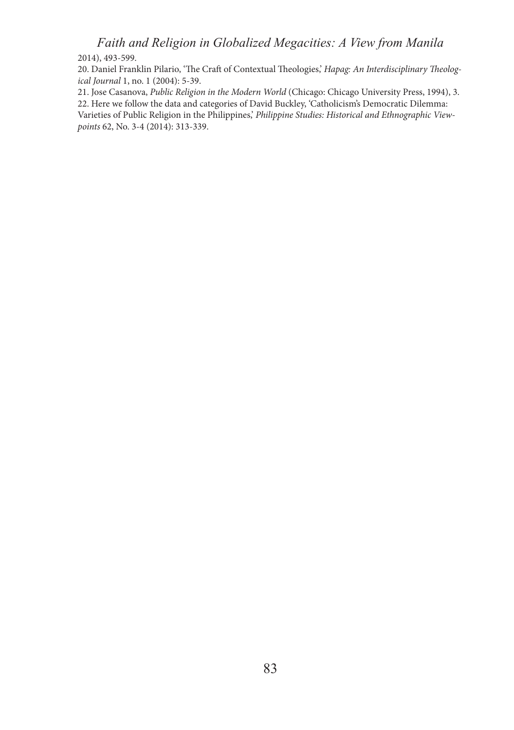## *Faith and Religion in Globalized Megacities: A View from Manila*

2014), 493-599.

20. Daniel Franklin Pilario, 'The Craft of Contextual Theologies,' *Hapag: An Interdisciplinary Theological Journal* 1, no. 1 (2004): 5-39.

21. Jose Casanova, *Public Religion in the Modern World* (Chicago: Chicago University Press, 1994), 3. 22. Here we follow the data and categories of David Buckley, 'Catholicism's Democratic Dilemma: Varieties of Public Religion in the Philippines,' *Philippine Studies: Historical and Ethnographic Viewpoints* 62, No. 3-4 (2014): 313-339.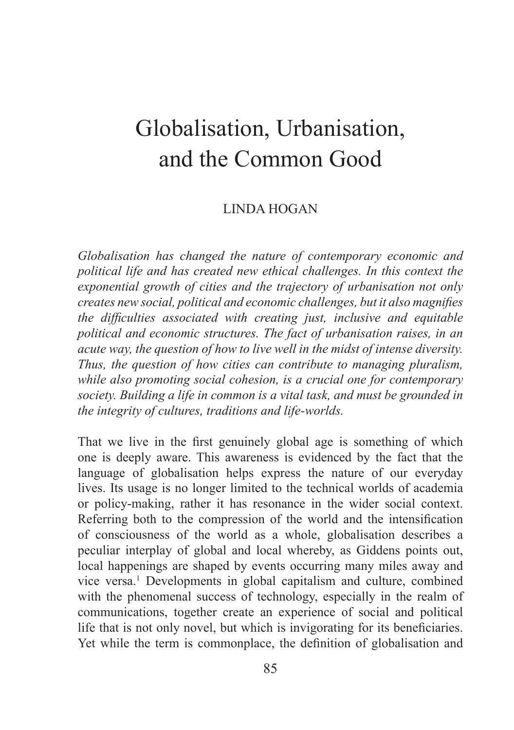## Globalisation, Urbanisation, and the Common Good

## LINDA HOGAN

*Globalisation has changed the nature of contemporary economic and political life and has created new ethical challenges. In this context the exponential growth of cities and the trajectory of urbanisation not only creates new social, political and economic challenges, but it also magnifies the difficulties associated with creating just, inclusive and equitable political and economic structures. The fact of urbanisation raises, in an acute way, the question of how to live well in the midst of intense diversity. Thus, the question of how cities can contribute to managing pluralism, while also promoting social cohesion, is a crucial one for contemporary society. Building a life in common is a vital task, and must be grounded in the integrity of cultures, traditions and life-worlds.*

That we live in the first genuinely global age is something of which one is deeply aware. This awareness is evidenced by the fact that the language of globalisation helps express the nature of our everyday lives. Its usage is no longer limited to the technical worlds of academia or policy-making, rather it has resonance in the wider social context. Referring both to the compression of the world and the intensification of consciousness of the world as a whole, globalisation describes a peculiar interplay of global and local whereby, as Giddens points out, local happenings are shaped by events occurring many miles away and vice versa.<sup>1</sup> Developments in global capitalism and culture, combined with the phenomenal success of technology, especially in the realm of communications, together create an experience of social and political life that is not only novel, but which is invigorating for its beneficiaries. Yet while the term is commonplace, the definition of globalisation and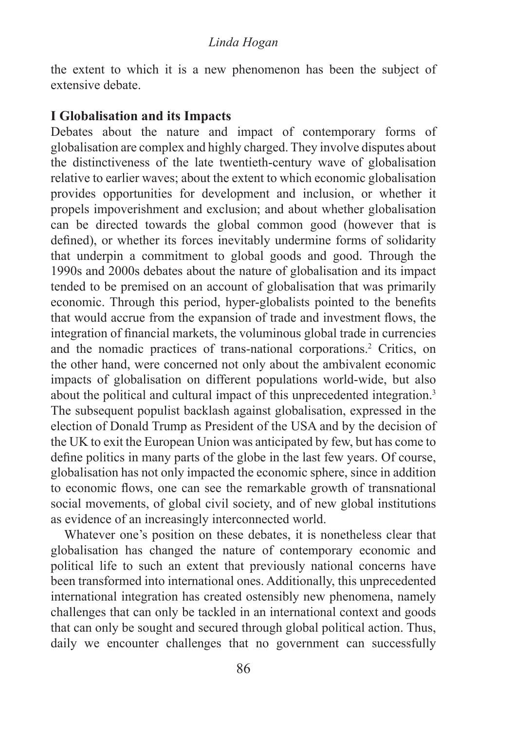the extent to which it is a new phenomenon has been the subject of extensive debate.

#### **I Globalisation and its Impacts**

Debates about the nature and impact of contemporary forms of globalisation are complex and highly charged. They involve disputes about the distinctiveness of the late twentieth-century wave of globalisation relative to earlier waves; about the extent to which economic globalisation provides opportunities for development and inclusion, or whether it propels impoverishment and exclusion; and about whether globalisation can be directed towards the global common good (however that is defined), or whether its forces inevitably undermine forms of solidarity that underpin a commitment to global goods and good. Through the 1990s and 2000s debates about the nature of globalisation and its impact tended to be premised on an account of globalisation that was primarily economic. Through this period, hyper-globalists pointed to the benefits that would accrue from the expansion of trade and investment flows, the integration of financial markets, the voluminous global trade in currencies and the nomadic practices of trans-national corporations.2 Critics, on the other hand, were concerned not only about the ambivalent economic impacts of globalisation on different populations world-wide, but also about the political and cultural impact of this unprecedented integration.3 The subsequent populist backlash against globalisation, expressed in the election of Donald Trump as President of the USA and by the decision of the UK to exit the European Union was anticipated by few, but has come to define politics in many parts of the globe in the last few years. Of course, globalisation has not only impacted the economic sphere, since in addition to economic flows, one can see the remarkable growth of transnational social movements, of global civil society, and of new global institutions as evidence of an increasingly interconnected world.

Whatever one's position on these debates, it is nonetheless clear that globalisation has changed the nature of contemporary economic and political life to such an extent that previously national concerns have been transformed into international ones. Additionally, this unprecedented international integration has created ostensibly new phenomena, namely challenges that can only be tackled in an international context and goods that can only be sought and secured through global political action. Thus, daily we encounter challenges that no government can successfully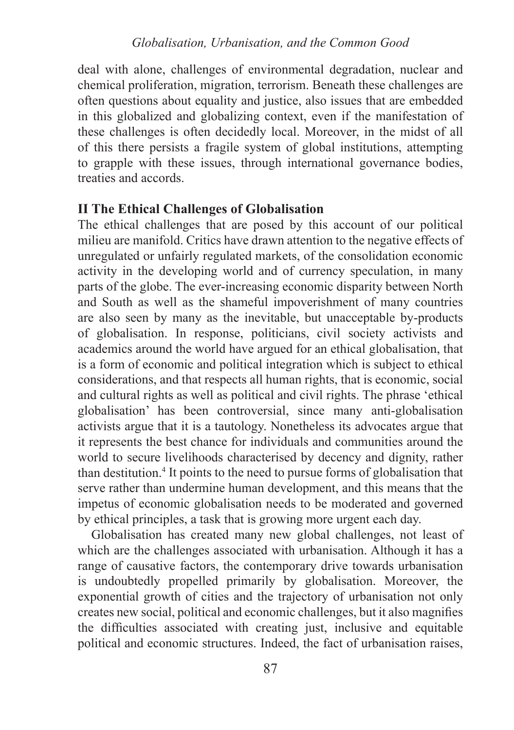deal with alone, challenges of environmental degradation, nuclear and chemical proliferation, migration, terrorism. Beneath these challenges are often questions about equality and justice, also issues that are embedded in this globalized and globalizing context, even if the manifestation of these challenges is often decidedly local. Moreover, in the midst of all of this there persists a fragile system of global institutions, attempting to grapple with these issues, through international governance bodies, treaties and accords.

## **II The Ethical Challenges of Globalisation**

The ethical challenges that are posed by this account of our political milieu are manifold. Critics have drawn attention to the negative effects of unregulated or unfairly regulated markets, of the consolidation economic activity in the developing world and of currency speculation, in many parts of the globe. The ever-increasing economic disparity between North and South as well as the shameful impoverishment of many countries are also seen by many as the inevitable, but unacceptable by-products of globalisation. In response, politicians, civil society activists and academics around the world have argued for an ethical globalisation, that is a form of economic and political integration which is subject to ethical considerations, and that respects all human rights, that is economic, social and cultural rights as well as political and civil rights. The phrase 'ethical globalisation' has been controversial, since many anti-globalisation activists argue that it is a tautology. Nonetheless its advocates argue that it represents the best chance for individuals and communities around the world to secure livelihoods characterised by decency and dignity, rather than destitution.<sup>4</sup> It points to the need to pursue forms of globalisation that serve rather than undermine human development, and this means that the impetus of economic globalisation needs to be moderated and governed by ethical principles, a task that is growing more urgent each day.

Globalisation has created many new global challenges, not least of which are the challenges associated with urbanisation. Although it has a range of causative factors, the contemporary drive towards urbanisation is undoubtedly propelled primarily by globalisation. Moreover, the exponential growth of cities and the trajectory of urbanisation not only creates new social, political and economic challenges, but it also magnifies the difficulties associated with creating just, inclusive and equitable political and economic structures. Indeed, the fact of urbanisation raises,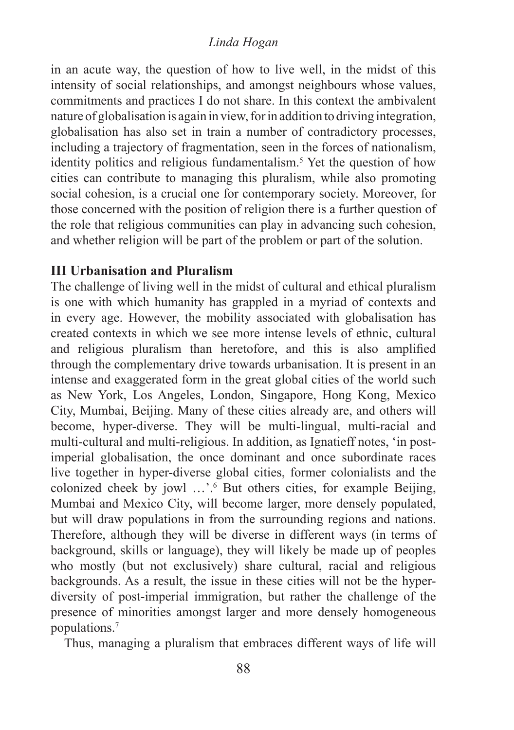## *Linda Hogan*

in an acute way, the question of how to live well, in the midst of this intensity of social relationships, and amongst neighbours whose values, commitments and practices I do not share. In this context the ambivalent nature of globalisation is again in view, for in addition to driving integration, globalisation has also set in train a number of contradictory processes, including a trajectory of fragmentation, seen in the forces of nationalism, identity politics and religious fundamentalism.5 Yet the question of how cities can contribute to managing this pluralism, while also promoting social cohesion, is a crucial one for contemporary society. Moreover, for those concerned with the position of religion there is a further question of the role that religious communities can play in advancing such cohesion, and whether religion will be part of the problem or part of the solution.

## **III Urbanisation and Pluralism**

The challenge of living well in the midst of cultural and ethical pluralism is one with which humanity has grappled in a myriad of contexts and in every age. However, the mobility associated with globalisation has created contexts in which we see more intense levels of ethnic, cultural and religious pluralism than heretofore, and this is also amplified through the complementary drive towards urbanisation. It is present in an intense and exaggerated form in the great global cities of the world such as New York, Los Angeles, London, Singapore, Hong Kong, Mexico City, Mumbai, Beijing. Many of these cities already are, and others will become, hyper-diverse. They will be multi-lingual, multi-racial and multi-cultural and multi-religious. In addition, as Ignatieff notes, 'in postimperial globalisation, the once dominant and once subordinate races live together in hyper-diverse global cities, former colonialists and the colonized cheek by jowl …'.<sup>6</sup> But others cities, for example Beijing, Mumbai and Mexico City, will become larger, more densely populated, but will draw populations in from the surrounding regions and nations. Therefore, although they will be diverse in different ways (in terms of background, skills or language), they will likely be made up of peoples who mostly (but not exclusively) share cultural, racial and religious backgrounds. As a result, the issue in these cities will not be the hyperdiversity of post-imperial immigration, but rather the challenge of the presence of minorities amongst larger and more densely homogeneous populations.7

Thus, managing a pluralism that embraces different ways of life will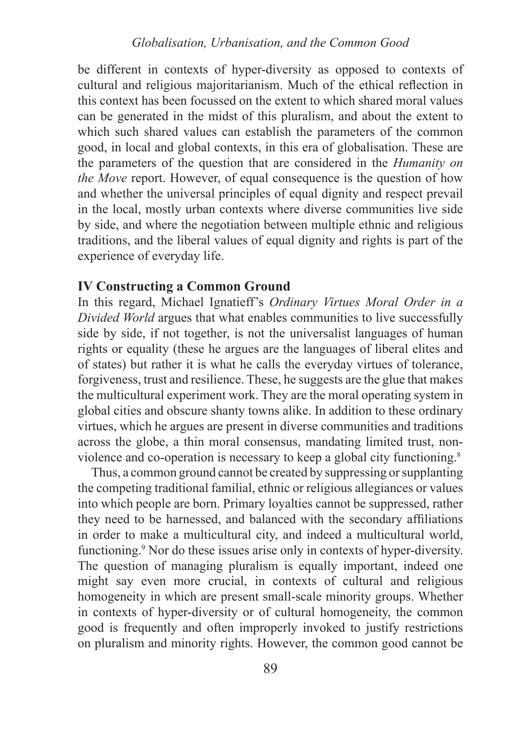be different in contexts of hyper-diversity as opposed to contexts of cultural and religious majoritarianism. Much of the ethical reflection in this context has been focussed on the extent to which shared moral values can be generated in the midst of this pluralism, and about the extent to which such shared values can establish the parameters of the common good, in local and global contexts, in this era of globalisation. These are the parameters of the question that are considered in the *Humanity on the Move* report. However, of equal consequence is the question of how and whether the universal principles of equal dignity and respect prevail in the local, mostly urban contexts where diverse communities live side by side, and where the negotiation between multiple ethnic and religious traditions, and the liberal values of equal dignity and rights is part of the experience of everyday life.

#### **IV Constructing a Common Ground**

In this regard, Michael Ignatieff's *Ordinary Virtues Moral Order in a Divided World* argues that what enables communities to live successfully side by side, if not together, is not the universalist languages of human rights or equality (these he argues are the languages of liberal elites and of states) but rather it is what he calls the everyday virtues of tolerance, forgiveness, trust and resilience. These, he suggests are the glue that makes the multicultural experiment work. They are the moral operating system in global cities and obscure shanty towns alike. In addition to these ordinary virtues, which he argues are present in diverse communities and traditions across the globe, a thin moral consensus, mandating limited trust, nonviolence and co-operation is necessary to keep a global city functioning.8

Thus, a common ground cannot be created by suppressing or supplanting the competing traditional familial, ethnic or religious allegiances or values into which people are born. Primary loyalties cannot be suppressed, rather they need to be harnessed, and balanced with the secondary affiliations in order to make a multicultural city, and indeed a multicultural world, functioning.<sup>9</sup> Nor do these issues arise only in contexts of hyper-diversity. The question of managing pluralism is equally important, indeed one might say even more crucial, in contexts of cultural and religious homogeneity in which are present small-scale minority groups. Whether in contexts of hyper-diversity or of cultural homogeneity, the common good is frequently and often improperly invoked to justify restrictions on pluralism and minority rights. However, the common good cannot be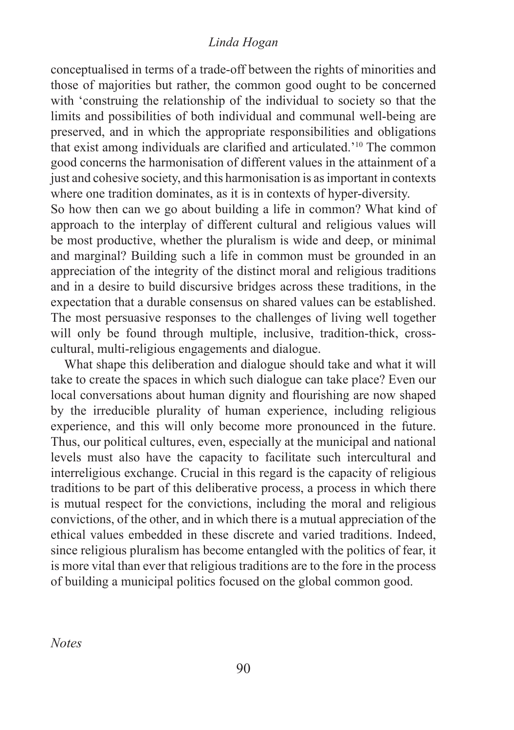#### *Linda Hogan*

conceptualised in terms of a trade-off between the rights of minorities and those of majorities but rather, the common good ought to be concerned with 'construing the relationship of the individual to society so that the limits and possibilities of both individual and communal well-being are preserved, and in which the appropriate responsibilities and obligations that exist among individuals are clarified and articulated.'10 The common good concerns the harmonisation of different values in the attainment of a just and cohesive society, and this harmonisation is as important in contexts where one tradition dominates, as it is in contexts of hyper-diversity.

So how then can we go about building a life in common? What kind of approach to the interplay of different cultural and religious values will be most productive, whether the pluralism is wide and deep, or minimal and marginal? Building such a life in common must be grounded in an appreciation of the integrity of the distinct moral and religious traditions and in a desire to build discursive bridges across these traditions, in the expectation that a durable consensus on shared values can be established. The most persuasive responses to the challenges of living well together will only be found through multiple, inclusive, tradition-thick, crosscultural, multi-religious engagements and dialogue.

What shape this deliberation and dialogue should take and what it will take to create the spaces in which such dialogue can take place? Even our local conversations about human dignity and flourishing are now shaped by the irreducible plurality of human experience, including religious experience, and this will only become more pronounced in the future. Thus, our political cultures, even, especially at the municipal and national levels must also have the capacity to facilitate such intercultural and interreligious exchange. Crucial in this regard is the capacity of religious traditions to be part of this deliberative process, a process in which there is mutual respect for the convictions, including the moral and religious convictions, of the other, and in which there is a mutual appreciation of the ethical values embedded in these discrete and varied traditions. Indeed, since religious pluralism has become entangled with the politics of fear, it is more vital than ever that religious traditions are to the fore in the process of building a municipal politics focused on the global common good.

*Notes*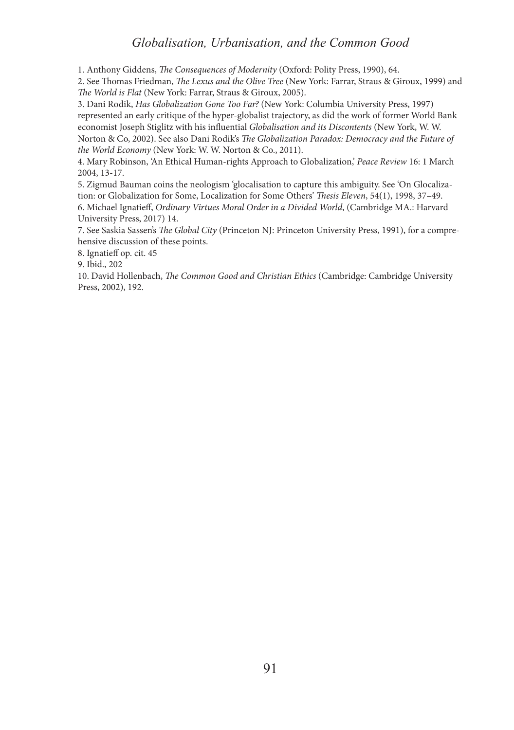#### *Globalisation, Urbanisation, and the Common Good*

1. Anthony Giddens, *The Consequences of Modernity* (Oxford: Polity Press, 1990), 64.

2. See Thomas Friedman, *The Lexus and the Olive Tree* (New York: Farrar, Straus & Giroux, 1999) and *The World is Flat* (New York: Farrar, Straus & Giroux, 2005).

3. Dani Rodik, *Has Globalization Gone Too Far?* (New York: Columbia University Press, 1997) represented an early critique of the hyper-globalist trajectory, as did the work of former World Bank economist Joseph Stiglitz with his influential *Globalisation and its Discontents* (New York, W. W. Norton & Co, 2002). See also Dani Rodik's *The Globalization Paradox: Democracy and the Future of the World Economy* (New York: W. W. Norton & Co., 2011).

4. Mary Robinson, 'An Ethical Human-rights Approach to Globalization,' *Peace Review* 16: 1 March 2004, 13-17.

5. Zigmud Bauman coins the neologism 'glocalisation to capture this ambiguity. See 'On Glocalization: or Globalization for Some, Localization for Some Others' *Thesis Eleven*, 54(1), 1998, 37–49. 6. Michael Ignatieff, *Ordinary Virtues Moral Order in a Divided World*, (Cambridge MA.: Harvard University Press, 2017) 14.

7. See Saskia Sassen's *The Global City* (Princeton NJ: Princeton University Press, 1991), for a comprehensive discussion of these points.

8. Ignatieff op. cit. 45

9. Ibid., 202

10. David Hollenbach, *The Common Good and Christian Ethics* (Cambridge: Cambridge University Press, 2002), 192.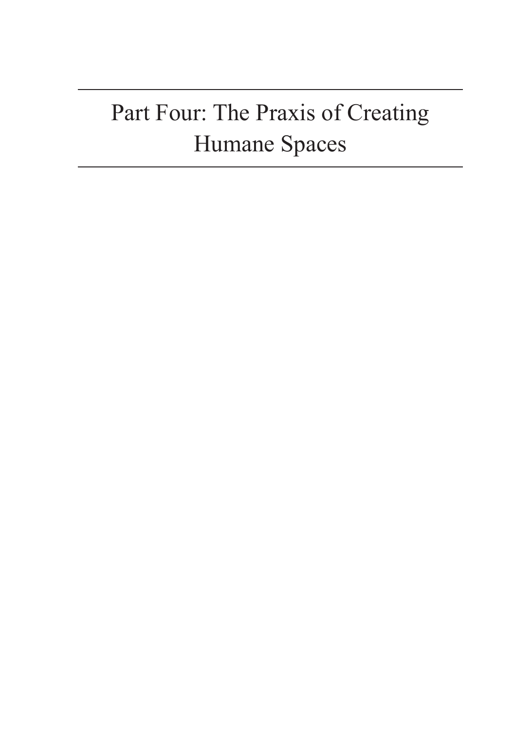# Part Four: The Praxis of Creating Humane Spaces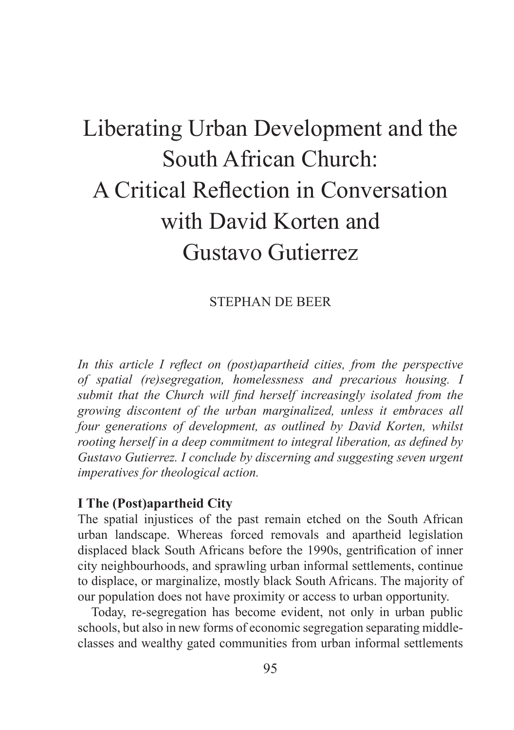# Liberating Urban Development and the South African Church: A Critical Reflection in Conversation with David Korten and Gustavo Gutierrez

## STEPHAN DE BEER

*In this article I reflect on (post)apartheid cities, from the perspective of spatial (re)segregation, homelessness and precarious housing. I submit that the Church will find herself increasingly isolated from the growing discontent of the urban marginalized, unless it embraces all four generations of development, as outlined by David Korten, whilst rooting herself in a deep commitment to integral liberation, as defined by Gustavo Gutierrez. I conclude by discerning and suggesting seven urgent imperatives for theological action.* 

## **I The (Post)apartheid City**

The spatial injustices of the past remain etched on the South African urban landscape. Whereas forced removals and apartheid legislation displaced black South Africans before the 1990s, gentrification of inner city neighbourhoods, and sprawling urban informal settlements, continue to displace, or marginalize, mostly black South Africans. The majority of our population does not have proximity or access to urban opportunity.

Today, re-segregation has become evident, not only in urban public schools, but also in new forms of economic segregation separating middleclasses and wealthy gated communities from urban informal settlements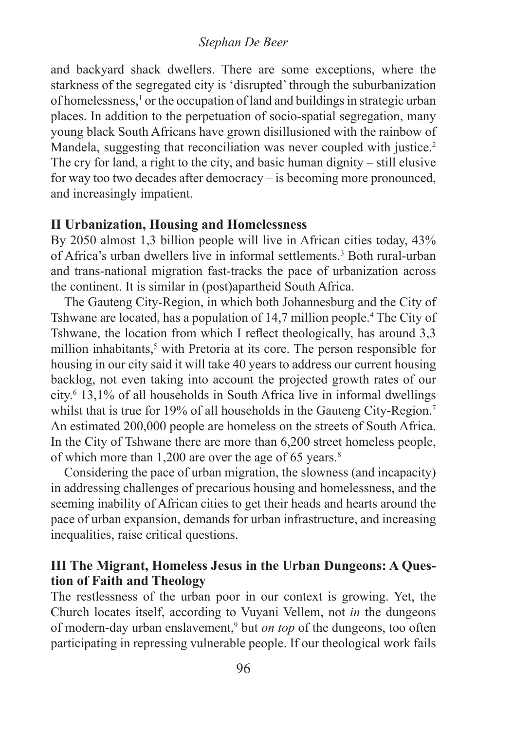#### *Stephan De Beer*

and backyard shack dwellers. There are some exceptions, where the starkness of the segregated city is 'disrupted' through the suburbanization of homelessness,<sup>1</sup> or the occupation of land and buildings in strategic urban places. In addition to the perpetuation of socio-spatial segregation, many young black South Africans have grown disillusioned with the rainbow of Mandela, suggesting that reconciliation was never coupled with justice.<sup>2</sup> The cry for land, a right to the city, and basic human dignity – still elusive for way too two decades after democracy – is becoming more pronounced, and increasingly impatient.

#### **II Urbanization, Housing and Homelessness**

By 2050 almost 1,3 billion people will live in African cities today, 43% of Africa's urban dwellers live in informal settlements.<sup>3</sup> Both rural-urban and trans-national migration fast-tracks the pace of urbanization across the continent. It is similar in (post)apartheid South Africa.

The Gauteng City-Region, in which both Johannesburg and the City of Tshwane are located, has a population of 14,7 million people.<sup>4</sup> The City of Tshwane, the location from which I reflect theologically, has around 3,3 million inhabitants,<sup>5</sup> with Pretoria at its core. The person responsible for housing in our city said it will take 40 years to address our current housing backlog, not even taking into account the projected growth rates of our city.6 13,1% of all households in South Africa live in informal dwellings whilst that is true for 19% of all households in the Gauteng City-Region.<sup>7</sup> An estimated 200,000 people are homeless on the streets of South Africa. In the City of Tshwane there are more than 6,200 street homeless people, of which more than 1,200 are over the age of 65 years.<sup>8</sup>

Considering the pace of urban migration, the slowness (and incapacity) in addressing challenges of precarious housing and homelessness, and the seeming inability of African cities to get their heads and hearts around the pace of urban expansion, demands for urban infrastructure, and increasing inequalities, raise critical questions.

## **III The Migrant, Homeless Jesus in the Urban Dungeons: A Question of Faith and Theology**

The restlessness of the urban poor in our context is growing. Yet, the Church locates itself, according to Vuyani Vellem, not *in* the dungeons of modern-day urban enslavement,<sup>9</sup> but *on top* of the dungeons, too often participating in repressing vulnerable people. If our theological work fails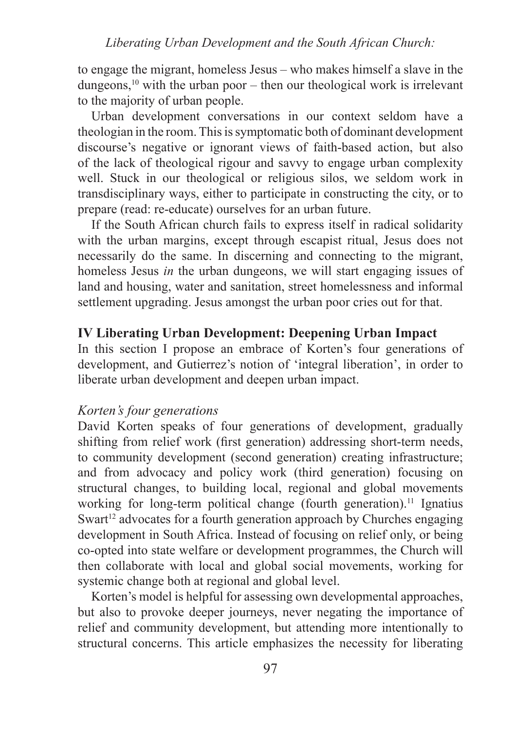to engage the migrant, homeless Jesus – who makes himself a slave in the dungeons, $10$  with the urban poor – then our theological work is irrelevant to the majority of urban people.

Urban development conversations in our context seldom have a theologian in the room. This is symptomatic both of dominant development discourse's negative or ignorant views of faith-based action, but also of the lack of theological rigour and savvy to engage urban complexity well. Stuck in our theological or religious silos, we seldom work in transdisciplinary ways, either to participate in constructing the city, or to prepare (read: re-educate) ourselves for an urban future.

If the South African church fails to express itself in radical solidarity with the urban margins, except through escapist ritual, Jesus does not necessarily do the same. In discerning and connecting to the migrant, homeless Jesus *in* the urban dungeons, we will start engaging issues of land and housing, water and sanitation, street homelessness and informal settlement upgrading. Jesus amongst the urban poor cries out for that.

## **IV Liberating Urban Development: Deepening Urban Impact**

In this section I propose an embrace of Korten's four generations of development, and Gutierrez's notion of 'integral liberation', in order to liberate urban development and deepen urban impact.

## *Korten's four generations*

David Korten speaks of four generations of development, gradually shifting from relief work (first generation) addressing short-term needs, to community development (second generation) creating infrastructure; and from advocacy and policy work (third generation) focusing on structural changes, to building local, regional and global movements working for long-term political change (fourth generation).<sup>11</sup> Ignatius Swart<sup>12</sup> advocates for a fourth generation approach by Churches engaging development in South Africa. Instead of focusing on relief only, or being co-opted into state welfare or development programmes, the Church will then collaborate with local and global social movements, working for systemic change both at regional and global level.

Korten's model is helpful for assessing own developmental approaches, but also to provoke deeper journeys, never negating the importance of relief and community development, but attending more intentionally to structural concerns. This article emphasizes the necessity for liberating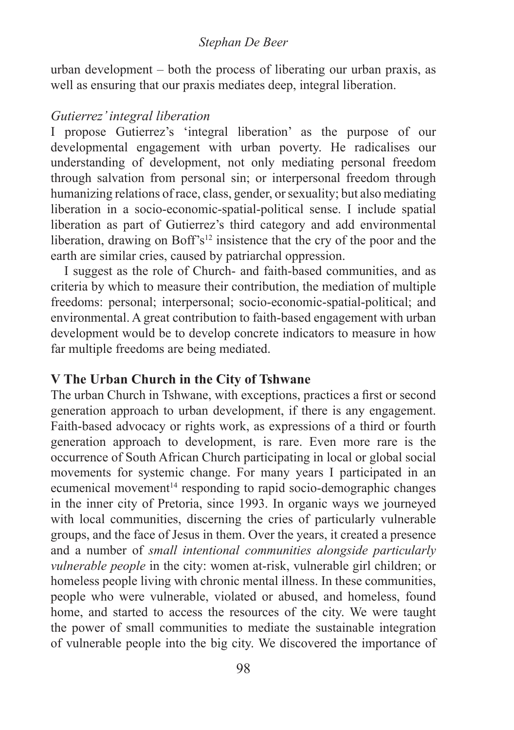#### *Stephan De Beer*

urban development – both the process of liberating our urban praxis, as well as ensuring that our praxis mediates deep, integral liberation.

#### *Gutierrez' integral liberation*

I propose Gutierrez's 'integral liberation' as the purpose of our developmental engagement with urban poverty. He radicalises our understanding of development, not only mediating personal freedom through salvation from personal sin; or interpersonal freedom through humanizing relations of race, class, gender, or sexuality; but also mediating liberation in a socio-economic-spatial-political sense. I include spatial liberation as part of Gutierrez's third category and add environmental liberation, drawing on Boff's<sup>12</sup> insistence that the cry of the poor and the earth are similar cries, caused by patriarchal oppression.

I suggest as the role of Church- and faith-based communities, and as criteria by which to measure their contribution, the mediation of multiple freedoms: personal; interpersonal; socio-economic-spatial-political; and environmental. A great contribution to faith-based engagement with urban development would be to develop concrete indicators to measure in how far multiple freedoms are being mediated.

## **V The Urban Church in the City of Tshwane**

The urban Church in Tshwane, with exceptions, practices a first or second generation approach to urban development, if there is any engagement. Faith-based advocacy or rights work, as expressions of a third or fourth generation approach to development, is rare. Even more rare is the occurrence of South African Church participating in local or global social movements for systemic change. For many years I participated in an ecumenical movement<sup>14</sup> responding to rapid socio-demographic changes in the inner city of Pretoria, since 1993. In organic ways we journeyed with local communities, discerning the cries of particularly vulnerable groups, and the face of Jesus in them. Over the years, it created a presence and a number of *small intentional communities alongside particularly vulnerable people* in the city: women at-risk, vulnerable girl children; or homeless people living with chronic mental illness. In these communities, people who were vulnerable, violated or abused, and homeless, found home, and started to access the resources of the city. We were taught the power of small communities to mediate the sustainable integration of vulnerable people into the big city. We discovered the importance of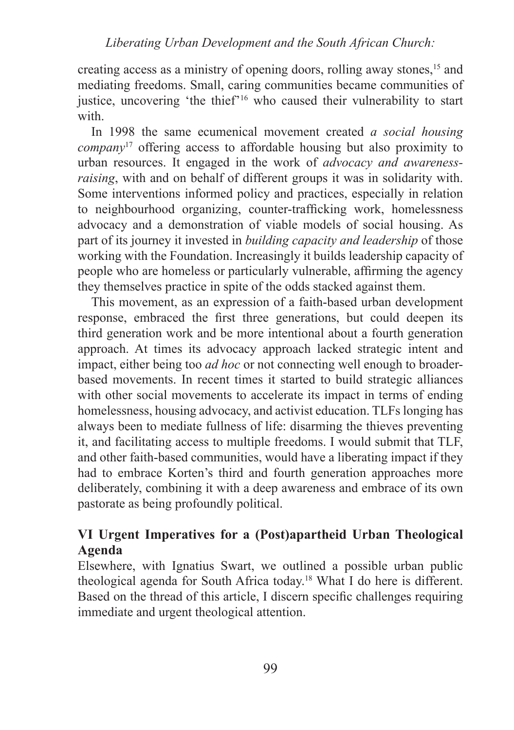creating access as a ministry of opening doors, rolling away stones,15 and mediating freedoms. Small, caring communities became communities of justice, uncovering 'the thief'16 who caused their vulnerability to start with.

In 1998 the same ecumenical movement created *a social housing company*17 offering access to affordable housing but also proximity to urban resources. It engaged in the work of *advocacy and awarenessraising*, with and on behalf of different groups it was in solidarity with. Some interventions informed policy and practices, especially in relation to neighbourhood organizing, counter-trafficking work, homelessness advocacy and a demonstration of viable models of social housing. As part of its journey it invested in *building capacity and leadership* of those working with the Foundation. Increasingly it builds leadership capacity of people who are homeless or particularly vulnerable, affirming the agency they themselves practice in spite of the odds stacked against them.

This movement, as an expression of a faith-based urban development response, embraced the first three generations, but could deepen its third generation work and be more intentional about a fourth generation approach. At times its advocacy approach lacked strategic intent and impact, either being too *ad hoc* or not connecting well enough to broaderbased movements. In recent times it started to build strategic alliances with other social movements to accelerate its impact in terms of ending homelessness, housing advocacy, and activist education. TLFs longing has always been to mediate fullness of life: disarming the thieves preventing it, and facilitating access to multiple freedoms. I would submit that TLF, and other faith-based communities, would have a liberating impact if they had to embrace Korten's third and fourth generation approaches more deliberately, combining it with a deep awareness and embrace of its own pastorate as being profoundly political.

## **VI Urgent Imperatives for a (Post)apartheid Urban Theological Agenda**

Elsewhere, with Ignatius Swart, we outlined a possible urban public theological agenda for South Africa today.18 What I do here is different. Based on the thread of this article, I discern specific challenges requiring immediate and urgent theological attention.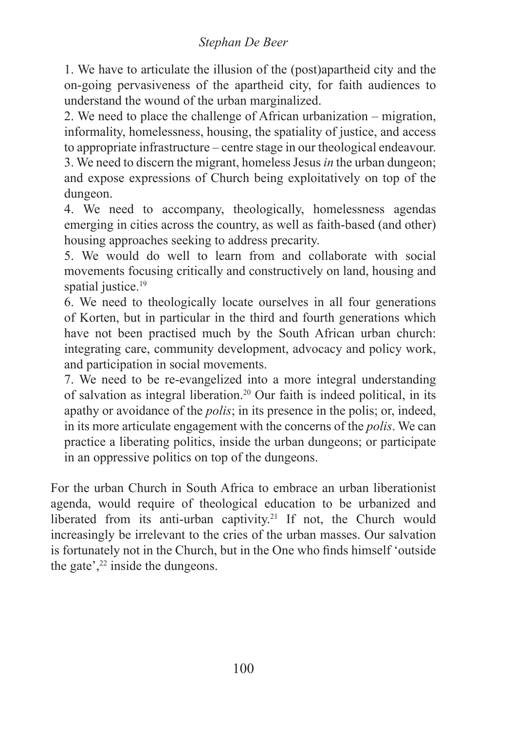## *Stephan De Beer*

1. We have to articulate the illusion of the (post)apartheid city and the on-going pervasiveness of the apartheid city, for faith audiences to understand the wound of the urban marginalized.

2. We need to place the challenge of African urbanization – migration, informality, homelessness, housing, the spatiality of justice, and access to appropriate infrastructure – centre stage in our theological endeavour.

3. We need to discern the migrant, homeless Jesus *in* the urban dungeon; and expose expressions of Church being exploitatively on top of the dungeon.

4. We need to accompany, theologically, homelessness agendas emerging in cities across the country, as well as faith-based (and other) housing approaches seeking to address precarity.

5. We would do well to learn from and collaborate with social movements focusing critically and constructively on land, housing and spatial justice.<sup>19</sup>

6. We need to theologically locate ourselves in all four generations of Korten, but in particular in the third and fourth generations which have not been practised much by the South African urban church: integrating care, community development, advocacy and policy work, and participation in social movements.

7. We need to be re-evangelized into a more integral understanding of salvation as integral liberation.20 Our faith is indeed political, in its apathy or avoidance of the *polis*; in its presence in the polis; or, indeed, in its more articulate engagement with the concerns of the *polis*. We can practice a liberating politics, inside the urban dungeons; or participate in an oppressive politics on top of the dungeons.

For the urban Church in South Africa to embrace an urban liberationist agenda, would require of theological education to be urbanized and liberated from its anti-urban captivity.<sup>21</sup> If not, the Church would increasingly be irrelevant to the cries of the urban masses. Our salvation is fortunately not in the Church, but in the One who finds himself 'outside the gate', $2<sup>22</sup>$  inside the dungeons.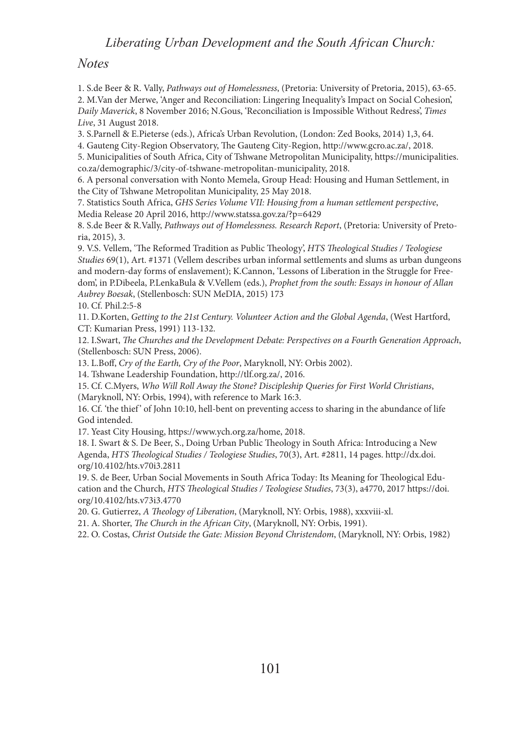#### *Liberating Urban Development and the South African Church:*

#### *Notes*

1. S.de Beer & R. Vally, *Pathways out of Homelessness*, (Pretoria: University of Pretoria, 2015), 63-65. 2. M.Van der Merwe, 'Anger and Reconciliation: Lingering Inequality's Impact on Social Cohesion', *Daily Maverick*, 8 November 2016; N.Gous, 'Reconciliation is Impossible Without Redress', *Times Live*, 31 August 2018.

3. S.Parnell & E.Pieterse (eds.), Africa's Urban Revolution, (London: Zed Books, 2014) 1,3, 64.

4. Gauteng City-Region Observatory, The Gauteng City-Region, http://www.gcro.ac.za/, 2018.

5. Municipalities of South Africa, City of Tshwane Metropolitan Municipality, https://municipalities. co.za/demographic/3/city-of-tshwane-metropolitan-municipality, 2018.

6. A personal conversation with Nonto Memela, Group Head: Housing and Human Settlement, in the City of Tshwane Metropolitan Municipality, 25 May 2018.

7. Statistics South Africa, *GHS Series Volume VII: Housing from a human settlement perspective*, Media Release 20 April 2016, http://www.statssa.gov.za/?p=6429

8. S.de Beer & R.Vally, *Pathways out of Homelessness. Research Report*, (Pretoria: University of Pretoria, 2015), 3.

9. V.S. Vellem, 'The Reformed Tradition as Public Theology', *HTS Theological Studies / Teologiese Studies* 69(1), Art. #1371 (Vellem describes urban informal settlements and slums as urban dungeons and modern-day forms of enslavement); K.Cannon, 'Lessons of Liberation in the Struggle for Freedom', in P.Dibeela, P.LenkaBula & V.Vellem (eds.), *Prophet from the south: Essays in honour of Allan Aubrey Boesak*, (Stellenbosch: SUN MeDIA, 2015) 173

10. Cf. Phil.2:5-8

11. D.Korten, *Getting to the 21st Century. Volunteer Action and the Global Agenda*, (West Hartford, CT: Kumarian Press, 1991) 113-132.

12. I.Swart, *The Churches and the Development Debate: Perspectives on a Fourth Generation Approach*, (Stellenbosch: SUN Press, 2006).

13. L.Boff, *Cry of the Earth, Cry of the Poor*, Maryknoll, NY: Orbis 2002).

14. Tshwane Leadership Foundation, http://tlf.org.za/, 2016.

15. Cf. C.Myers, *Who Will Roll Away the Stone? Discipleship Queries for First World Christians*, (Maryknoll, NY: Orbis, 1994), with reference to Mark 16:3.

16. Cf. 'the thief' of John 10:10, hell-bent on preventing access to sharing in the abundance of life God intended.

17. Yeast City Housing, https://www.ych.org.za/home, 2018.

18. I. Swart & S. De Beer, S., Doing Urban Public Theology in South Africa: Introducing a New Agenda, *HTS Theological Studies / Teologiese Studies*, 70(3), Art. #2811, 14 pages. http://dx.doi. org/10.4102/hts.v70i3.2811

19. S. de Beer, Urban Social Movements in South Africa Today: Its Meaning for Theological Education and the Church, *HTS Theological Studies / Teologiese Studies*, 73(3), a4770, 2017 https://doi. org/10.4102/hts.v73i3.4770

20. G. Gutierrez, *A Theology of Liberation*, (Maryknoll, NY: Orbis, 1988), xxxviii-xl.

21. A. Shorter, *The Church in the African City*, (Maryknoll, NY: Orbis, 1991).

22. O. Costas, *Christ Outside the Gate: Mission Beyond Christendom*, (Maryknoll, NY: Orbis, 1982)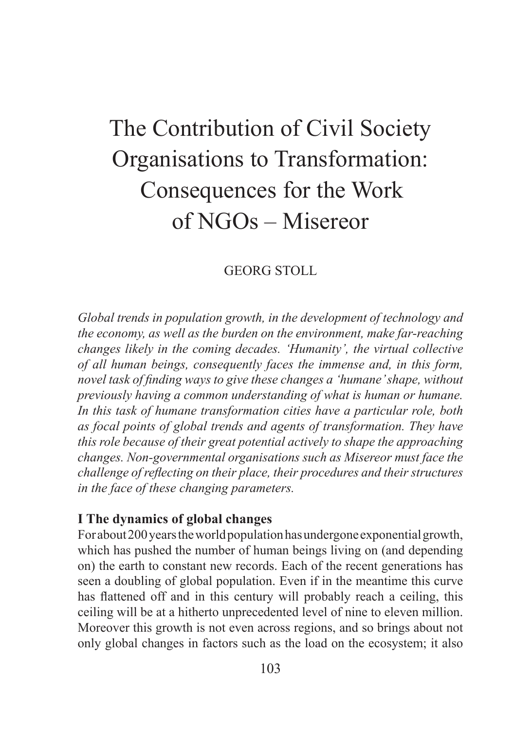## The Contribution of Civil Society Organisations to Transformation: Consequences for the Work of NGOs – Misereor

## GEORG STOLL

*Global trends in population growth, in the development of technology and the economy, as well as the burden on the environment, make far-reaching changes likely in the coming decades. 'Humanity', the virtual collective of all human beings, consequently faces the immense and, in this form, novel task of finding ways to give these changes a 'humane' shape, without previously having a common understanding of what is human or humane. In this task of humane transformation cities have a particular role, both as focal points of global trends and agents of transformation. They have this role because of their great potential actively to shape the approaching changes. Non-governmental organisations such as Misereor must face the challenge of reflecting on their place, their procedures and their structures in the face of these changing parameters.*

## **I The dynamics of global changes**

For about 200 years the world population has undergone exponential growth, which has pushed the number of human beings living on (and depending on) the earth to constant new records. Each of the recent generations has seen a doubling of global population. Even if in the meantime this curve has flattened off and in this century will probably reach a ceiling, this ceiling will be at a hitherto unprecedented level of nine to eleven million. Moreover this growth is not even across regions, and so brings about not only global changes in factors such as the load on the ecosystem; it also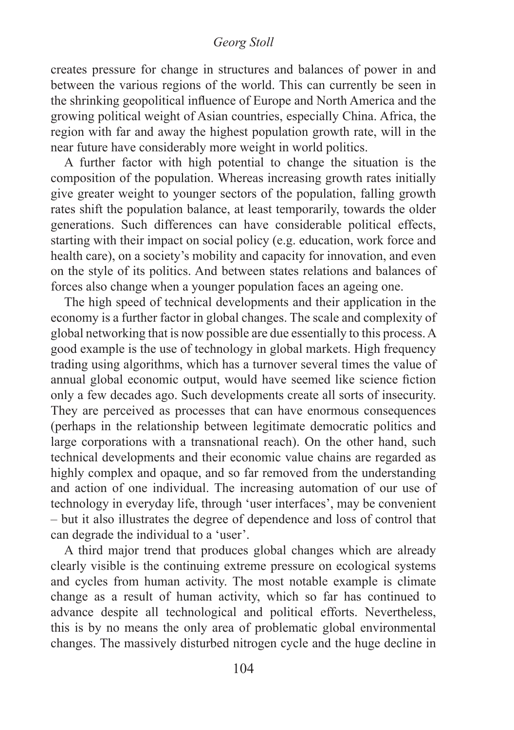#### *Georg Stoll*

creates pressure for change in structures and balances of power in and between the various regions of the world. This can currently be seen in the shrinking geopolitical influence of Europe and North America and the growing political weight of Asian countries, especially China. Africa, the region with far and away the highest population growth rate, will in the near future have considerably more weight in world politics.

A further factor with high potential to change the situation is the composition of the population. Whereas increasing growth rates initially give greater weight to younger sectors of the population, falling growth rates shift the population balance, at least temporarily, towards the older generations. Such differences can have considerable political effects, starting with their impact on social policy (e.g. education, work force and health care), on a society's mobility and capacity for innovation, and even on the style of its politics. And between states relations and balances of forces also change when a younger population faces an ageing one.

The high speed of technical developments and their application in the economy is a further factor in global changes. The scale and complexity of global networking that is now possible are due essentially to this process. A good example is the use of technology in global markets. High frequency trading using algorithms, which has a turnover several times the value of annual global economic output, would have seemed like science fiction only a few decades ago. Such developments create all sorts of insecurity. They are perceived as processes that can have enormous consequences (perhaps in the relationship between legitimate democratic politics and large corporations with a transnational reach). On the other hand, such technical developments and their economic value chains are regarded as highly complex and opaque, and so far removed from the understanding and action of one individual. The increasing automation of our use of technology in everyday life, through 'user interfaces', may be convenient – but it also illustrates the degree of dependence and loss of control that can degrade the individual to a 'user'.

A third major trend that produces global changes which are already clearly visible is the continuing extreme pressure on ecological systems and cycles from human activity. The most notable example is climate change as a result of human activity, which so far has continued to advance despite all technological and political efforts. Nevertheless, this is by no means the only area of problematic global environmental changes. The massively disturbed nitrogen cycle and the huge decline in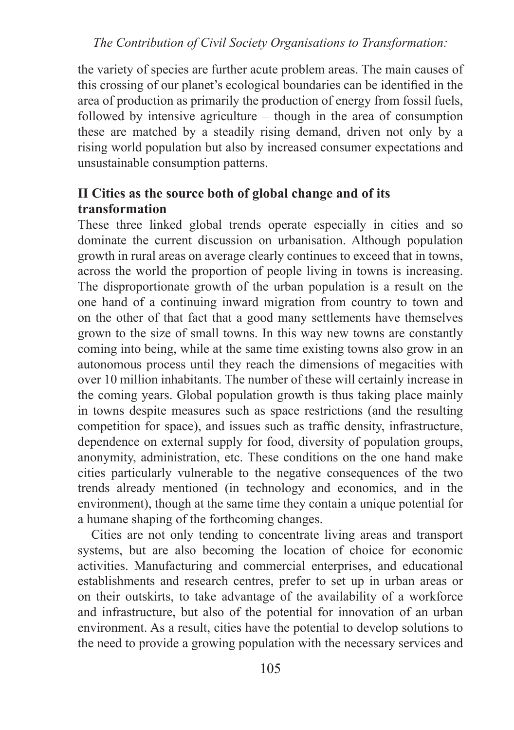*The Contribution of Civil Society Organisations to Transformation:*

the variety of species are further acute problem areas. The main causes of this crossing of our planet's ecological boundaries can be identified in the area of production as primarily the production of energy from fossil fuels, followed by intensive agriculture – though in the area of consumption these are matched by a steadily rising demand, driven not only by a rising world population but also by increased consumer expectations and unsustainable consumption patterns.

## **II Cities as the source both of global change and of its transformation**

These three linked global trends operate especially in cities and so dominate the current discussion on urbanisation. Although population growth in rural areas on average clearly continues to exceed that in towns, across the world the proportion of people living in towns is increasing. The disproportionate growth of the urban population is a result on the one hand of a continuing inward migration from country to town and on the other of that fact that a good many settlements have themselves grown to the size of small towns. In this way new towns are constantly coming into being, while at the same time existing towns also grow in an autonomous process until they reach the dimensions of megacities with over 10 million inhabitants. The number of these will certainly increase in the coming years. Global population growth is thus taking place mainly in towns despite measures such as space restrictions (and the resulting competition for space), and issues such as traffic density, infrastructure, dependence on external supply for food, diversity of population groups, anonymity, administration, etc. These conditions on the one hand make cities particularly vulnerable to the negative consequences of the two trends already mentioned (in technology and economics, and in the environment), though at the same time they contain a unique potential for a humane shaping of the forthcoming changes.

Cities are not only tending to concentrate living areas and transport systems, but are also becoming the location of choice for economic activities. Manufacturing and commercial enterprises, and educational establishments and research centres, prefer to set up in urban areas or on their outskirts, to take advantage of the availability of a workforce and infrastructure, but also of the potential for innovation of an urban environment. As a result, cities have the potential to develop solutions to the need to provide a growing population with the necessary services and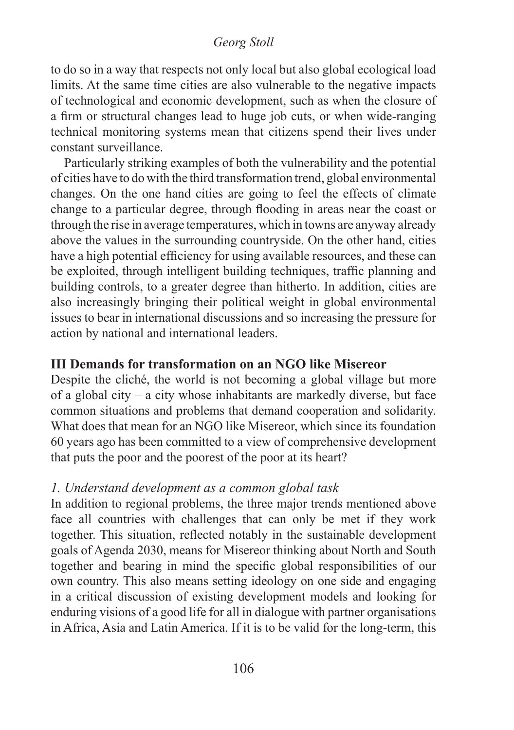## *Georg Stoll*

to do so in a way that respects not only local but also global ecological load limits. At the same time cities are also vulnerable to the negative impacts of technological and economic development, such as when the closure of a firm or structural changes lead to huge job cuts, or when wide-ranging technical monitoring systems mean that citizens spend their lives under constant surveillance.

Particularly striking examples of both the vulnerability and the potential of cities have to do with the third transformation trend, global environmental changes. On the one hand cities are going to feel the effects of climate change to a particular degree, through flooding in areas near the coast or through the rise in average temperatures, which in towns are anyway already above the values in the surrounding countryside. On the other hand, cities have a high potential efficiency for using available resources, and these can be exploited, through intelligent building techniques, traffic planning and building controls, to a greater degree than hitherto. In addition, cities are also increasingly bringing their political weight in global environmental issues to bear in international discussions and so increasing the pressure for action by national and international leaders.

## **III Demands for transformation on an NGO like Misereor**

Despite the cliché, the world is not becoming a global village but more of a global city – a city whose inhabitants are markedly diverse, but face common situations and problems that demand cooperation and solidarity. What does that mean for an NGO like Misereor, which since its foundation 60 years ago has been committed to a view of comprehensive development that puts the poor and the poorest of the poor at its heart?

## *1. Understand development as a common global task*

In addition to regional problems, the three major trends mentioned above face all countries with challenges that can only be met if they work together. This situation, reflected notably in the sustainable development goals of Agenda 2030, means for Misereor thinking about North and South together and bearing in mind the specific global responsibilities of our own country. This also means setting ideology on one side and engaging in a critical discussion of existing development models and looking for enduring visions of a good life for all in dialogue with partner organisations in Africa, Asia and Latin America. If it is to be valid for the long-term, this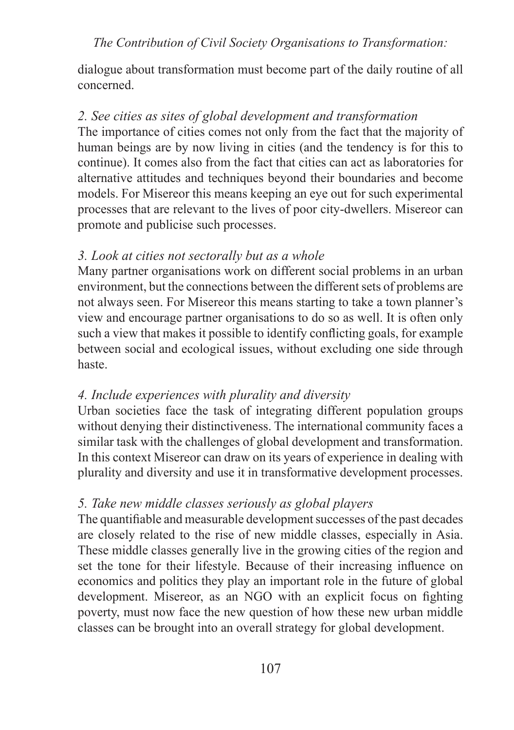dialogue about transformation must become part of the daily routine of all concerned.

## *2. See cities as sites of global development and transformation*

The importance of cities comes not only from the fact that the majority of human beings are by now living in cities (and the tendency is for this to continue). It comes also from the fact that cities can act as laboratories for alternative attitudes and techniques beyond their boundaries and become models. For Misereor this means keeping an eye out for such experimental processes that are relevant to the lives of poor city-dwellers. Misereor can promote and publicise such processes.

## *3. Look at cities not sectorally but as a whole*

Many partner organisations work on different social problems in an urban environment, but the connections between the different sets of problems are not always seen. For Misereor this means starting to take a town planner's view and encourage partner organisations to do so as well. It is often only such a view that makes it possible to identify conflicting goals, for example between social and ecological issues, without excluding one side through haste.

## *4. Include experiences with plurality and diversity*

Urban societies face the task of integrating different population groups without denying their distinctiveness. The international community faces a similar task with the challenges of global development and transformation. In this context Misereor can draw on its years of experience in dealing with plurality and diversity and use it in transformative development processes.

## *5. Take new middle classes seriously as global players*

The quantifiable and measurable development successes of the past decades are closely related to the rise of new middle classes, especially in Asia. These middle classes generally live in the growing cities of the region and set the tone for their lifestyle. Because of their increasing influence on economics and politics they play an important role in the future of global development. Misereor, as an NGO with an explicit focus on fighting poverty, must now face the new question of how these new urban middle classes can be brought into an overall strategy for global development.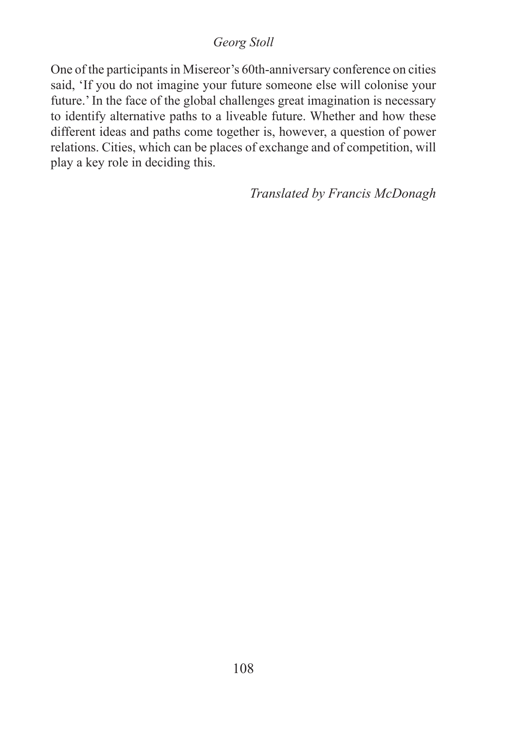# *Georg Stoll*

One of the participants in Misereor's 60th-anniversary conference on cities said, 'If you do not imagine your future someone else will colonise your future.' In the face of the global challenges great imagination is necessary to identify alternative paths to a liveable future. Whether and how these different ideas and paths come together is, however, a question of power relations. Cities, which can be places of exchange and of competition, will play a key role in deciding this.

*Translated by Francis McDonagh*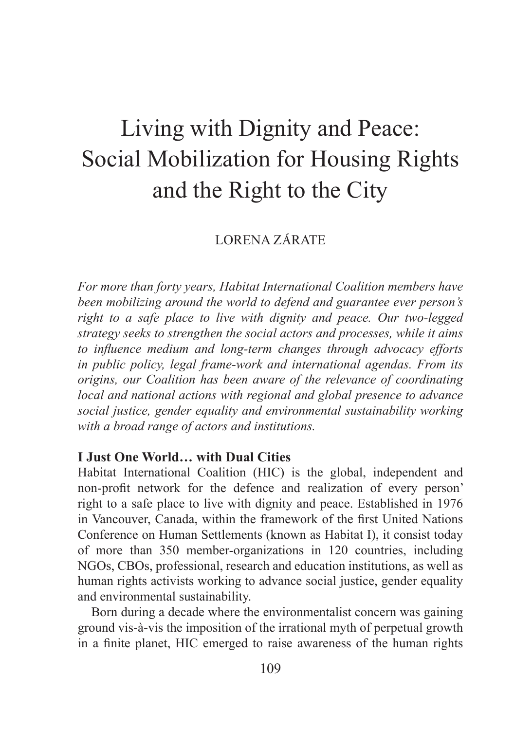# Living with Dignity and Peace: Social Mobilization for Housing Rights and the Right to the City

# LORENA ZÁRATE

*For more than forty years, Habitat International Coalition members have been mobilizing around the world to defend and guarantee ever person's right to a safe place to live with dignity and peace. Our two-legged strategy seeks to strengthen the social actors and processes, while it aims to influence medium and long-term changes through advocacy efforts in public policy, legal frame-work and international agendas. From its origins, our Coalition has been aware of the relevance of coordinating local and national actions with regional and global presence to advance social justice, gender equality and environmental sustainability working with a broad range of actors and institutions.*

## **I Just One World… with Dual Cities**

Habitat International Coalition (HIC) is the global, independent and non-profit network for the defence and realization of every person' right to a safe place to live with dignity and peace. Established in 1976 in Vancouver, Canada, within the framework of the first United Nations Conference on Human Settlements (known as Habitat I), it consist today of more than 350 member-organizations in 120 countries, including NGOs, CBOs, professional, research and education institutions, as well as human rights activists working to advance social justice, gender equality and environmental sustainability.

Born during a decade where the environmentalist concern was gaining ground vis-à-vis the imposition of the irrational myth of perpetual growth in a finite planet, HIC emerged to raise awareness of the human rights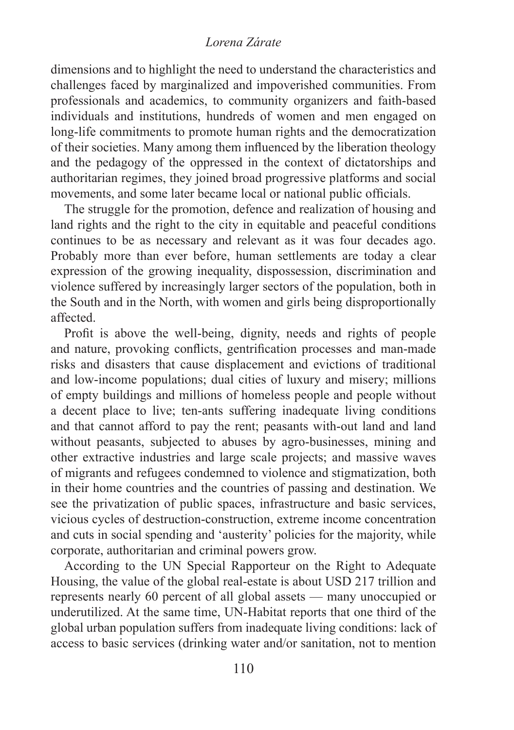#### *Lorena Zárate*

dimensions and to highlight the need to understand the characteristics and challenges faced by marginalized and impoverished communities. From professionals and academics, to community organizers and faith-based individuals and institutions, hundreds of women and men engaged on long-life commitments to promote human rights and the democratization of their societies. Many among them influenced by the liberation theology and the pedagogy of the oppressed in the context of dictatorships and authoritarian regimes, they joined broad progressive platforms and social movements, and some later became local or national public officials.

The struggle for the promotion, defence and realization of housing and land rights and the right to the city in equitable and peaceful conditions continues to be as necessary and relevant as it was four decades ago. Probably more than ever before, human settlements are today a clear expression of the growing inequality, dispossession, discrimination and violence suffered by increasingly larger sectors of the population, both in the South and in the North, with women and girls being disproportionally affected.

Profit is above the well-being, dignity, needs and rights of people and nature, provoking conflicts, gentrification processes and man-made risks and disasters that cause displacement and evictions of traditional and low-income populations; dual cities of luxury and misery; millions of empty buildings and millions of homeless people and people without a decent place to live; ten-ants suffering inadequate living conditions and that cannot afford to pay the rent; peasants with-out land and land without peasants, subjected to abuses by agro-businesses, mining and other extractive industries and large scale projects; and massive waves of migrants and refugees condemned to violence and stigmatization, both in their home countries and the countries of passing and destination. We see the privatization of public spaces, infrastructure and basic services, vicious cycles of destruction-construction, extreme income concentration and cuts in social spending and 'austerity' policies for the majority, while corporate, authoritarian and criminal powers grow.

According to the UN Special Rapporteur on the Right to Adequate Housing, the value of the global real-estate is about USD 217 trillion and represents nearly 60 percent of all global assets — many unoccupied or underutilized. At the same time, UN-Habitat reports that one third of the global urban population suffers from inadequate living conditions: lack of access to basic services (drinking water and/or sanitation, not to mention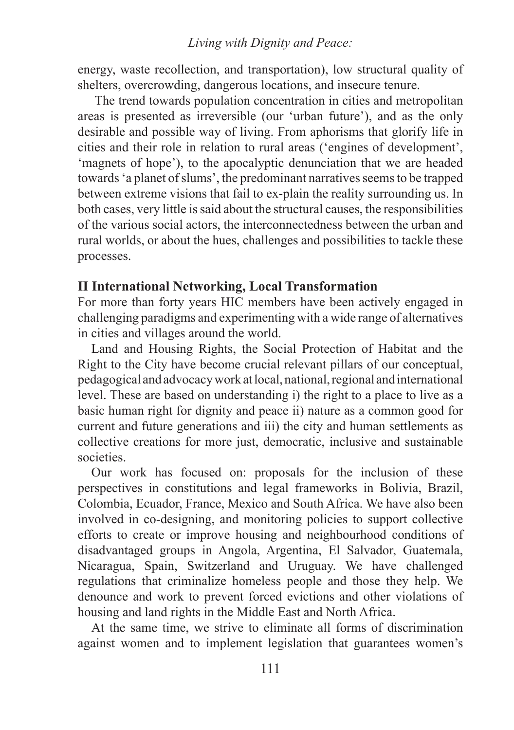#### *Living with Dignity and Peace:*

energy, waste recollection, and transportation), low structural quality of shelters, overcrowding, dangerous locations, and insecure tenure.

 The trend towards population concentration in cities and metropolitan areas is presented as irreversible (our 'urban future'), and as the only desirable and possible way of living. From aphorisms that glorify life in cities and their role in relation to rural areas ('engines of development', 'magnets of hope'), to the apocalyptic denunciation that we are headed towards 'a planet of slums', the predominant narratives seems to be trapped between extreme visions that fail to ex-plain the reality surrounding us. In both cases, very little is said about the structural causes, the responsibilities of the various social actors, the interconnectedness between the urban and rural worlds, or about the hues, challenges and possibilities to tackle these processes.

## **II International Networking, Local Transformation**

For more than forty years HIC members have been actively engaged in challenging paradigms and experimenting with a wide range of alternatives in cities and villages around the world.

Land and Housing Rights, the Social Protection of Habitat and the Right to the City have become crucial relevant pillars of our conceptual, pedagogical and advocacy work at local, national, regional and international level. These are based on understanding i) the right to a place to live as a basic human right for dignity and peace ii) nature as a common good for current and future generations and iii) the city and human settlements as collective creations for more just, democratic, inclusive and sustainable societies.

Our work has focused on: proposals for the inclusion of these perspectives in constitutions and legal frameworks in Bolivia, Brazil, Colombia, Ecuador, France, Mexico and South Africa. We have also been involved in co-designing, and monitoring policies to support collective efforts to create or improve housing and neighbourhood conditions of disadvantaged groups in Angola, Argentina, El Salvador, Guatemala, Nicaragua, Spain, Switzerland and Uruguay. We have challenged regulations that criminalize homeless people and those they help. We denounce and work to prevent forced evictions and other violations of housing and land rights in the Middle East and North Africa.

At the same time, we strive to eliminate all forms of discrimination against women and to implement legislation that guarantees women's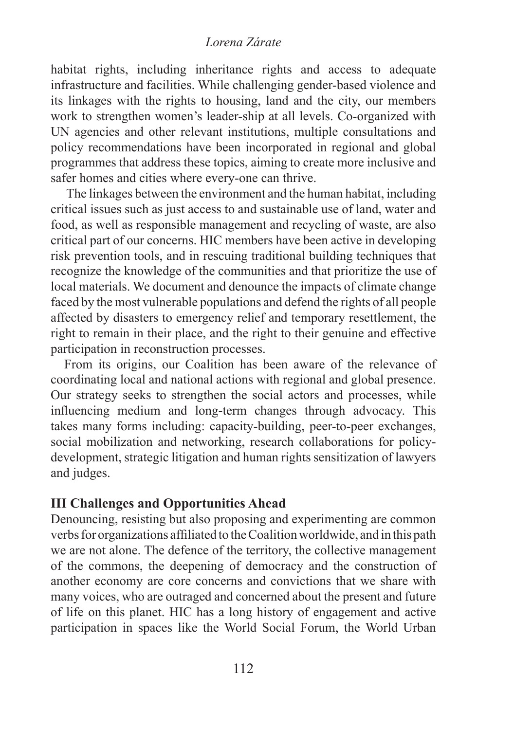#### *Lorena Zárate*

habitat rights, including inheritance rights and access to adequate infrastructure and facilities. While challenging gender-based violence and its linkages with the rights to housing, land and the city, our members work to strengthen women's leader-ship at all levels. Co-organized with UN agencies and other relevant institutions, multiple consultations and policy recommendations have been incorporated in regional and global programmes that address these topics, aiming to create more inclusive and safer homes and cities where every-one can thrive.

 The linkages between the environment and the human habitat, including critical issues such as just access to and sustainable use of land, water and food, as well as responsible management and recycling of waste, are also critical part of our concerns. HIC members have been active in developing risk prevention tools, and in rescuing traditional building techniques that recognize the knowledge of the communities and that prioritize the use of local materials. We document and denounce the impacts of climate change faced by the most vulnerable populations and defend the rights of all people affected by disasters to emergency relief and temporary resettlement, the right to remain in their place, and the right to their genuine and effective participation in reconstruction processes.

From its origins, our Coalition has been aware of the relevance of coordinating local and national actions with regional and global presence. Our strategy seeks to strengthen the social actors and processes, while influencing medium and long-term changes through advocacy. This takes many forms including: capacity-building, peer-to-peer exchanges, social mobilization and networking, research collaborations for policydevelopment, strategic litigation and human rights sensitization of lawyers and judges.

# **III Challenges and Opportunities Ahead**

Denouncing, resisting but also proposing and experimenting are common verbs for organizations affiliated to the Coalition worldwide, and in this path we are not alone. The defence of the territory, the collective management of the commons, the deepening of democracy and the construction of another economy are core concerns and convictions that we share with many voices, who are outraged and concerned about the present and future of life on this planet. HIC has a long history of engagement and active participation in spaces like the World Social Forum, the World Urban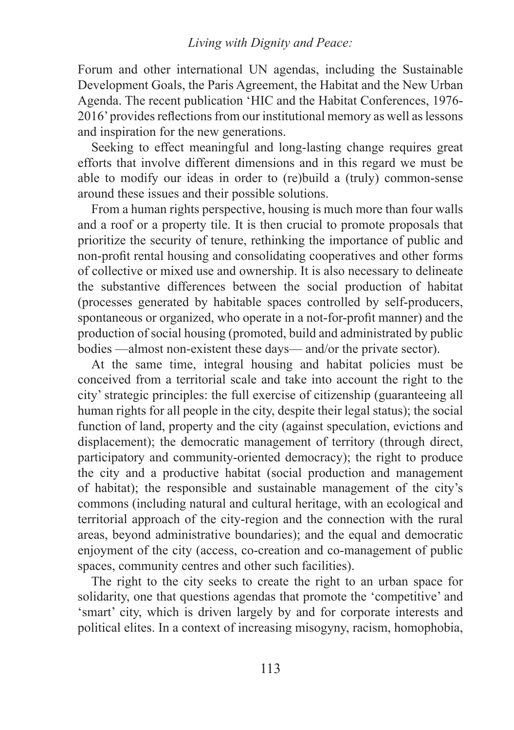Forum and other international UN agendas, including the Sustainable Development Goals, the Paris Agreement, the Habitat and the New Urban Agenda. The recent publication 'HIC and the Habitat Conferences, 1976- 2016' provides reflections from our institutional memory as well as lessons and inspiration for the new generations.

Seeking to effect meaningful and long-lasting change requires great efforts that involve different dimensions and in this regard we must be able to modify our ideas in order to (re)build a (truly) common-sense around these issues and their possible solutions.

From a human rights perspective, housing is much more than four walls and a roof or a property tile. It is then crucial to promote proposals that prioritize the security of tenure, rethinking the importance of public and non-profit rental housing and consolidating cooperatives and other forms of collective or mixed use and ownership. It is also necessary to delineate the substantive differences between the social production of habitat (processes generated by habitable spaces controlled by self-producers, spontaneous or organized, who operate in a not-for-profit manner) and the production of social housing (promoted, build and administrated by public bodies —almost non-existent these days— and/or the private sector).

At the same time, integral housing and habitat policies must be conceived from a territorial scale and take into account the right to the city' strategic principles: the full exercise of citizenship (guaranteeing all human rights for all people in the city, despite their legal status); the social function of land, property and the city (against speculation, evictions and displacement); the democratic management of territory (through direct, participatory and community-oriented democracy); the right to produce the city and a productive habitat (social production and management of habitat); the responsible and sustainable management of the city's commons (including natural and cultural heritage, with an ecological and territorial approach of the city-region and the connection with the rural areas, beyond administrative boundaries); and the equal and democratic enjoyment of the city (access, co-creation and co-management of public spaces, community centres and other such facilities).

The right to the city seeks to create the right to an urban space for solidarity, one that questions agendas that promote the 'competitive' and 'smart' city, which is driven largely by and for corporate interests and political elites. In a context of increasing misogyny, racism, homophobia,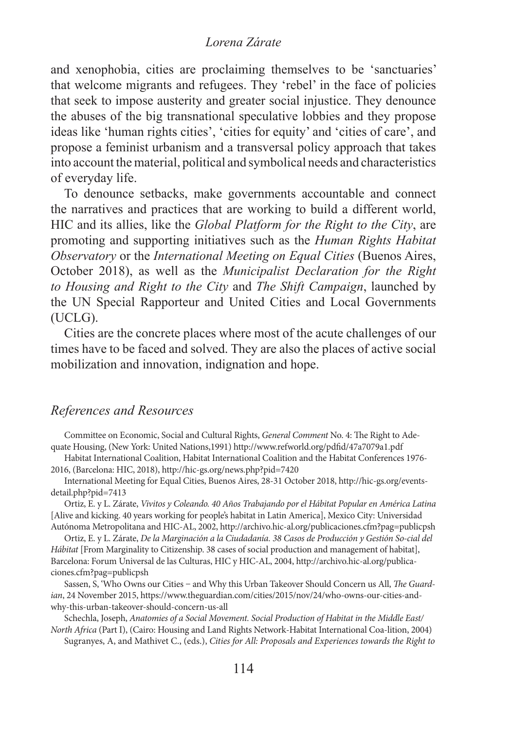#### *Lorena Zárate*

and xenophobia, cities are proclaiming themselves to be 'sanctuaries' that welcome migrants and refugees. They 'rebel' in the face of policies that seek to impose austerity and greater social injustice. They denounce the abuses of the big transnational speculative lobbies and they propose ideas like 'human rights cities', 'cities for equity' and 'cities of care', and propose a feminist urbanism and a transversal policy approach that takes into account the material, political and symbolical needs and characteristics of everyday life.

To denounce setbacks, make governments accountable and connect the narratives and practices that are working to build a different world, HIC and its allies, like the *Global Platform for the Right to the City*, are promoting and supporting initiatives such as the *Human Rights Habitat Observatory* or the *International Meeting on Equal Cities* (Buenos Aires, October 2018), as well as the *Municipalist Declaration for the Right to Housing and Right to the City* and *The Shift Campaign*, launched by the UN Special Rapporteur and United Cities and Local Governments (UCLG).

Cities are the concrete places where most of the acute challenges of our times have to be faced and solved. They are also the places of active social mobilization and innovation, indignation and hope.

# *References and Resources*

Committee on Economic, Social and Cultural Rights, *General Comment* No. 4: The Right to Adequate Housing, (New York: United Nations,1991) http://www.refworld.org/pdfid/47a7079a1.pdf

Habitat International Coalition, Habitat International Coalition and the Habitat Conferences 1976- 2016, (Barcelona: HIC, 2018), http://hic-gs.org/news.php?pid=7420

International Meeting for Equal Cities, Buenos Aires, 28-31 October 2018, http://hic-gs.org/eventsdetail.php?pid=7413

Ortiz, E. y L. Zárate, *Vivitos y Coleando. 40 Años Trabajando por el Hábitat Popular en América Latina* [Alive and kicking. 40 years working for people's habitat in Latin America], Mexico City: Universidad Autónoma Metropolitana and HIC-AL, 2002, http://archivo.hic-al.org/publicaciones.cfm?pag=publicpsh

Ortiz, E. y L. Zárate, *De la Marginación a la Ciudadanía. 38 Casos de Producción y Gestión So-cial del Hábitat* [From Marginality to Citizenship. 38 cases of social production and management of habitat], Barcelona: Forum Universal de las Culturas, HIC y HIC-AL, 2004, http://archivo.hic-al.org/publicaciones.cfm?pag=publicpsh

Sassen, S, 'Who Owns our Cities - and Why this Urban Takeover Should Concern us All, *The Guardian*, 24 November 2015, https://www.theguardian.com/cities/2015/nov/24/who-owns-our-cities-andwhy-this-urban-takeover-should-concern-us-all

Schechla, Joseph, *Anatomies of a Social Movement. Social Production of Habitat in the Middle East/ North Africa* (Part I), (Cairo: Housing and Land Rights Network-Habitat International Coa-lition, 2004)

Sugranyes, A, and Mathivet C., (eds.), *Cities for All: Proposals and Experiences towards the Right to*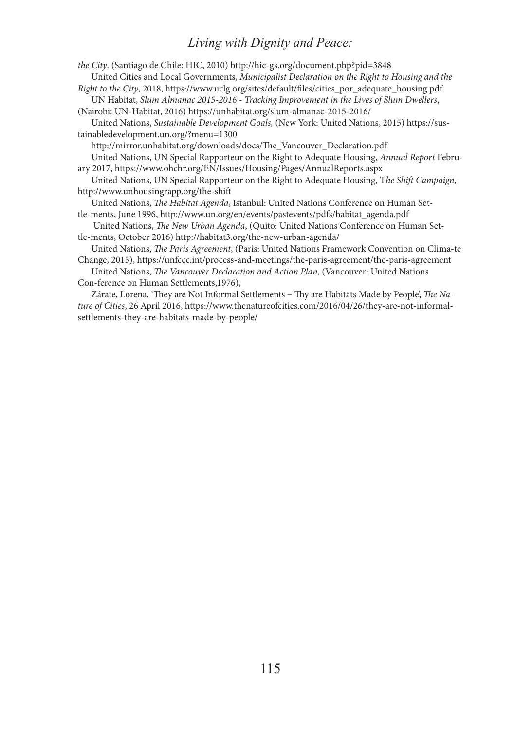#### *Living with Dignity and Peace:*

*the City*. (Santiago de Chile: HIC, 2010) http://hic-gs.org/document.php?pid=3848 United Cities and Local Governments, *Municipalist Declaration on the Right to Housing and the Right to the City*, 2018, https://www.uclg.org/sites/default/files/cities\_por\_adequate\_housing.pdf

UN Habitat, *Slum Almanac 2015-2016 - Tracking Improvement in the Lives of Slum Dwellers*, (Nairobi: UN-Habitat, 2016) https://unhabitat.org/slum-almanac-2015-2016/

United Nations, *Sustainable Development Goals,* (New York: United Nations, 2015) https://sustainabledevelopment.un.org/?menu=1300

http://mirror.unhabitat.org/downloads/docs/The\_Vancouver\_Declaration.pdf United Nations, UN Special Rapporteur on the Right to Adequate Housing, *Annual Report* February 2017, https://www.ohchr.org/EN/Issues/Housing/Pages/AnnualReports.aspx

United Nations, UN Special Rapporteur on the Right to Adequate Housing, T*he Shift Campaign*, http://www.unhousingrapp.org/the-shift

United Nations, *The Habitat Agenda*, Istanbul: United Nations Conference on Human Settle-ments, June 1996, http://www.un.org/en/events/pastevents/pdfs/habitat\_agenda.pdf

 United Nations, *The New Urban Agenda*, (Quito: United Nations Conference on Human Settle-ments, October 2016) http://habitat3.org/the-new-urban-agenda/

United Nations, *The Paris Agreement*, (Paris: United Nations Framework Convention on Clima-te Change, 2015), https://unfccc.int/process-and-meetings/the-paris-agreement/the-paris-agreement

United Nations, *The Vancouver Declaration and Action Plan*, (Vancouver: United Nations Con-ference on Human Settlements,1976),

Zárate, Lorena, 'They are Not Informal Settlements ‒ Thy are Habitats Made by People', *The Nature of Cities*, 26 April 2016, https://www.thenatureofcities.com/2016/04/26/they-are-not-informalsettlements-they-are-habitats-made-by-people/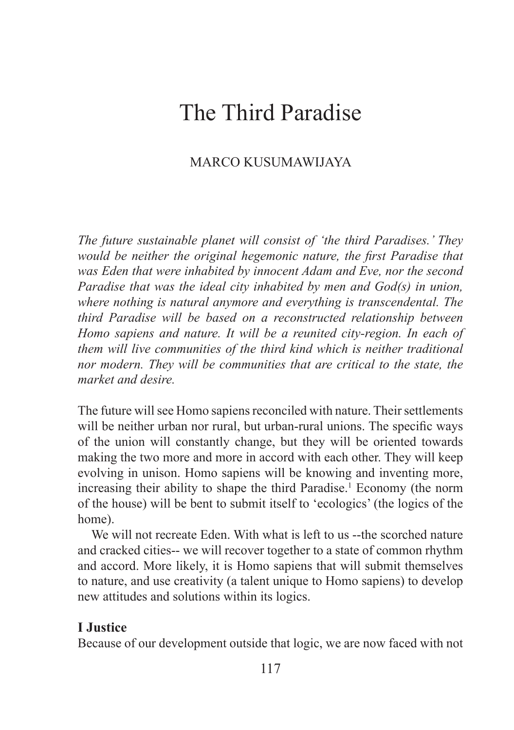# The Third Paradise

# MARCO KUSUMAWIJAYA

*The future sustainable planet will consist of 'the third Paradises.' They would be neither the original hegemonic nature, the first Paradise that was Eden that were inhabited by innocent Adam and Eve, nor the second Paradise that was the ideal city inhabited by men and God(s) in union, where nothing is natural anymore and everything is transcendental. The third Paradise will be based on a reconstructed relationship between Homo sapiens and nature. It will be a reunited city-region. In each of them will live communities of the third kind which is neither traditional nor modern. They will be communities that are critical to the state, the market and desire.* 

The future will see Homo sapiens reconciled with nature. Their settlements will be neither urban nor rural, but urban-rural unions. The specific ways of the union will constantly change, but they will be oriented towards making the two more and more in accord with each other. They will keep evolving in unison. Homo sapiens will be knowing and inventing more, increasing their ability to shape the third Paradise.<sup>1</sup> Economy (the norm of the house) will be bent to submit itself to 'ecologics' (the logics of the home).

We will not recreate Eden. With what is left to us --the scorched nature and cracked cities-- we will recover together to a state of common rhythm and accord. More likely, it is Homo sapiens that will submit themselves to nature, and use creativity (a talent unique to Homo sapiens) to develop new attitudes and solutions within its logics.

# **I Justice**

Because of our development outside that logic, we are now faced with not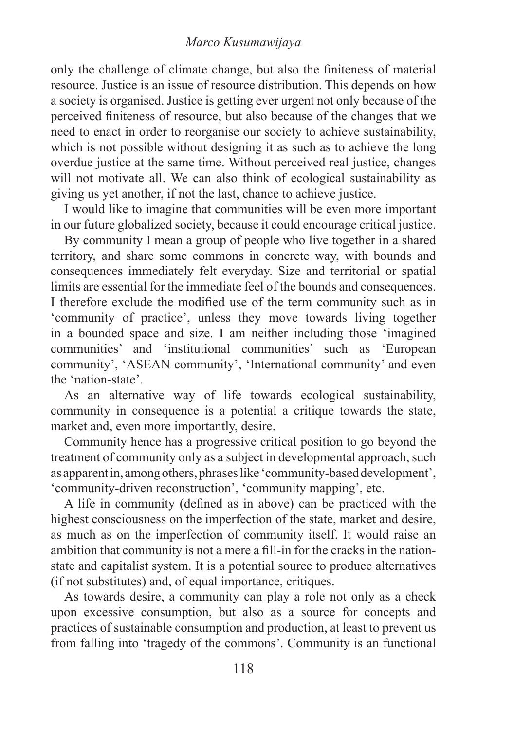#### *Marco Kusumawijaya*

only the challenge of climate change, but also the finiteness of material resource. Justice is an issue of resource distribution. This depends on how a society is organised. Justice is getting ever urgent not only because of the perceived finiteness of resource, but also because of the changes that we need to enact in order to reorganise our society to achieve sustainability, which is not possible without designing it as such as to achieve the long overdue justice at the same time. Without perceived real justice, changes will not motivate all. We can also think of ecological sustainability as giving us yet another, if not the last, chance to achieve justice.

I would like to imagine that communities will be even more important in our future globalized society, because it could encourage critical justice.

By community I mean a group of people who live together in a shared territory, and share some commons in concrete way, with bounds and consequences immediately felt everyday. Size and territorial or spatial limits are essential for the immediate feel of the bounds and consequences. I therefore exclude the modified use of the term community such as in 'community of practice', unless they move towards living together in a bounded space and size. I am neither including those 'imagined communities' and 'institutional communities' such as 'European community', 'ASEAN community', 'International community' and even the 'nation-state'.

As an alternative way of life towards ecological sustainability, community in consequence is a potential a critique towards the state, market and, even more importantly, desire.

Community hence has a progressive critical position to go beyond the treatment of community only as a subject in developmental approach, such as apparent in, among others, phrases like 'community-based development', 'community-driven reconstruction', 'community mapping', etc.

A life in community (defined as in above) can be practiced with the highest consciousness on the imperfection of the state, market and desire, as much as on the imperfection of community itself. It would raise an ambition that community is not a mere a fill-in for the cracks in the nationstate and capitalist system. It is a potential source to produce alternatives (if not substitutes) and, of equal importance, critiques.

As towards desire, a community can play a role not only as a check upon excessive consumption, but also as a source for concepts and practices of sustainable consumption and production, at least to prevent us from falling into 'tragedy of the commons'. Community is an functional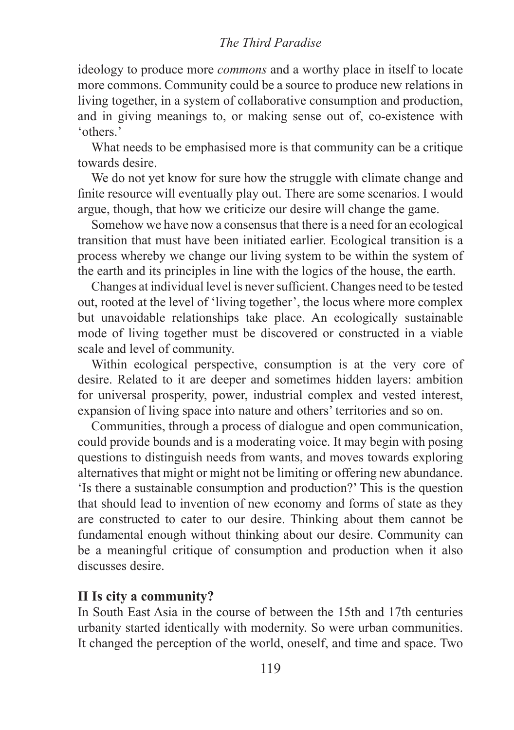ideology to produce more *commons* and a worthy place in itself to locate more commons. Community could be a source to produce new relations in living together, in a system of collaborative consumption and production, and in giving meanings to, or making sense out of, co-existence with 'others.'

What needs to be emphasised more is that community can be a critique towards desire.

We do not yet know for sure how the struggle with climate change and finite resource will eventually play out. There are some scenarios. I would argue, though, that how we criticize our desire will change the game.

Somehow we have now a consensus that there is a need for an ecological transition that must have been initiated earlier. Ecological transition is a process whereby we change our living system to be within the system of the earth and its principles in line with the logics of the house, the earth.

Changes at individual level is never sufficient. Changes need to be tested out, rooted at the level of 'living together', the locus where more complex but unavoidable relationships take place. An ecologically sustainable mode of living together must be discovered or constructed in a viable scale and level of community.

Within ecological perspective, consumption is at the very core of desire. Related to it are deeper and sometimes hidden layers: ambition for universal prosperity, power, industrial complex and vested interest, expansion of living space into nature and others' territories and so on.

Communities, through a process of dialogue and open communication, could provide bounds and is a moderating voice. It may begin with posing questions to distinguish needs from wants, and moves towards exploring alternatives that might or might not be limiting or offering new abundance. 'Is there a sustainable consumption and production?' This is the question that should lead to invention of new economy and forms of state as they are constructed to cater to our desire. Thinking about them cannot be fundamental enough without thinking about our desire. Community can be a meaningful critique of consumption and production when it also discusses desire.

# **II Is city a community?**

In South East Asia in the course of between the 15th and 17th centuries urbanity started identically with modernity. So were urban communities. It changed the perception of the world, oneself, and time and space. Two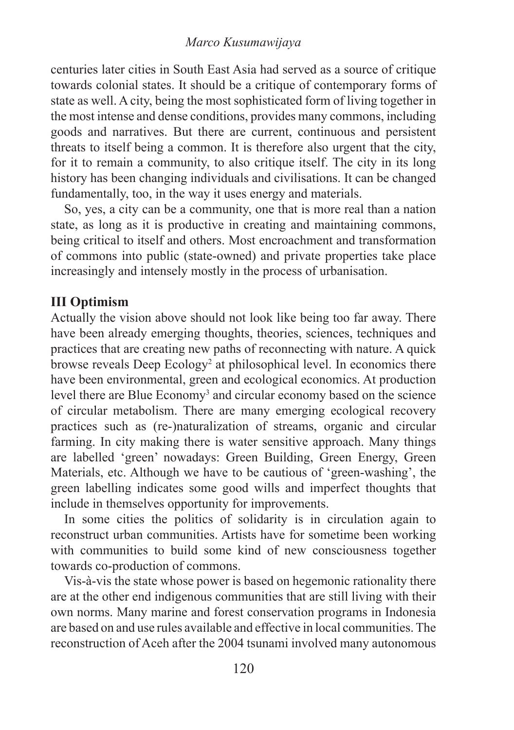#### *Marco Kusumawijaya*

centuries later cities in South East Asia had served as a source of critique towards colonial states. It should be a critique of contemporary forms of state as well. A city, being the most sophisticated form of living together in the most intense and dense conditions, provides many commons, including goods and narratives. But there are current, continuous and persistent threats to itself being a common. It is therefore also urgent that the city, for it to remain a community, to also critique itself. The city in its long history has been changing individuals and civilisations. It can be changed fundamentally, too, in the way it uses energy and materials.

So, yes, a city can be a community, one that is more real than a nation state, as long as it is productive in creating and maintaining commons, being critical to itself and others. Most encroachment and transformation of commons into public (state-owned) and private properties take place increasingly and intensely mostly in the process of urbanisation.

# **III Optimism**

Actually the vision above should not look like being too far away. There have been already emerging thoughts, theories, sciences, techniques and practices that are creating new paths of reconnecting with nature. A quick browse reveals Deep Ecology<sup>2</sup> at philosophical level. In economics there have been environmental, green and ecological economics. At production level there are Blue Economy<sup>3</sup> and circular economy based on the science of circular metabolism. There are many emerging ecological recovery practices such as (re-)naturalization of streams, organic and circular farming. In city making there is water sensitive approach. Many things are labelled 'green' nowadays: Green Building, Green Energy, Green Materials, etc. Although we have to be cautious of 'green-washing', the green labelling indicates some good wills and imperfect thoughts that include in themselves opportunity for improvements.

In some cities the politics of solidarity is in circulation again to reconstruct urban communities. Artists have for sometime been working with communities to build some kind of new consciousness together towards co-production of commons.

Vis-à-vis the state whose power is based on hegemonic rationality there are at the other end indigenous communities that are still living with their own norms. Many marine and forest conservation programs in Indonesia are based on and use rules available and effective in local communities. The reconstruction of Aceh after the 2004 tsunami involved many autonomous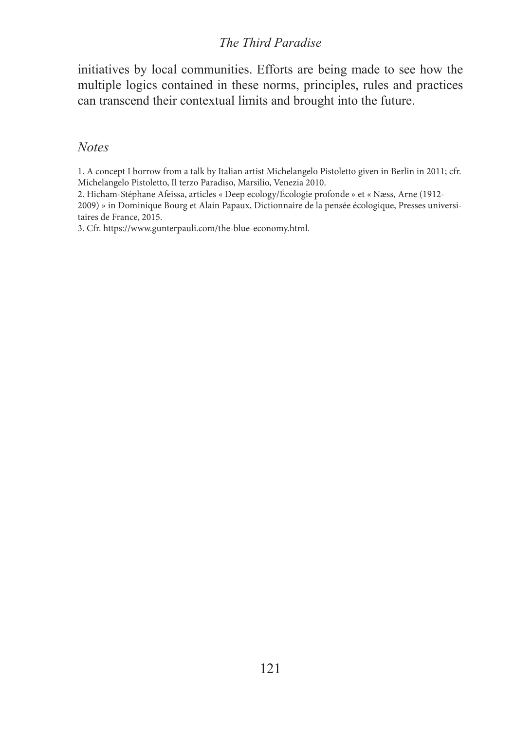#### *The Third Paradise*

initiatives by local communities. Efforts are being made to see how the multiple logics contained in these norms, principles, rules and practices can transcend their contextual limits and brought into the future.

#### *Notes*

1. A concept I borrow from a talk by Italian artist Michelangelo Pistoletto given in Berlin in 2011; cfr. Michelangelo Pistoletto, Il terzo Paradiso, Marsilio, Venezia 2010.

2. Hicham-Stéphane Afeissa, articles « Deep ecology/Écologie profonde » et « Næss, Arne (1912-

2009) » in Dominique Bourg et Alain Papaux, Dictionnaire de la pensée écologique, Presses universitaires de France, 2015.

3. Cfr. https://www.gunterpauli.com/the-blue-economy.html.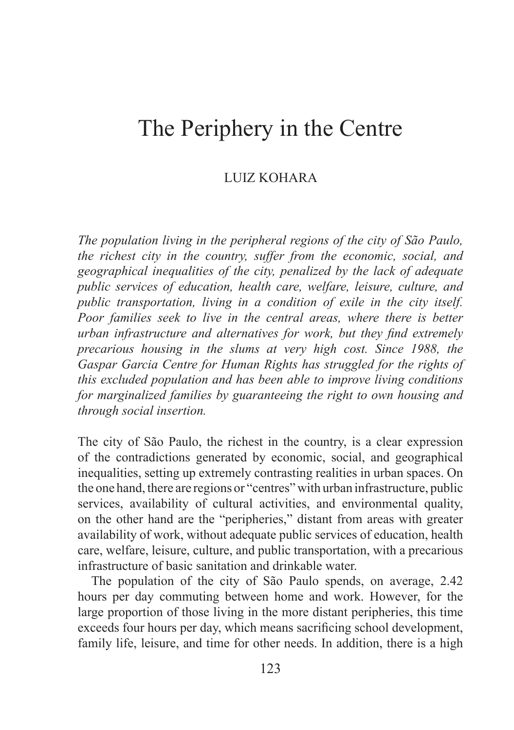# The Periphery in the Centre

# LUIZ KOHARA

*The population living in the peripheral regions of the city of São Paulo, the richest city in the country, suffer from the economic, social, and geographical inequalities of the city, penalized by the lack of adequate public services of education, health care, welfare, leisure, culture, and public transportation, living in a condition of exile in the city itself. Poor families seek to live in the central areas, where there is better urban infrastructure and alternatives for work, but they find extremely precarious housing in the slums at very high cost. Since 1988, the Gaspar Garcia Centre for Human Rights has struggled for the rights of this excluded population and has been able to improve living conditions for marginalized families by guaranteeing the right to own housing and through social insertion.*

The city of São Paulo, the richest in the country, is a clear expression of the contradictions generated by economic, social, and geographical inequalities, setting up extremely contrasting realities in urban spaces. On the one hand, there are regions or "centres" with urban infrastructure, public services, availability of cultural activities, and environmental quality, on the other hand are the "peripheries," distant from areas with greater availability of work, without adequate public services of education, health care, welfare, leisure, culture, and public transportation, with a precarious infrastructure of basic sanitation and drinkable water.

The population of the city of São Paulo spends, on average, 2.42 hours per day commuting between home and work. However, for the large proportion of those living in the more distant peripheries, this time exceeds four hours per day, which means sacrificing school development, family life, leisure, and time for other needs. In addition, there is a high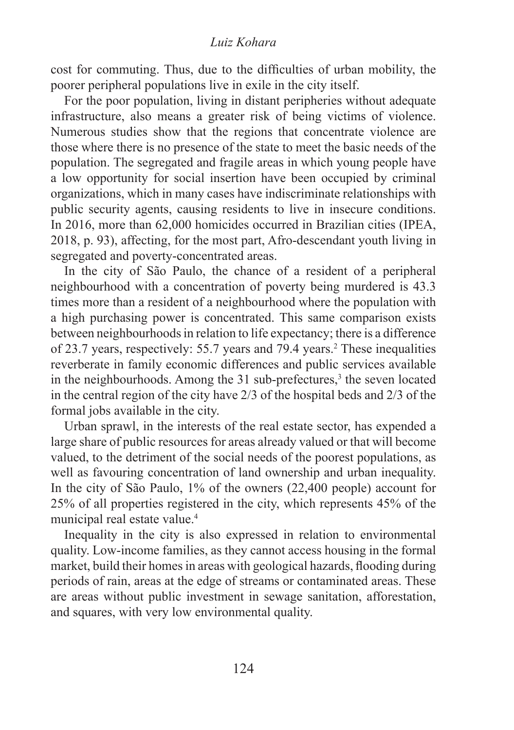#### *Luiz Kohara*

cost for commuting. Thus, due to the difficulties of urban mobility, the poorer peripheral populations live in exile in the city itself.

For the poor population, living in distant peripheries without adequate infrastructure, also means a greater risk of being victims of violence. Numerous studies show that the regions that concentrate violence are those where there is no presence of the state to meet the basic needs of the population. The segregated and fragile areas in which young people have a low opportunity for social insertion have been occupied by criminal organizations, which in many cases have indiscriminate relationships with public security agents, causing residents to live in insecure conditions. In 2016, more than 62,000 homicides occurred in Brazilian cities (IPEA, 2018, p. 93), affecting, for the most part, Afro-descendant youth living in segregated and poverty-concentrated areas.

In the city of São Paulo, the chance of a resident of a peripheral neighbourhood with a concentration of poverty being murdered is 43.3 times more than a resident of a neighbourhood where the population with a high purchasing power is concentrated. This same comparison exists between neighbourhoods in relation to life expectancy; there is a difference of 23.7 years, respectively: 55.7 years and 79.4 years.2 These inequalities reverberate in family economic differences and public services available in the neighbourhoods. Among the  $31$  sub-prefectures,<sup>3</sup> the seven located in the central region of the city have 2/3 of the hospital beds and 2/3 of the formal jobs available in the city.

Urban sprawl, in the interests of the real estate sector, has expended a large share of public resources for areas already valued or that will become valued, to the detriment of the social needs of the poorest populations, as well as favouring concentration of land ownership and urban inequality. In the city of São Paulo, 1% of the owners (22,400 people) account for 25% of all properties registered in the city, which represents 45% of the municipal real estate value.4

Inequality in the city is also expressed in relation to environmental quality. Low-income families, as they cannot access housing in the formal market, build their homes in areas with geological hazards, flooding during periods of rain, areas at the edge of streams or contaminated areas. These are areas without public investment in sewage sanitation, afforestation, and squares, with very low environmental quality.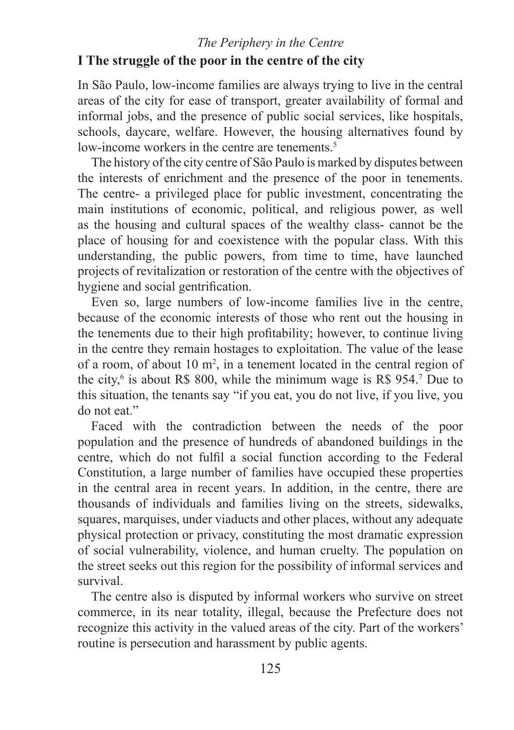# *The Periphery in the Centre*  **I The struggle of the poor in the centre of the city**

In São Paulo, low-income families are always trying to live in the central areas of the city for ease of transport, greater availability of formal and informal jobs, and the presence of public social services, like hospitals, schools, daycare, welfare. However, the housing alternatives found by low-income workers in the centre are tenements.<sup>5</sup>

The history of the city centre of São Paulo is marked by disputes between the interests of enrichment and the presence of the poor in tenements. The centre- a privileged place for public investment, concentrating the main institutions of economic, political, and religious power, as well as the housing and cultural spaces of the wealthy class- cannot be the place of housing for and coexistence with the popular class. With this understanding, the public powers, from time to time, have launched projects of revitalization or restoration of the centre with the objectives of hygiene and social gentrification.

Even so, large numbers of low-income families live in the centre, because of the economic interests of those who rent out the housing in the tenements due to their high profitability; however, to continue living in the centre they remain hostages to exploitation. The value of the lease of a room, of about 10  $m^2$ , in a tenement located in the central region of the city,<sup>6</sup> is about R\$ 800, while the minimum wage is R\$ 954.<sup>7</sup> Due to this situation, the tenants say "if you eat, you do not live, if you live, you do not eat."

Faced with the contradiction between the needs of the poor population and the presence of hundreds of abandoned buildings in the centre, which do not fulfil a social function according to the Federal Constitution, a large number of families have occupied these properties in the central area in recent years. In addition, in the centre, there are thousands of individuals and families living on the streets, sidewalks, squares, marquises, under viaducts and other places, without any adequate physical protection or privacy, constituting the most dramatic expression of social vulnerability, violence, and human cruelty. The population on the street seeks out this region for the possibility of informal services and survival.

The centre also is disputed by informal workers who survive on street commerce, in its near totality, illegal, because the Prefecture does not recognize this activity in the valued areas of the city. Part of the workers' routine is persecution and harassment by public agents.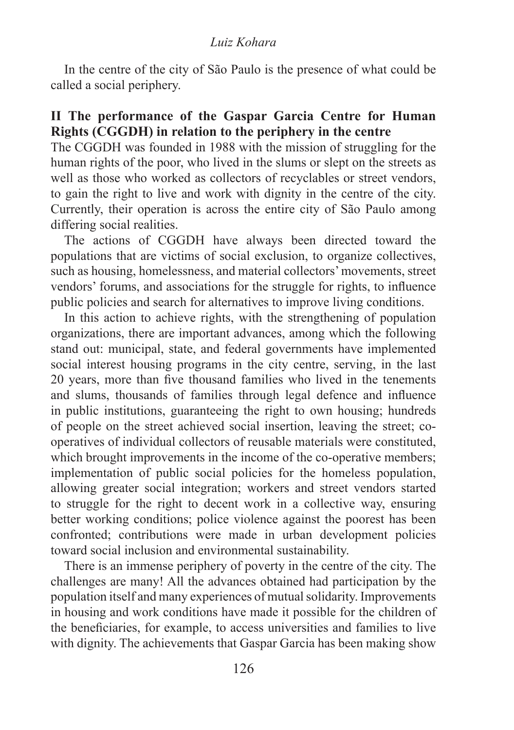#### *Luiz Kohara*

In the centre of the city of São Paulo is the presence of what could be called a social periphery.

# **II The performance of the Gaspar Garcia Centre for Human Rights (CGGDH) in relation to the periphery in the centre**

The CGGDH was founded in 1988 with the mission of struggling for the human rights of the poor, who lived in the slums or slept on the streets as well as those who worked as collectors of recyclables or street vendors, to gain the right to live and work with dignity in the centre of the city. Currently, their operation is across the entire city of São Paulo among differing social realities.

The actions of CGGDH have always been directed toward the populations that are victims of social exclusion, to organize collectives, such as housing, homelessness, and material collectors' movements, street vendors' forums, and associations for the struggle for rights, to influence public policies and search for alternatives to improve living conditions.

In this action to achieve rights, with the strengthening of population organizations, there are important advances, among which the following stand out: municipal, state, and federal governments have implemented social interest housing programs in the city centre, serving, in the last 20 years, more than five thousand families who lived in the tenements and slums, thousands of families through legal defence and influence in public institutions, guaranteeing the right to own housing; hundreds of people on the street achieved social insertion, leaving the street; cooperatives of individual collectors of reusable materials were constituted, which brought improvements in the income of the co-operative members; implementation of public social policies for the homeless population, allowing greater social integration; workers and street vendors started to struggle for the right to decent work in a collective way, ensuring better working conditions; police violence against the poorest has been confronted; contributions were made in urban development policies toward social inclusion and environmental sustainability.

There is an immense periphery of poverty in the centre of the city. The challenges are many! All the advances obtained had participation by the population itself and many experiences of mutual solidarity. Improvements in housing and work conditions have made it possible for the children of the beneficiaries, for example, to access universities and families to live with dignity. The achievements that Gaspar Garcia has been making show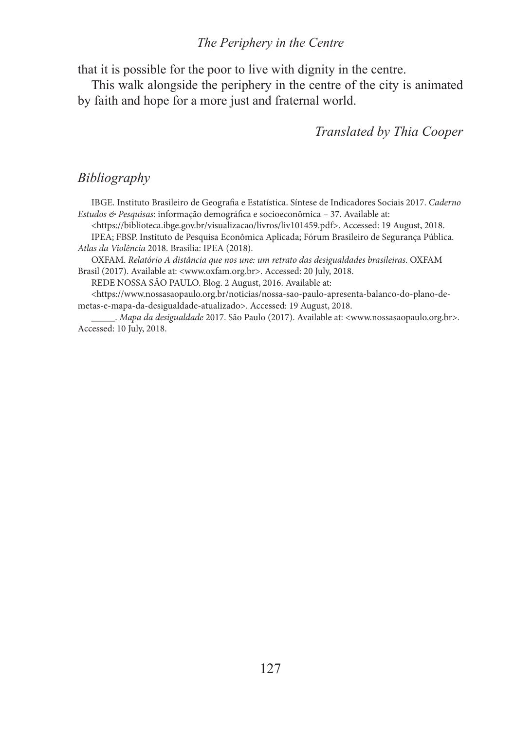#### *The Periphery in the Centre*

that it is possible for the poor to live with dignity in the centre.

This walk alongside the periphery in the centre of the city is animated by faith and hope for a more just and fraternal world.

*Translated by Thia Cooper*

#### *Bibliography*

IBGE. Instituto Brasileiro de Geografia e Estatística. Síntese de Indicadores Sociais 2017. *Caderno Estudos & Pesquisas*: informação demográfica e socioeconômica – 37. Available at:

<https://biblioteca.ibge.gov.br/visualizacao/livros/liv101459.pdf>. Accessed: 19 August, 2018. IPEA; FBSP. Instituto de Pesquisa Econômica Aplicada; Fórum Brasileiro de Segurança Pública. *Atlas da Violência* 2018. Brasília: IPEA (2018).

OXFAM. *Relatório A distância que nos une: um retrato das desigualdades brasileiras*. OXFAM Brasil (2017). Available at: <www.oxfam.org.br>. Accessed: 20 July, 2018.

REDE NOSSA SÃO PAULO. Blog. 2 August, 2016. Available at:

<https://www.nossasaopaulo.org.br/noticias/nossa-sao-paulo-apresenta-balanco-do-plano-demetas-e-mapa-da-desigualdade-atualizado>. Accessed: 19 August, 2018.

\_\_\_\_\_. *Mapa da desigualdade* 2017. São Paulo (2017). Available at: <www.nossasaopaulo.org.br>. Accessed: 10 July, 2018.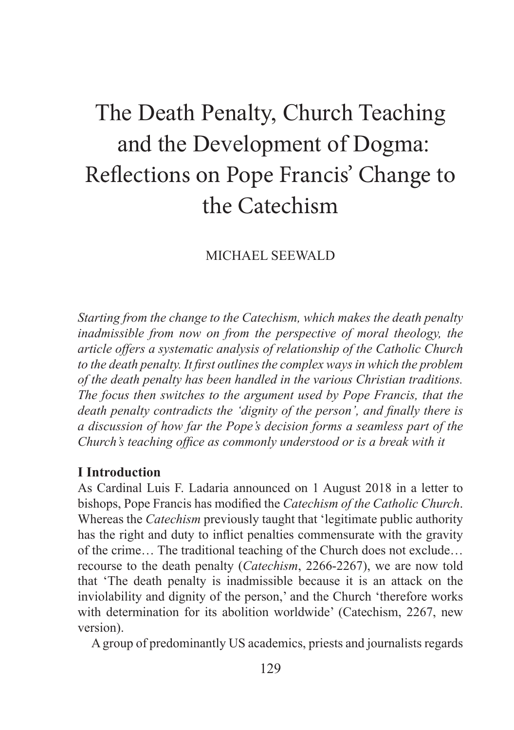# The Death Penalty, Church Teaching and the Development of Dogma: Reflections on Pope Francis' Change to the Catechism

MICHAEL SEEWALD

*Starting from the change to the Catechism, which makes the death penalty inadmissible from now on from the perspective of moral theology, the article offers a systematic analysis of relationship of the Catholic Church to the death penalty. It first outlines the complex ways in which the problem of the death penalty has been handled in the various Christian traditions. The focus then switches to the argument used by Pope Francis, that the death penalty contradicts the 'dignity of the person', and finally there is a discussion of how far the Pope's decision forms a seamless part of the Church's teaching office as commonly understood or is a break with it*

#### **I Introduction**

As Cardinal Luis F. Ladaria announced on 1 August 2018 in a letter to bishops, Pope Francis has modified the *Catechism of the Catholic Church*. Whereas the *Catechism* previously taught that 'legitimate public authority has the right and duty to inflict penalties commensurate with the gravity of the crime… The traditional teaching of the Church does not exclude… recourse to the death penalty (*Catechism*, 2266-2267), we are now told that 'The death penalty is inadmissible because it is an attack on the inviolability and dignity of the person,' and the Church 'therefore works with determination for its abolition worldwide' (Catechism, 2267, new version).

A group of predominantly US academics, priests and journalists regards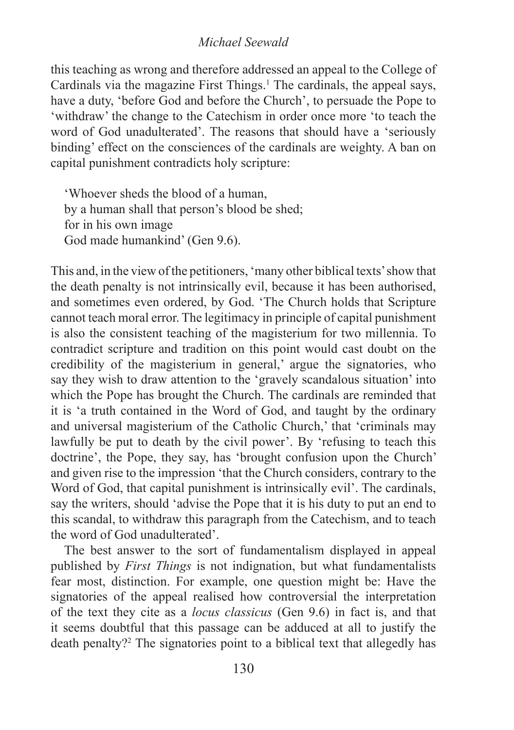this teaching as wrong and therefore addressed an appeal to the College of Cardinals via the magazine First Things.<sup>1</sup> The cardinals, the appeal says, have a duty, 'before God and before the Church', to persuade the Pope to 'withdraw' the change to the Catechism in order once more 'to teach the word of God unadulterated'. The reasons that should have a 'seriously binding' effect on the consciences of the cardinals are weighty. A ban on capital punishment contradicts holy scripture:

'Whoever sheds the blood of a human, by a human shall that person's blood be shed; for in his own image God made humankind' (Gen 9.6).

This and, in the view of the petitioners, 'many other biblical texts' show that the death penalty is not intrinsically evil, because it has been authorised, and sometimes even ordered, by God. 'The Church holds that Scripture cannot teach moral error. The legitimacy in principle of capital punishment is also the consistent teaching of the magisterium for two millennia. To contradict scripture and tradition on this point would cast doubt on the credibility of the magisterium in general,' argue the signatories, who say they wish to draw attention to the 'gravely scandalous situation' into which the Pope has brought the Church. The cardinals are reminded that it is 'a truth contained in the Word of God, and taught by the ordinary and universal magisterium of the Catholic Church,' that 'criminals may lawfully be put to death by the civil power'. By 'refusing to teach this doctrine', the Pope, they say, has 'brought confusion upon the Church' and given rise to the impression 'that the Church considers, contrary to the Word of God, that capital punishment is intrinsically evil'. The cardinals, say the writers, should 'advise the Pope that it is his duty to put an end to this scandal, to withdraw this paragraph from the Catechism, and to teach the word of God unadulterated'.

The best answer to the sort of fundamentalism displayed in appeal published by *First Things* is not indignation, but what fundamentalists fear most, distinction. For example, one question might be: Have the signatories of the appeal realised how controversial the interpretation of the text they cite as a *locus classicus* (Gen 9.6) in fact is, and that it seems doubtful that this passage can be adduced at all to justify the death penalty?2 The signatories point to a biblical text that allegedly has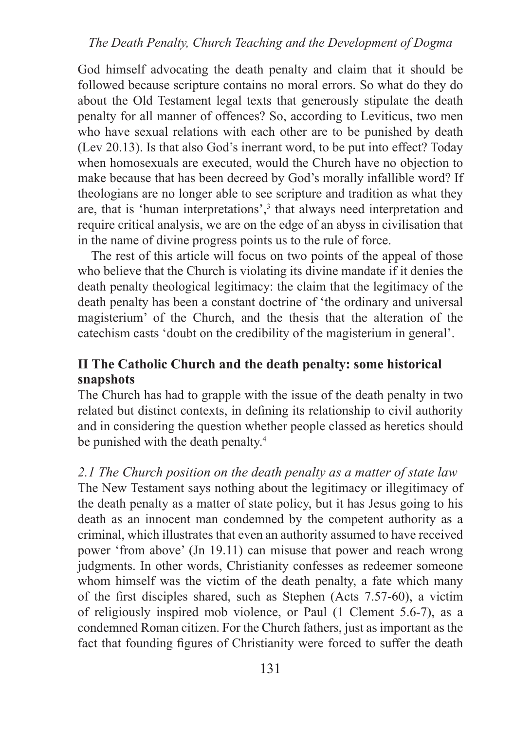## *The Death Penalty, Church Teaching and the Development of Dogma*

God himself advocating the death penalty and claim that it should be followed because scripture contains no moral errors. So what do they do about the Old Testament legal texts that generously stipulate the death penalty for all manner of offences? So, according to Leviticus, two men who have sexual relations with each other are to be punished by death (Lev 20.13). Is that also God's inerrant word, to be put into effect? Today when homosexuals are executed, would the Church have no objection to make because that has been decreed by God's morally infallible word? If theologians are no longer able to see scripture and tradition as what they are, that is 'human interpretations',<sup>3</sup> that always need interpretation and require critical analysis, we are on the edge of an abyss in civilisation that in the name of divine progress points us to the rule of force.

The rest of this article will focus on two points of the appeal of those who believe that the Church is violating its divine mandate if it denies the death penalty theological legitimacy: the claim that the legitimacy of the death penalty has been a constant doctrine of 'the ordinary and universal magisterium' of the Church, and the thesis that the alteration of the catechism casts 'doubt on the credibility of the magisterium in general'.

# **II The Catholic Church and the death penalty: some historical snapshots**

The Church has had to grapple with the issue of the death penalty in two related but distinct contexts, in defining its relationship to civil authority and in considering the question whether people classed as heretics should be punished with the death penalty.<sup>4</sup>

*2.1 The Church position on the death penalty as a matter of state law*  The New Testament says nothing about the legitimacy or illegitimacy of the death penalty as a matter of state policy, but it has Jesus going to his death as an innocent man condemned by the competent authority as a criminal, which illustrates that even an authority assumed to have received power 'from above' (Jn 19.11) can misuse that power and reach wrong judgments. In other words, Christianity confesses as redeemer someone whom himself was the victim of the death penalty, a fate which many of the first disciples shared, such as Stephen (Acts 7.57-60), a victim of religiously inspired mob violence, or Paul (1 Clement 5.6-7), as a condemned Roman citizen. For the Church fathers, just as important as the fact that founding figures of Christianity were forced to suffer the death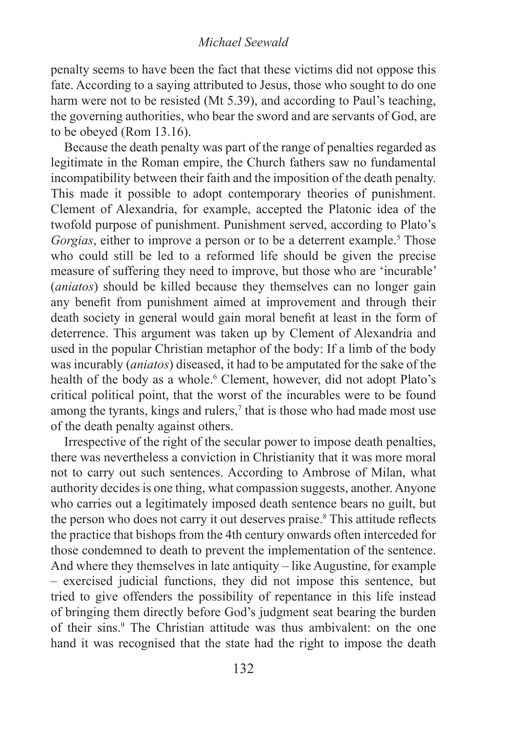penalty seems to have been the fact that these victims did not oppose this fate. According to a saying attributed to Jesus, those who sought to do one harm were not to be resisted (Mt 5.39), and according to Paul's teaching, the governing authorities, who bear the sword and are servants of God, are to be obeyed (Rom 13.16).

Because the death penalty was part of the range of penalties regarded as legitimate in the Roman empire, the Church fathers saw no fundamental incompatibility between their faith and the imposition of the death penalty. This made it possible to adopt contemporary theories of punishment. Clement of Alexandria, for example, accepted the Platonic idea of the twofold purpose of punishment. Punishment served, according to Plato's Gorgias, either to improve a person or to be a deterrent example.<sup>5</sup> Those who could still be led to a reformed life should be given the precise measure of suffering they need to improve, but those who are 'incurable' (*aniatos*) should be killed because they themselves can no longer gain any benefit from punishment aimed at improvement and through their death society in general would gain moral benefit at least in the form of deterrence. This argument was taken up by Clement of Alexandria and used in the popular Christian metaphor of the body: If a limb of the body was incurably (*aniatos*) diseased, it had to be amputated for the sake of the health of the body as a whole.<sup>6</sup> Clement, however, did not adopt Plato's critical political point, that the worst of the incurables were to be found among the tyrants, kings and rulers,<sup> $\tau$ </sup> that is those who had made most use of the death penalty against others.

Irrespective of the right of the secular power to impose death penalties, there was nevertheless a conviction in Christianity that it was more moral not to carry out such sentences. According to Ambrose of Milan, what authority decides is one thing, what compassion suggests, another. Anyone who carries out a legitimately imposed death sentence bears no guilt, but the person who does not carry it out deserves praise.<sup>8</sup> This attitude reflects the practice that bishops from the 4th century onwards often interceded for those condemned to death to prevent the implementation of the sentence. And where they themselves in late antiquity – like Augustine, for example – exercised judicial functions, they did not impose this sentence, but tried to give offenders the possibility of repentance in this life instead of bringing them directly before God's judgment seat bearing the burden of their sins.<sup>9</sup> The Christian attitude was thus ambivalent: on the one hand it was recognised that the state had the right to impose the death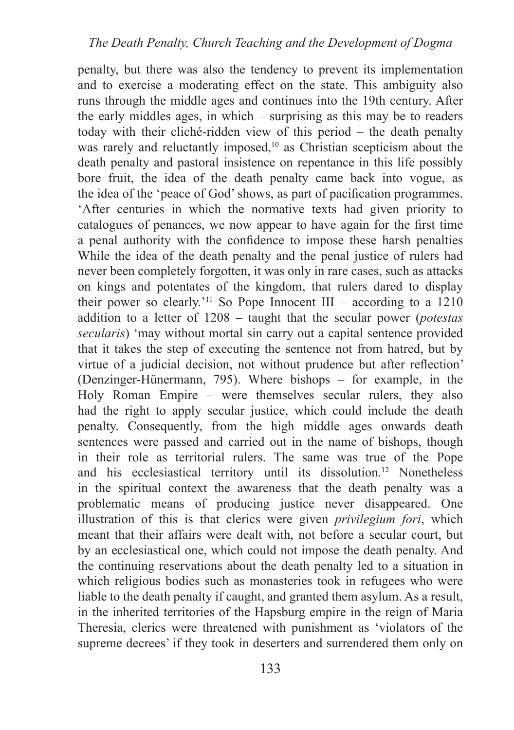penalty, but there was also the tendency to prevent its implementation and to exercise a moderating effect on the state. This ambiguity also runs through the middle ages and continues into the 19th century. After the early middles ages, in which – surprising as this may be to readers today with their cliché-ridden view of this period – the death penalty was rarely and reluctantly imposed,<sup>10</sup> as Christian scepticism about the death penalty and pastoral insistence on repentance in this life possibly bore fruit, the idea of the death penalty came back into vogue, as the idea of the 'peace of God' shows, as part of pacification programmes. 'After centuries in which the normative texts had given priority to catalogues of penances, we now appear to have again for the first time a penal authority with the confidence to impose these harsh penalties While the idea of the death penalty and the penal justice of rulers had never been completely forgotten, it was only in rare cases, such as attacks on kings and potentates of the kingdom, that rulers dared to display their power so clearly.<sup>'11</sup> So Pope Innocent III – according to a  $1210$ addition to a letter of 1208 – taught that the secular power (*potestas secularis*) 'may without mortal sin carry out a capital sentence provided that it takes the step of executing the sentence not from hatred, but by virtue of a judicial decision, not without prudence but after reflection' (Denzinger-Hünermann, 795). Where bishops – for example, in the Holy Roman Empire – were themselves secular rulers, they also had the right to apply secular justice, which could include the death penalty. Consequently, from the high middle ages onwards death sentences were passed and carried out in the name of bishops, though in their role as territorial rulers. The same was true of the Pope and his ecclesiastical territory until its dissolution.12 Nonetheless in the spiritual context the awareness that the death penalty was a problematic means of producing justice never disappeared. One illustration of this is that clerics were given *privilegium fori*, which meant that their affairs were dealt with, not before a secular court, but by an ecclesiastical one, which could not impose the death penalty. And the continuing reservations about the death penalty led to a situation in which religious bodies such as monasteries took in refugees who were liable to the death penalty if caught, and granted them asylum. As a result, in the inherited territories of the Hapsburg empire in the reign of Maria Theresia, clerics were threatened with punishment as 'violators of the supreme decrees' if they took in deserters and surrendered them only on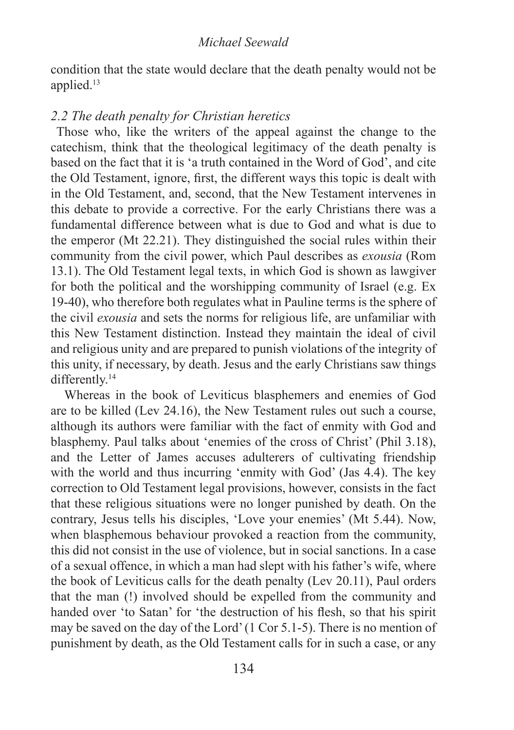condition that the state would declare that the death penalty would not be applied.13

# *2.2 The death penalty for Christian heretics*

 Those who, like the writers of the appeal against the change to the catechism, think that the theological legitimacy of the death penalty is based on the fact that it is 'a truth contained in the Word of God', and cite the Old Testament, ignore, first, the different ways this topic is dealt with in the Old Testament, and, second, that the New Testament intervenes in this debate to provide a corrective. For the early Christians there was a fundamental difference between what is due to God and what is due to the emperor (Mt 22.21). They distinguished the social rules within their community from the civil power, which Paul describes as *exousia* (Rom 13.1). The Old Testament legal texts, in which God is shown as lawgiver for both the political and the worshipping community of Israel (e.g. Ex 19-40), who therefore both regulates what in Pauline terms is the sphere of the civil *exousia* and sets the norms for religious life, are unfamiliar with this New Testament distinction. Instead they maintain the ideal of civil and religious unity and are prepared to punish violations of the integrity of this unity, if necessary, by death. Jesus and the early Christians saw things differently.<sup>14</sup>

Whereas in the book of Leviticus blasphemers and enemies of God are to be killed (Lev 24.16), the New Testament rules out such a course, although its authors were familiar with the fact of enmity with God and blasphemy. Paul talks about 'enemies of the cross of Christ' (Phil 3.18), and the Letter of James accuses adulterers of cultivating friendship with the world and thus incurring 'enmity with God' (Jas 4.4). The key correction to Old Testament legal provisions, however, consists in the fact that these religious situations were no longer punished by death. On the contrary, Jesus tells his disciples, 'Love your enemies' (Mt 5.44). Now, when blasphemous behaviour provoked a reaction from the community, this did not consist in the use of violence, but in social sanctions. In a case of a sexual offence, in which a man had slept with his father's wife, where the book of Leviticus calls for the death penalty (Lev 20.11), Paul orders that the man (!) involved should be expelled from the community and handed over 'to Satan' for 'the destruction of his flesh, so that his spirit may be saved on the day of the Lord' (1 Cor 5.1-5). There is no mention of punishment by death, as the Old Testament calls for in such a case, or any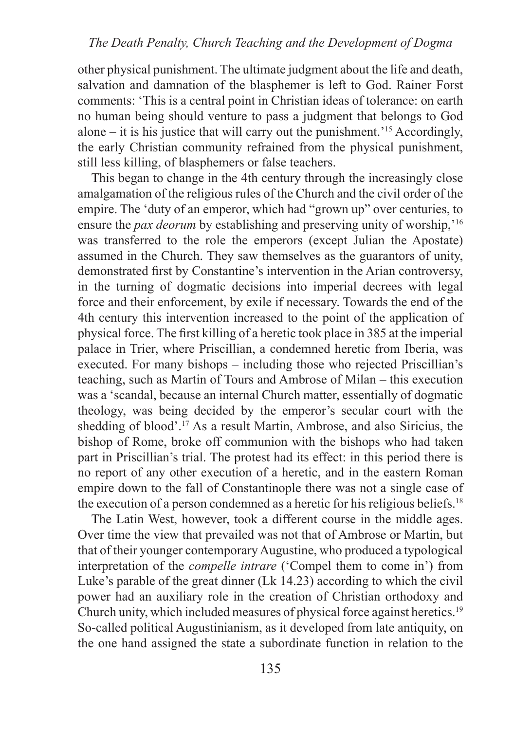# *The Death Penalty, Church Teaching and the Development of Dogma*

other physical punishment. The ultimate judgment about the life and death, salvation and damnation of the blasphemer is left to God. Rainer Forst comments: 'This is a central point in Christian ideas of tolerance: on earth no human being should venture to pass a judgment that belongs to God alone – it is his justice that will carry out the punishment.<sup> $15$ </sup> Accordingly, the early Christian community refrained from the physical punishment, still less killing, of blasphemers or false teachers.

This began to change in the 4th century through the increasingly close amalgamation of the religious rules of the Church and the civil order of the empire. The 'duty of an emperor, which had "grown up" over centuries, to ensure the *pax deorum* by establishing and preserving unity of worship,<sup>16</sup> was transferred to the role the emperors (except Julian the Apostate) assumed in the Church. They saw themselves as the guarantors of unity, demonstrated first by Constantine's intervention in the Arian controversy, in the turning of dogmatic decisions into imperial decrees with legal force and their enforcement, by exile if necessary. Towards the end of the 4th century this intervention increased to the point of the application of physical force. The first killing of a heretic took place in 385 at the imperial palace in Trier, where Priscillian, a condemned heretic from Iberia, was executed. For many bishops – including those who rejected Priscillian's teaching, such as Martin of Tours and Ambrose of Milan – this execution was a 'scandal, because an internal Church matter, essentially of dogmatic theology, was being decided by the emperor's secular court with the shedding of blood'.17 As a result Martin, Ambrose, and also Siricius, the bishop of Rome, broke off communion with the bishops who had taken part in Priscillian's trial. The protest had its effect: in this period there is no report of any other execution of a heretic, and in the eastern Roman empire down to the fall of Constantinople there was not a single case of the execution of a person condemned as a heretic for his religious beliefs.<sup>18</sup>

The Latin West, however, took a different course in the middle ages. Over time the view that prevailed was not that of Ambrose or Martin, but that of their younger contemporary Augustine, who produced a typological interpretation of the *compelle intrare* ('Compel them to come in') from Luke's parable of the great dinner (Lk 14.23) according to which the civil power had an auxiliary role in the creation of Christian orthodoxy and Church unity, which included measures of physical force against heretics.19 So-called political Augustinianism, as it developed from late antiquity, on the one hand assigned the state a subordinate function in relation to the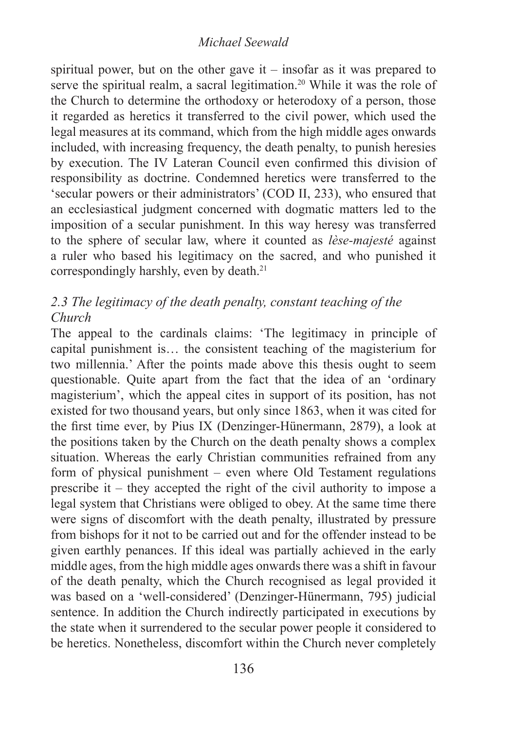spiritual power, but on the other gave it – insofar as it was prepared to serve the spiritual realm, a sacral legitimation.<sup>20</sup> While it was the role of the Church to determine the orthodoxy or heterodoxy of a person, those it regarded as heretics it transferred to the civil power, which used the legal measures at its command, which from the high middle ages onwards included, with increasing frequency, the death penalty, to punish heresies by execution. The IV Lateran Council even confirmed this division of responsibility as doctrine. Condemned heretics were transferred to the 'secular powers or their administrators' (COD II, 233), who ensured that an ecclesiastical judgment concerned with dogmatic matters led to the imposition of a secular punishment. In this way heresy was transferred to the sphere of secular law, where it counted as *lèse-majesté* against a ruler who based his legitimacy on the sacred, and who punished it correspondingly harshly, even by death.<sup>21</sup>

# *2.3 The legitimacy of the death penalty, constant teaching of the Church*

The appeal to the cardinals claims: 'The legitimacy in principle of capital punishment is… the consistent teaching of the magisterium for two millennia.' After the points made above this thesis ought to seem questionable. Quite apart from the fact that the idea of an 'ordinary magisterium', which the appeal cites in support of its position, has not existed for two thousand years, but only since 1863, when it was cited for the first time ever, by Pius IX (Denzinger-Hünermann, 2879), a look at the positions taken by the Church on the death penalty shows a complex situation. Whereas the early Christian communities refrained from any form of physical punishment – even where Old Testament regulations prescribe it – they accepted the right of the civil authority to impose a legal system that Christians were obliged to obey. At the same time there were signs of discomfort with the death penalty, illustrated by pressure from bishops for it not to be carried out and for the offender instead to be given earthly penances. If this ideal was partially achieved in the early middle ages, from the high middle ages onwards there was a shift in favour of the death penalty, which the Church recognised as legal provided it was based on a 'well-considered' (Denzinger-Hünermann, 795) judicial sentence. In addition the Church indirectly participated in executions by the state when it surrendered to the secular power people it considered to be heretics. Nonetheless, discomfort within the Church never completely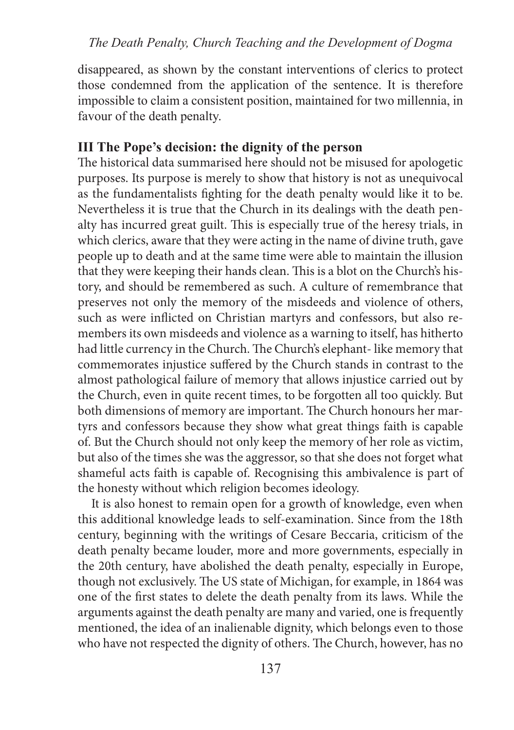disappeared, as shown by the constant interventions of clerics to protect those condemned from the application of the sentence. It is therefore impossible to claim a consistent position, maintained for two millennia, in favour of the death penalty.

# **III The Pope's decision: the dignity of the person**

The historical data summarised here should not be misused for apologetic purposes. Its purpose is merely to show that history is not as unequivocal as the fundamentalists fighting for the death penalty would like it to be. Nevertheless it is true that the Church in its dealings with the death penalty has incurred great guilt. This is especially true of the heresy trials, in which clerics, aware that they were acting in the name of divine truth, gave people up to death and at the same time were able to maintain the illusion that they were keeping their hands clean. This is a blot on the Church's history, and should be remembered as such. A culture of remembrance that preserves not only the memory of the misdeeds and violence of others, such as were inflicted on Christian martyrs and confessors, but also remembers its own misdeeds and violence as a warning to itself, has hitherto had little currency in the Church. The Church's elephant- like memory that commemorates injustice suffered by the Church stands in contrast to the almost pathological failure of memory that allows injustice carried out by the Church, even in quite recent times, to be forgotten all too quickly. But both dimensions of memory are important. The Church honours her martyrs and confessors because they show what great things faith is capable of. But the Church should not only keep the memory of her role as victim, but also of the times she was the aggressor, so that she does not forget what shameful acts faith is capable of. Recognising this ambivalence is part of the honesty without which religion becomes ideology.

It is also honest to remain open for a growth of knowledge, even when this additional knowledge leads to self-examination. Since from the 18th century, beginning with the writings of Cesare Beccaria, criticism of the death penalty became louder, more and more governments, especially in the 20th century, have abolished the death penalty, especially in Europe, though not exclusively. The US state of Michigan, for example, in 1864 was one of the first states to delete the death penalty from its laws. While the arguments against the death penalty are many and varied, one is frequently mentioned, the idea of an inalienable dignity, which belongs even to those who have not respected the dignity of others. The Church, however, has no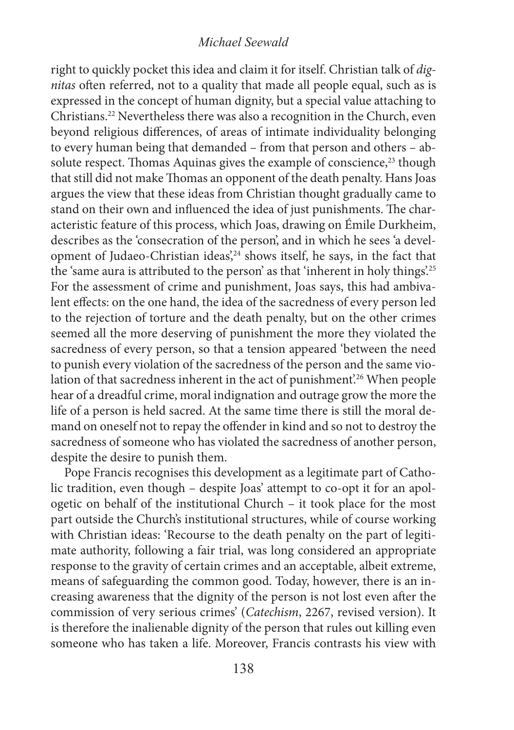right to quickly pocket this idea and claim it for itself. Christian talk of *dignitas* often referred, not to a quality that made all people equal, such as is expressed in the concept of human dignity, but a special value attaching to Christians.22 Nevertheless there was also a recognition in the Church, even beyond religious differences, of areas of intimate individuality belonging to every human being that demanded – from that person and others – absolute respect. Thomas Aquinas gives the example of conscience,<sup>23</sup> though that still did not make Thomas an opponent of the death penalty. Hans Joas argues the view that these ideas from Christian thought gradually came to stand on their own and influenced the idea of just punishments. The characteristic feature of this process, which Joas, drawing on Émile Durkheim, describes as the 'consecration of the person', and in which he sees 'a development of Judaeo-Christian ideas',<sup>24</sup> shows itself, he says, in the fact that the 'same aura is attributed to the person' as that 'inherent in holy things'.25 For the assessment of crime and punishment, Joas says, this had ambivalent effects: on the one hand, the idea of the sacredness of every person led to the rejection of torture and the death penalty, but on the other crimes seemed all the more deserving of punishment the more they violated the sacredness of every person, so that a tension appeared 'between the need to punish every violation of the sacredness of the person and the same violation of that sacredness inherent in the act of punishment.<sup>26</sup> When people hear of a dreadful crime, moral indignation and outrage grow the more the life of a person is held sacred. At the same time there is still the moral demand on oneself not to repay the offender in kind and so not to destroy the sacredness of someone who has violated the sacredness of another person, despite the desire to punish them.

Pope Francis recognises this development as a legitimate part of Catholic tradition, even though – despite Joas' attempt to co-opt it for an apologetic on behalf of the institutional Church – it took place for the most part outside the Church's institutional structures, while of course working with Christian ideas: 'Recourse to the death penalty on the part of legitimate authority, following a fair trial, was long considered an appropriate response to the gravity of certain crimes and an acceptable, albeit extreme, means of safeguarding the common good. Today, however, there is an increasing awareness that the dignity of the person is not lost even after the commission of very serious crimes' (*Catechism*, 2267, revised version). It is therefore the inalienable dignity of the person that rules out killing even someone who has taken a life. Moreover, Francis contrasts his view with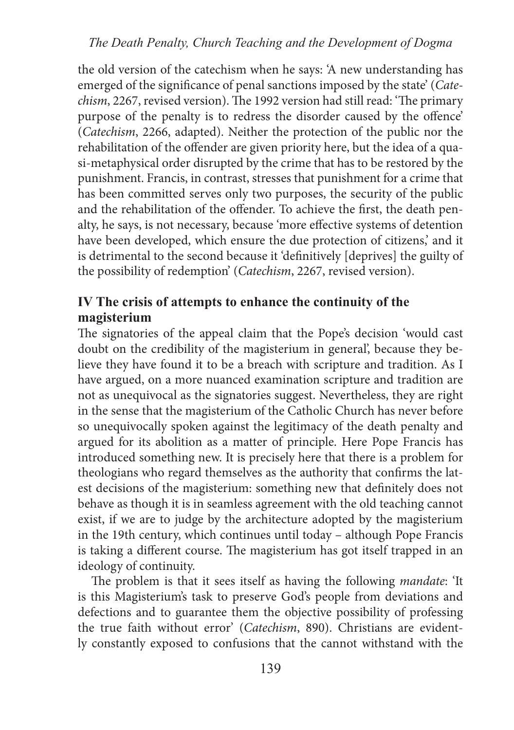#### *The Death Penalty, Church Teaching and the Development of Dogma*

the old version of the catechism when he says: 'A new understanding has emerged of the significance of penal sanctions imposed by the state' (*Catechism*, 2267, revised version). The 1992 version had still read: 'The primary purpose of the penalty is to redress the disorder caused by the offence' (*Catechism*, 2266, adapted). Neither the protection of the public nor the rehabilitation of the offender are given priority here, but the idea of a quasi-metaphysical order disrupted by the crime that has to be restored by the punishment. Francis, in contrast, stresses that punishment for a crime that has been committed serves only two purposes, the security of the public and the rehabilitation of the offender. To achieve the first, the death penalty, he says, is not necessary, because 'more effective systems of detention have been developed, which ensure the due protection of citizens,' and it is detrimental to the second because it 'definitively [deprives] the guilty of the possibility of redemption' (*Catechism*, 2267, revised version).

# **IV The crisis of attempts to enhance the continuity of the magisterium**

The signatories of the appeal claim that the Pope's decision 'would cast doubt on the credibility of the magisterium in general', because they believe they have found it to be a breach with scripture and tradition. As I have argued, on a more nuanced examination scripture and tradition are not as unequivocal as the signatories suggest. Nevertheless, they are right in the sense that the magisterium of the Catholic Church has never before so unequivocally spoken against the legitimacy of the death penalty and argued for its abolition as a matter of principle. Here Pope Francis has introduced something new. It is precisely here that there is a problem for theologians who regard themselves as the authority that confirms the latest decisions of the magisterium: something new that definitely does not behave as though it is in seamless agreement with the old teaching cannot exist, if we are to judge by the architecture adopted by the magisterium in the 19th century, which continues until today – although Pope Francis is taking a different course. The magisterium has got itself trapped in an ideology of continuity.

The problem is that it sees itself as having the following *mandate*: 'It is this Magisterium's task to preserve God's people from deviations and defections and to guarantee them the objective possibility of professing the true faith without error' (*Catechism*, 890). Christians are evidently constantly exposed to confusions that the cannot withstand with the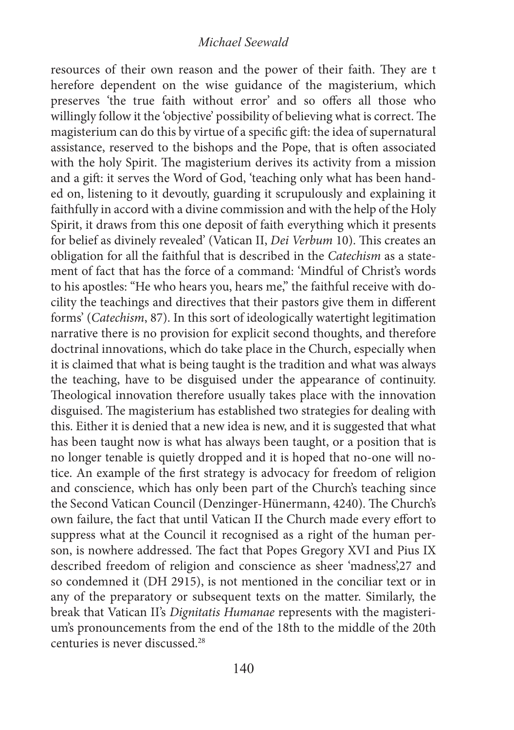resources of their own reason and the power of their faith. They are t herefore dependent on the wise guidance of the magisterium, which preserves 'the true faith without error' and so offers all those who willingly follow it the 'objective' possibility of believing what is correct. The magisterium can do this by virtue of a specific gift: the idea of supernatural assistance, reserved to the bishops and the Pope, that is often associated with the holy Spirit. The magisterium derives its activity from a mission and a gift: it serves the Word of God, 'teaching only what has been handed on, listening to it devoutly, guarding it scrupulously and explaining it faithfully in accord with a divine commission and with the help of the Holy Spirit, it draws from this one deposit of faith everything which it presents for belief as divinely revealed' (Vatican II, *Dei Verbum* 10). This creates an obligation for all the faithful that is described in the *Catechism* as a statement of fact that has the force of a command: 'Mindful of Christ's words to his apostles: "He who hears you, hears me," the faithful receive with docility the teachings and directives that their pastors give them in different forms' (*Catechism*, 87). In this sort of ideologically watertight legitimation narrative there is no provision for explicit second thoughts, and therefore doctrinal innovations, which do take place in the Church, especially when it is claimed that what is being taught is the tradition and what was always the teaching, have to be disguised under the appearance of continuity. Theological innovation therefore usually takes place with the innovation disguised. The magisterium has established two strategies for dealing with this. Either it is denied that a new idea is new, and it is suggested that what has been taught now is what has always been taught, or a position that is no longer tenable is quietly dropped and it is hoped that no-one will notice. An example of the first strategy is advocacy for freedom of religion and conscience, which has only been part of the Church's teaching since the Second Vatican Council (Denzinger-Hünermann, 4240). The Church's own failure, the fact that until Vatican II the Church made every effort to suppress what at the Council it recognised as a right of the human person, is nowhere addressed. The fact that Popes Gregory XVI and Pius IX described freedom of religion and conscience as sheer 'madness',27 and so condemned it (DH 2915), is not mentioned in the conciliar text or in any of the preparatory or subsequent texts on the matter. Similarly, the break that Vatican II's *Dignitatis Humanae* represents with the magisterium's pronouncements from the end of the 18th to the middle of the 20th centuries is never discussed.28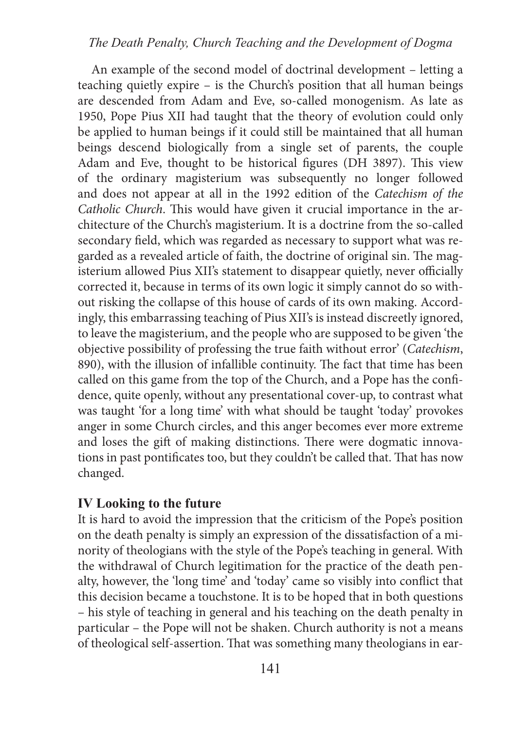#### *The Death Penalty, Church Teaching and the Development of Dogma*

An example of the second model of doctrinal development – letting a teaching quietly expire – is the Church's position that all human beings are descended from Adam and Eve, so-called monogenism. As late as 1950, Pope Pius XII had taught that the theory of evolution could only be applied to human beings if it could still be maintained that all human beings descend biologically from a single set of parents, the couple Adam and Eve, thought to be historical figures (DH 3897). This view of the ordinary magisterium was subsequently no longer followed and does not appear at all in the 1992 edition of the *Catechism of the Catholic Church*. This would have given it crucial importance in the architecture of the Church's magisterium. It is a doctrine from the so-called secondary field, which was regarded as necessary to support what was regarded as a revealed article of faith, the doctrine of original sin. The magisterium allowed Pius XII's statement to disappear quietly, never officially corrected it, because in terms of its own logic it simply cannot do so without risking the collapse of this house of cards of its own making. Accordingly, this embarrassing teaching of Pius XII's is instead discreetly ignored, to leave the magisterium, and the people who are supposed to be given 'the objective possibility of professing the true faith without error' (*Catechism*, 890), with the illusion of infallible continuity. The fact that time has been called on this game from the top of the Church, and a Pope has the confidence, quite openly, without any presentational cover-up, to contrast what was taught 'for a long time' with what should be taught 'today' provokes anger in some Church circles, and this anger becomes ever more extreme and loses the gift of making distinctions. There were dogmatic innovations in past pontificates too, but they couldn't be called that. That has now changed.

#### **IV Looking to the future**

It is hard to avoid the impression that the criticism of the Pope's position on the death penalty is simply an expression of the dissatisfaction of a minority of theologians with the style of the Pope's teaching in general. With the withdrawal of Church legitimation for the practice of the death penalty, however, the 'long time' and 'today' came so visibly into conflict that this decision became a touchstone. It is to be hoped that in both questions – his style of teaching in general and his teaching on the death penalty in particular – the Pope will not be shaken. Church authority is not a means of theological self-assertion. That was something many theologians in ear-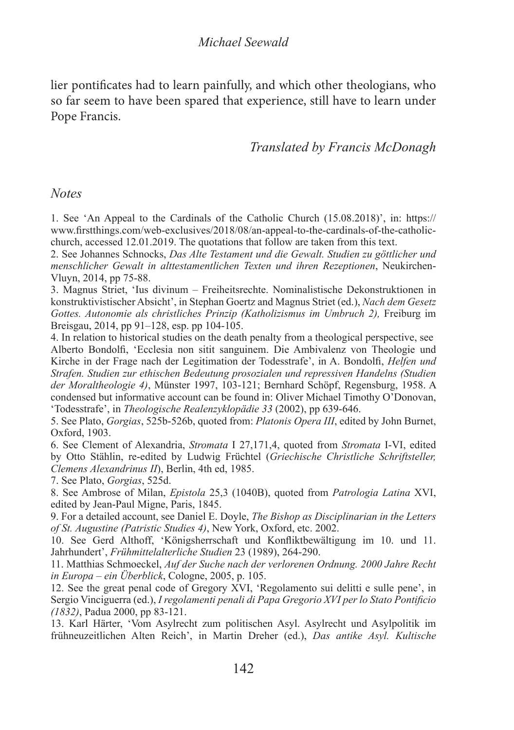lier pontificates had to learn painfully, and which other theologians, who so far seem to have been spared that experience, still have to learn under Pope Francis.

# *Translated by Francis McDonagh*

#### *Notes*

1. See 'An Appeal to the Cardinals of the Catholic Church (15.08.2018)', in: https:// www.firstthings.com/web-exclusives/2018/08/an-appeal-to-the-cardinals-of-the-catholicchurch, accessed 12.01.2019. The quotations that follow are taken from this text.

2. See Johannes Schnocks, *Das Alte Testament und die Gewalt. Studien zu göttlicher und menschlicher Gewalt in alttestamentlichen Texten und ihren Rezeptionen*, Neukirchen-Vluyn, 2014, pp 75-88.

3. Magnus Striet, 'Ius divinum – Freiheitsrechte. Nominalistische Dekonstruktionen in konstruktivistischer Absicht', in Stephan Goertz and Magnus Striet (ed.), *Nach dem Gesetz Gottes. Autonomie als christliches Prinzip (Katholizismus im Umbruch 2),* Freiburg im Breisgau, 2014, pp 91–128, esp. pp 104-105.

4. In relation to historical studies on the death penalty from a theological perspective, see Alberto Bondolfi, 'Ecclesia non sitit sanguinem. Die Ambivalenz von Theologie und Kirche in der Frage nach der Legitimation der Todesstrafe', in A. Bondolfi, *Helfen und Strafen. Studien zur ethischen Bedeutung prosozialen und repressiven Handelns (Studien der Moraltheologie 4)*, Münster 1997, 103-121; Bernhard Schöpf, Regensburg, 1958. A condensed but informative account can be found in: Oliver Michael Timothy O'Donovan, 'Todesstrafe', in *Theologische Realenzyklopädie 33* (2002), pp 639-646.

5. See Plato, *Gorgias*, 525b-526b, quoted from: *Platonis Opera III*, edited by John Burnet, Oxford, 1903.

6. See Clement of Alexandria, *Stromata* I 27,171,4, quoted from *Stromata* I-VI, edited by Otto Stählin, re-edited by Ludwig Früchtel (*Griechische Christliche Schriftsteller, Clemens Alexandrinus II*), Berlin, 4th ed, 1985.

7. See Plato, *Gorgias*, 525d.

8. See Ambrose of Milan, *Epistola* 25,3 (1040B), quoted from *Patrologia Latina* XVI, edited by Jean-Paul Migne, Paris, 1845.

9. For a detailed account, see Daniel E. Doyle, *The Bishop as Disciplinarian in the Letters of St. Augustine (Patristic Studies 4)*, New York, Oxford, etc. 2002.

10. See Gerd Althoff, 'Königsherrschaft und Konfliktbewältigung im 10. und 11. Jahrhundert', *Frühmittelalterliche Studien* 23 (1989), 264-290.

11. Matthias Schmoeckel, *Auf der Suche nach der verlorenen Ordnung. 2000 Jahre Recht in Europa – ein Überblick*, Cologne, 2005, p. 105.

12. See the great penal code of Gregory XVI, 'Regolamento sui delitti e sulle pene', in Sergio Vinciguerra (ed.), *I regolamenti penali di Papa Gregorio XVI per lo Stato Pontificio (1832)*, Padua 2000, pp 83-121.

13. Karl Härter, 'Vom Asylrecht zum politischen Asyl. Asylrecht und Asylpolitik im frühneuzeitlichen Alten Reich', in Martin Dreher (ed.), *Das antike Asyl. Kultische*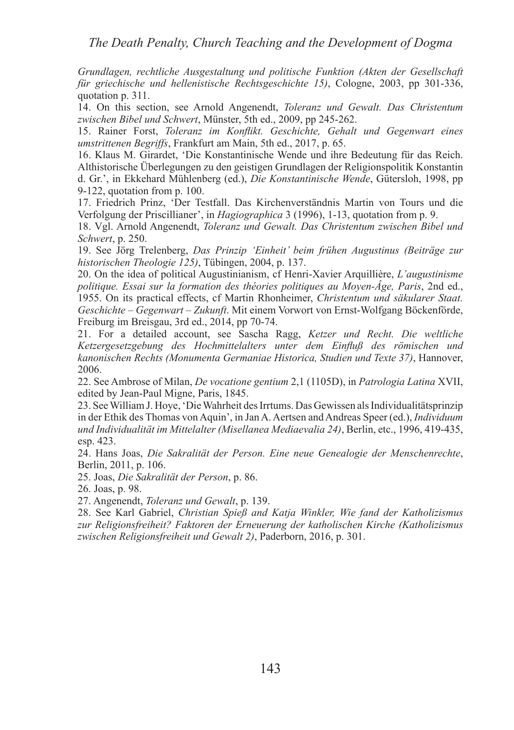*Grundlagen, rechtliche Ausgestaltung und politische Funktion (Akten der Gesellschaft für griechische und hellenistische Rechtsgeschichte 15)*, Cologne, 2003, pp 301-336, quotation p. 311.

14. On this section, see Arnold Angenendt, *Toleranz und Gewalt. Das Christentum zwischen Bibel und Schwert*, Münster, 5th ed., 2009, pp 245-262.

15. Rainer Forst, *Toleranz im Konflikt. Geschichte, Gehalt und Gegenwart eines umstrittenen Begriffs*, Frankfurt am Main, 5th ed., 2017, p. 65.

16. Klaus M. Girardet, 'Die Konstantinische Wende und ihre Bedeutung für das Reich. Althistorische Überlegungen zu den geistigen Grundlagen der Religionspolitik Konstantin d. Gr.', in Ekkehard Mühlenberg (ed.), *Die Konstantinische Wende*, Gütersloh, 1998, pp 9-122, quotation from p. 100.

17. Friedrich Prinz, 'Der Testfall. Das Kirchenverständnis Martin von Tours und die Verfolgung der Priscillianer', in *Hagiographica* 3 (1996), 1-13, quotation from p. 9.

18. Vgl. Arnold Angenendt, *Toleranz und Gewalt. Das Christentum zwischen Bibel und Schwert*, p. 250.

19. See Jörg Trelenberg, *Das Prinzip 'Einheit' beim frühen Augustinus (Beiträge zur historischen Theologie 125)*, Tübingen, 2004, p. 137.

20. On the idea of political Augustinianism, cf Henri-Xavier Arquillière, *L'augustinisme politique. Essai sur la formation des théories politiques au Moyen-Âge, Paris*, 2nd ed., 1955. On its practical effects, cf Martin Rhonheimer, *Christentum und säkularer Staat. Geschichte – Gegenwart – Zukunft*. Mit einem Vorwort von Ernst-Wolfgang Böckenförde, Freiburg im Breisgau, 3rd ed., 2014, pp 70-74.

21. For a detailed account, see Sascha Ragg, *Ketzer und Recht. Die weltliche Ketzergesetzgebung des Hochmittelalters unter dem Einfluß des römischen und kanonischen Rechts (Monumenta Germaniae Historica, Studien und Texte 37)*, Hannover, 2006.

22. See Ambrose of Milan, *De vocatione gentium* 2,1 (1105D), in *Patrologia Latina* XVII, edited by Jean-Paul Migne, Paris, 1845.

23. See William J. Hoye, 'Die Wahrheit des Irrtums. Das Gewissen als Individualitätsprinzip in der Ethik des Thomas von Aquin', in Jan A. Aertsen and Andreas Speer (ed.), *Individuum und Individualität im Mittelalter (Misellanea Mediaevalia 24)*, Berlin, etc., 1996, 419-435, esp. 423.

24. Hans Joas, *Die Sakralität der Person. Eine neue Genealogie der Menschenrechte*, Berlin, 2011, p. 106.

25. Joas, *Die Sakralität der Person*, p. 86.

26. Joas, p. 98.

27. Angenendt, *Toleranz und Gewalt*, p. 139.

28. See Karl Gabriel, *Christian Spieß and Katja Winkler, Wie fand der Katholizismus zur Religionsfreiheit? Faktoren der Erneuerung der katholischen Kirche (Katholizismus zwischen Religionsfreiheit und Gewalt 2)*, Paderborn, 2016, p. 301.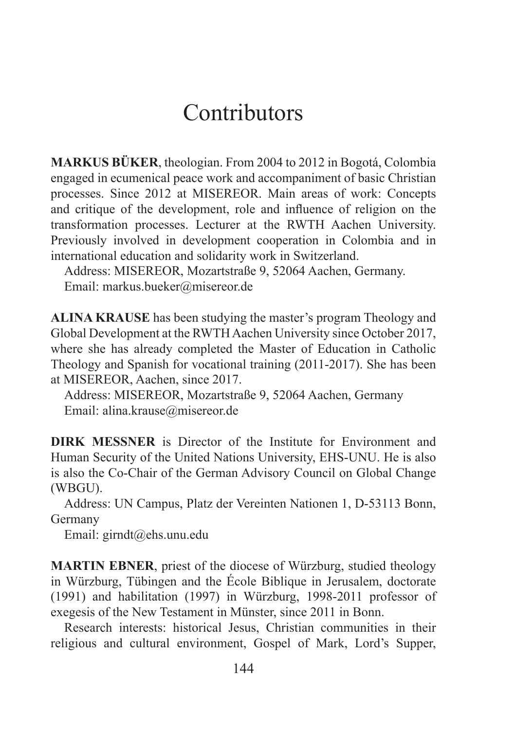# Contributors

**MARKUS BÜKER**, theologian. From 2004 to 2012 in Bogotá, Colombia engaged in ecumenical peace work and accompaniment of basic Christian processes. Since 2012 at MISEREOR. Main areas of work: Concepts and critique of the development, role and influence of religion on the transformation processes. Lecturer at the RWTH Aachen University. Previously involved in development cooperation in Colombia and in international education and solidarity work in Switzerland.

Address: MISEREOR, Mozartstraße 9, 52064 Aachen, Germany. Email: markus.bueker@misereor.de

**ALINA KRAUSE** has been studying the master's program Theology and Global Development at the RWTH Aachen University since October 2017, where she has already completed the Master of Education in Catholic Theology and Spanish for vocational training (2011-2017). She has been at MISEREOR, Aachen, since 2017.

Address: MISEREOR, Mozartstraße 9, 52064 Aachen, Germany Email: alina.krause@misereor.de

**DIRK MESSNER** is Director of the Institute for Environment and Human Security of the United Nations University, EHS-UNU. He is also is also the Co-Chair of the German Advisory Council on Global Change (WBGU).

Address: UN Campus, Platz der Vereinten Nationen 1, D-53113 Bonn, Germany

Email: girndt@ehs.unu.edu

**MARTIN EBNER**, priest of the diocese of Würzburg, studied theology in Würzburg, Tübingen and the École Biblique in Jerusalem, doctorate (1991) and habilitation (1997) in Würzburg, 1998-2011 professor of exegesis of the New Testament in Münster, since 2011 in Bonn.

Research interests: historical Jesus, Christian communities in their religious and cultural environment, Gospel of Mark, Lord's Supper,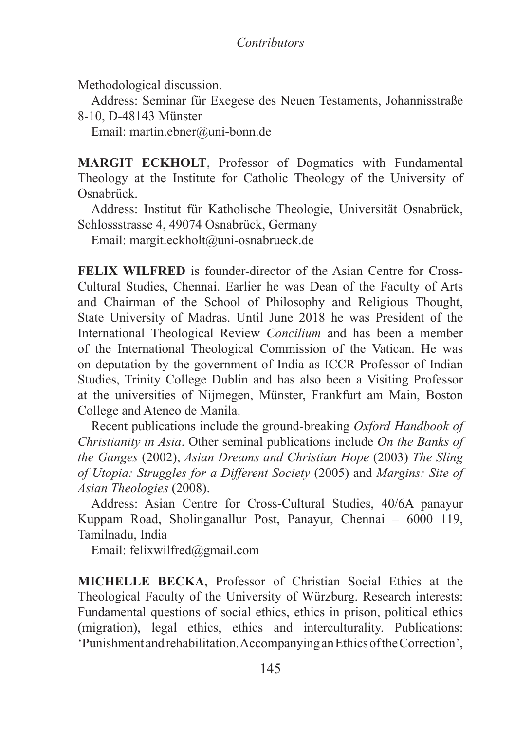Methodological discussion.

Address: Seminar für Exegese des Neuen Testaments, Johannisstraße 8-10, D-48143 Münster

Email: martin.ebner@uni-bonn.de

**MARGIT ECKHOLT**, Professor of Dogmatics with Fundamental Theology at the Institute for Catholic Theology of the University of Osnabrück.

Address: Institut für Katholische Theologie, Universität Osnabrück, Schlossstrasse 4, 49074 Osnabrück, Germany

Email: margit.eckholt@uni-osnabrueck.de

**FELIX WILFRED** is founder-director of the Asian Centre for Cross-Cultural Studies, Chennai. Earlier he was Dean of the Faculty of Arts and Chairman of the School of Philosophy and Religious Thought, State University of Madras. Until June 2018 he was President of the International Theological Review *Concilium* and has been a member of the International Theological Commission of the Vatican. He was on deputation by the government of India as ICCR Professor of Indian Studies, Trinity College Dublin and has also been a Visiting Professor at the universities of Nijmegen, Münster, Frankfurt am Main, Boston College and Ateneo de Manila.

Recent publications include the ground-breaking *Oxford Handbook of Christianity in Asia*. Other seminal publications include *On the Banks of the Ganges* (2002), *Asian Dreams and Christian Hope* (2003) *The Sling of Utopia: Struggles for a Different Society* (2005) and *Margins: Site of Asian Theologies* (2008).

Address: Asian Centre for Cross-Cultural Studies, 40/6A panayur Kuppam Road, Sholinganallur Post, Panayur, Chennai – 6000 119, Tamilnadu, India

Email: felixwilfred@gmail.com

**MICHELLE BECKA**, Professor of Christian Social Ethics at the Theological Faculty of the University of Würzburg. Research interests: Fundamental questions of social ethics, ethics in prison, political ethics (migration), legal ethics, ethics and interculturality. Publications: 'Punishment and rehabilitation. Accompanying an Ethics of the Correction',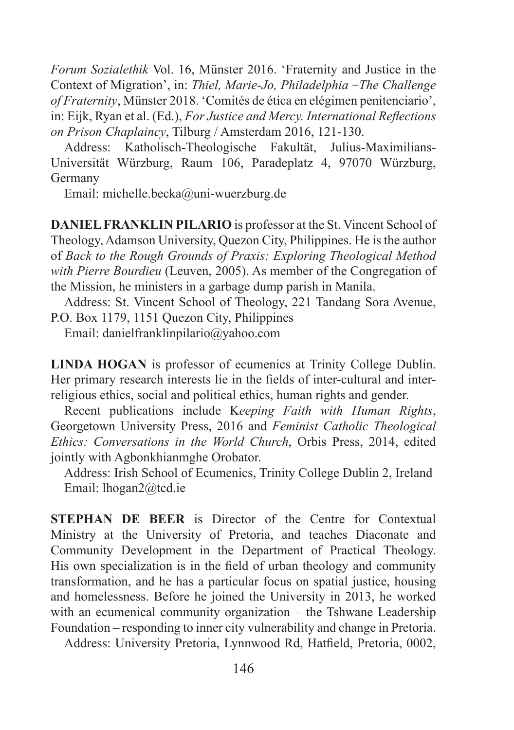*Forum Sozialethik* Vol. 16, Münster 2016. 'Fraternity and Justice in the Context of Migration', in: *Thiel, Marie-Jo, Philadelphia -The Challenge of Fraternity*, Münster 2018. 'Comités de ética en elégimen penitenciario', in: Eijk, Ryan et al. (Ed.), *For Justice and Mercy. International Reflections on Prison Chaplaincy*, Tilburg / Amsterdam 2016, 121-130.

Address: Katholisch-Theologische Fakultät, Julius-Maximilians-Universität Würzburg, Raum 106, Paradeplatz 4, 97070 Würzburg, Germany

Email: michelle.becka@uni-wuerzburg.de

**DANIEL FRANKLIN PILARIO** is professor at the St. Vincent School of Theology, Adamson University, Quezon City, Philippines. He is the author of *Back to the Rough Grounds of Praxis: Exploring Theological Method with Pierre Bourdieu* (Leuven, 2005). As member of the Congregation of the Mission, he ministers in a garbage dump parish in Manila.

Address: St. Vincent School of Theology, 221 Tandang Sora Avenue, P.O. Box 1179, 1151 Quezon City, Philippines

Email: danielfranklinpilario@yahoo.com

**LINDA HOGAN** is professor of ecumenics at Trinity College Dublin. Her primary research interests lie in the fields of inter-cultural and interreligious ethics, social and political ethics, human rights and gender.

Recent publications include K*eeping Faith with Human Rights*, Georgetown University Press, 2016 and *Feminist Catholic Theological Ethics: Conversations in the World Church*, Orbis Press, 2014, edited jointly with Agbonkhianmghe Orobator.

Address: Irish School of Ecumenics, Trinity College Dublin 2, Ireland Email: lhogan2@tcd.ie

**STEPHAN DE BEER** is Director of the Centre for Contextual Ministry at the University of Pretoria, and teaches Diaconate and Community Development in the Department of Practical Theology. His own specialization is in the field of urban theology and community transformation, and he has a particular focus on spatial justice, housing and homelessness. Before he joined the University in 2013, he worked with an ecumenical community organization – the Tshwane Leadership Foundation – responding to inner city vulnerability and change in Pretoria.

Address: University Pretoria, Lynnwood Rd, Hatfield, Pretoria, 0002,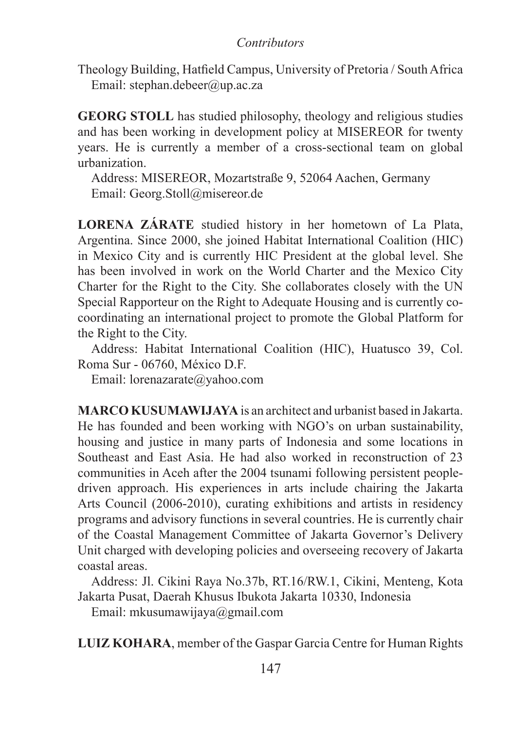# *Contributors*

Theology Building, Hatfield Campus, University of Pretoria / South Africa Email: stephan.debeer@up.ac.za

**GEORG STOLL** has studied philosophy, theology and religious studies and has been working in development policy at MISEREOR for twenty years. He is currently a member of a cross-sectional team on global urbanization.

Address: MISEREOR, Mozartstraße 9, 52064 Aachen, Germany Email: Georg.Stoll@misereor.de

**LORENA ZÁRATE** studied history in her hometown of La Plata, Argentina. Since 2000, she joined Habitat International Coalition (HIC) in Mexico City and is currently HIC President at the global level. She has been involved in work on the World Charter and the Mexico City Charter for the Right to the City. She collaborates closely with the UN Special Rapporteur on the Right to Adequate Housing and is currently cocoordinating an international project to promote the Global Platform for the Right to the City.

Address: Habitat International Coalition (HIC), Huatusco 39, Col. Roma Sur - 06760, México D.F.

Email: lorenazarate@yahoo.com

**MARCO KUSUMAWIJAYA** is an architect and urbanist based in Jakarta. He has founded and been working with NGO's on urban sustainability, housing and justice in many parts of Indonesia and some locations in Southeast and East Asia. He had also worked in reconstruction of 23 communities in Aceh after the 2004 tsunami following persistent peopledriven approach. His experiences in arts include chairing the Jakarta Arts Council (2006-2010), curating exhibitions and artists in residency programs and advisory functions in several countries. He is currently chair of the Coastal Management Committee of Jakarta Governor's Delivery Unit charged with developing policies and overseeing recovery of Jakarta coastal areas.

Address: Jl. Cikini Raya No.37b, RT.16/RW.1, Cikini, Menteng, Kota Jakarta Pusat, Daerah Khusus Ibukota Jakarta 10330, Indonesia

Email: mkusumawijaya@gmail.com

**LUIZ KOHARA**, member of the Gaspar Garcia Centre for Human Rights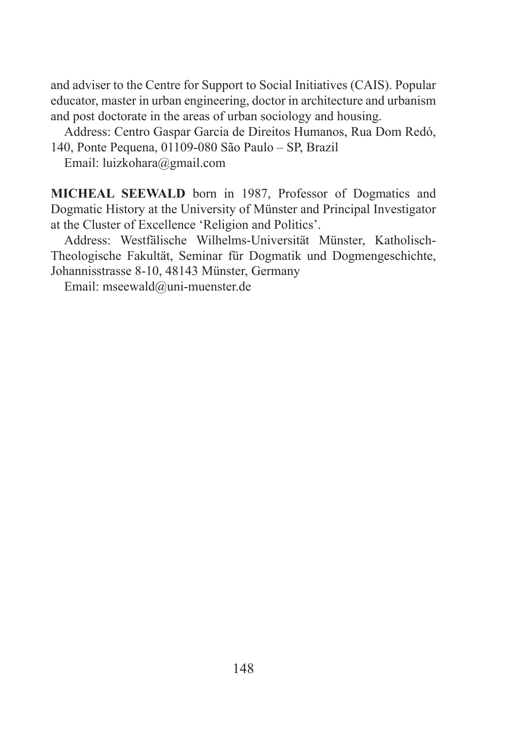and adviser to the Centre for Support to Social Initiatives (CAIS). Popular educator, master in urban engineering, doctor in architecture and urbanism and post doctorate in the areas of urban sociology and housing.

Address: Centro Gaspar Garcia de Direitos Humanos, Rua Dom Redó, 140, Ponte Pequena, 01109-080 São Paulo – SP, Brazil

Email: luizkohara@gmail.com

**MICHEAL SEEWALD** born in 1987, Professor of Dogmatics and Dogmatic History at the University of Münster and Principal Investigator at the Cluster of Excellence 'Religion and Politics'.

Address: Westfälische Wilhelms-Universität Münster, Katholisch-Theologische Fakultät, Seminar für Dogmatik und Dogmengeschichte, Johannisstrasse 8-10, 48143 Münster, Germany

Email: mseewald@uni-muenster.de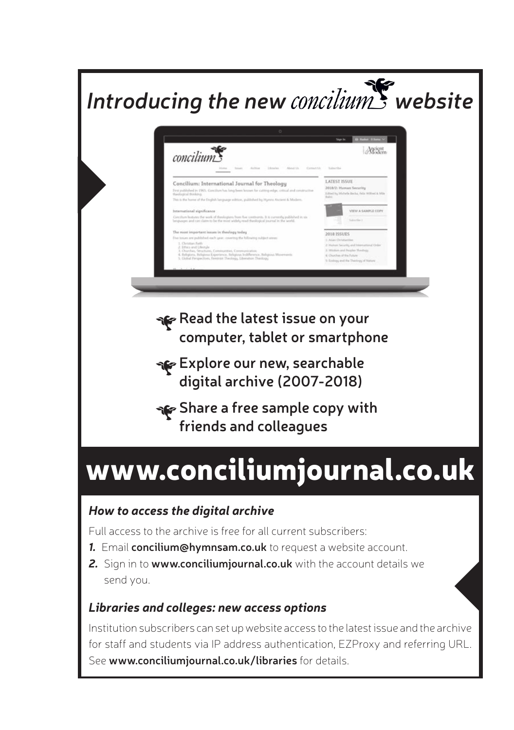

Full access to the archive is free for all current subscribers:

- *1.* Email **concilium@hymnsam.co.uk** to request a website account.
- *2.* Sign in to **www.conciliumjournal.co.uk** with the account details we send you.

# *Libraries and colleges: new access options*

Institution subscribers can set up website access to the latest issue and the archive for staff and students via IP address authentication, EZProxy and referring URL. See **www.conciliumjournal.co.uk/libraries** for details.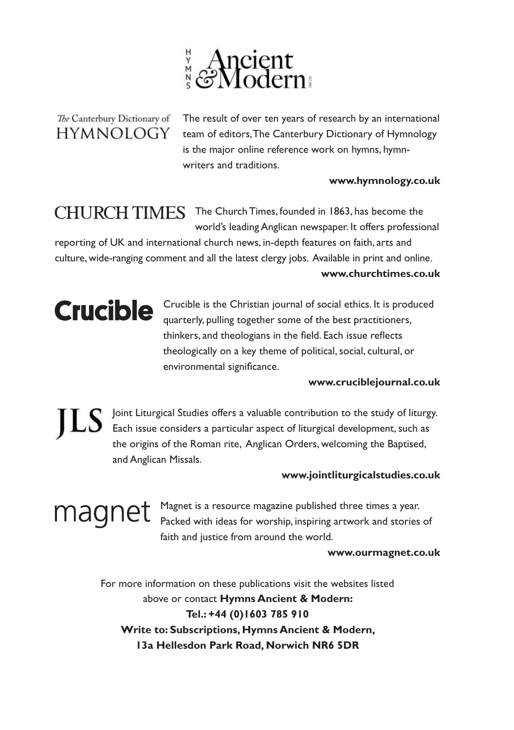

# The Canterbury Dictionary of **HYMNOLOGY**

 The result of over ten years of research by an international team of editors, The Canterbury Dictionary of Hymnology is the major online reference work on hymns, hymnwriters and traditions.

## **www.hymnology.co.uk**

CHURCH TIMES The Church Times, founded in 1863, has become the world's leading Anglican newspaper. It offers professional

reporting of UK and international church news, in-depth features on faith, arts and culture, wide-ranging comment and all the latest clergy jobs. Available in print and online. **www.churchtimes.co.uk** 

Crucible Crucible is the Christian journal of social ethics. It is produced quarterly, pulling together some of the best practitioners, thinkers, and theologians in the field. Each issue reflects theologically on a key theme of political, social, cultural, or environmental significance.

## **www.cruciblejournal.co.uk**

 Joint Liturgical Studies offers a valuable contribution to the study of liturgy. EX Joint Liturgical Journes Uners a received of liturgical development, such as the origins of the Roman rite, Anglican Orders, welcoming the Baptised, and Anglican Missals.

# **www.jointliturgicalstudies.co.uk**

 Magnet is a resource magazine published three times a year. Packed with ideas for worship, inspiring artwork and stories of faith and justice from around the world.

### **www.ourmagnet.co.uk**

For more information on these publications visit the websites listed above or contact **Hymns Ancient & Modern: Tel.: +44 (0)1603 785 910 Write to: Subscriptions, Hymns Ancient & Modern, 13a Hellesdon Park Road, Norwich NR6 5DR**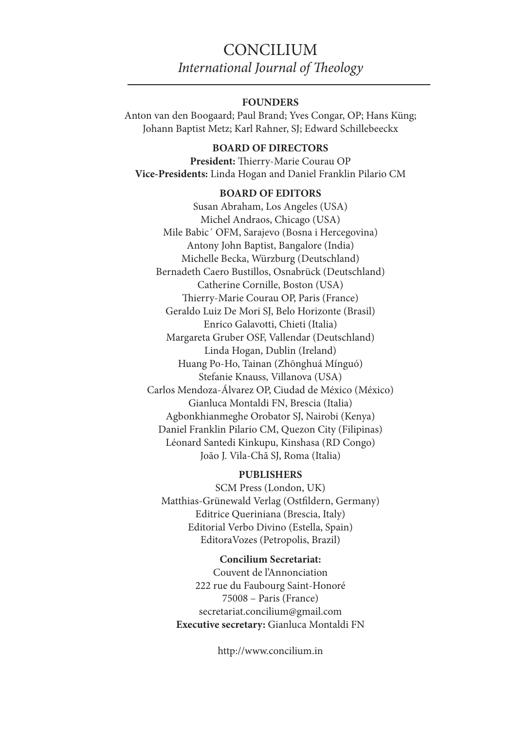# **CONCILIUM** *International Journal of Theology*

### **FOUNDERS**

Anton van den Boogaard; Paul Brand; Yves Congar, OP; Hans Küng; Johann Baptist Metz; Karl Rahner, SJ; Edward Schillebeeckx

## **BOARD OF DIRECTORS**

**President:** Thierry-Marie Courau OP **Vice-Presidents:** Linda Hogan and Daniel Franklin Pilario CM

#### **BOARD OF EDITORS**

Susan Abraham, Los Angeles (USA) Michel Andraos, Chicago (USA) Mile Babic´ OFM, Sarajevo (Bosna i Hercegovina) Antony John Baptist, Bangalore (India) Michelle Becka, Würzburg (Deutschland) Bernadeth Caero Bustillos, Osnabrück (Deutschland) Catherine Cornille, Boston (USA) Thierry-Marie Courau OP, Paris (France) Geraldo Luiz De Mori SJ, Belo Horizonte (Brasil) Enrico Galavotti, Chieti (Italia) Margareta Gruber OSF, Vallendar (Deutschland) Linda Hogan, Dublin (Ireland) Huang Po-Ho, Tainan (Zhōnghuá Mínguó) Stefanie Knauss, Villanova (USA) Carlos Mendoza-Álvarez OP, Ciudad de México (México) Gianluca Montaldi FN, Brescia (Italia) Agbonkhianmeghe Orobator SJ, Nairobi (Kenya) Daniel Franklin Pilario CM, Quezon City (Filipinas) Léonard Santedi Kinkupu, Kinshasa (RD Congo) João J. Vila-Chã SJ, Roma (Italia)

#### **PUBLISHERS**

SCM Press (London, UK) Matthias-Grünewald Verlag (Ostfildern, Germany) Editrice Queriniana (Brescia, Italy) Editorial Verbo Divino (Estella, Spain) EditoraVozes (Petropolis, Brazil)

# **Concilium Secretariat:**

Couvent de l'Annonciation 222 rue du Faubourg Saint-Honoré 75008 – Paris (France) secretariat.concilium@gmail.com **Executive secretary:** Gianluca Montaldi FN

http://www.concilium.in